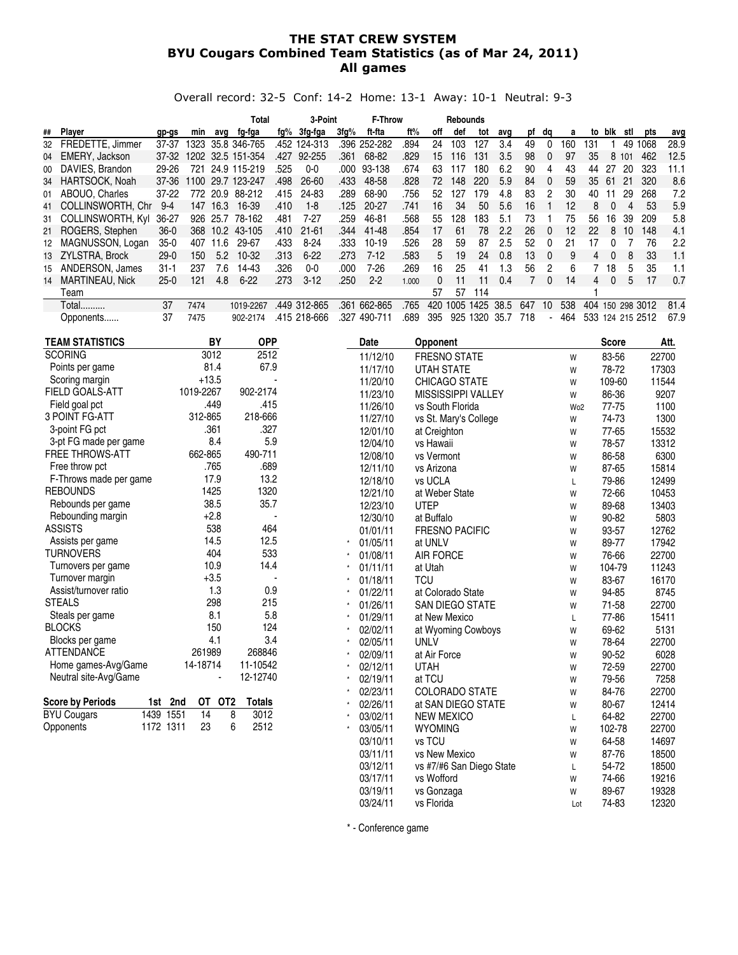#### THE STAT CREW SYSTEM BYU Cougars Combined Team Statistics (as of Mar 24, 2011) All games

Overall record: 32-5 Conf: 14-2 Home: 13-1 Away: 10-1 Neutral: 9-3

|    |                       |         |       |                   | Total             |      | 3-Point      |         | <b>F-Throw</b> |       |     | Rebounds |      |      |     |                |     |                  |     |     |          |      |
|----|-----------------------|---------|-------|-------------------|-------------------|------|--------------|---------|----------------|-------|-----|----------|------|------|-----|----------------|-----|------------------|-----|-----|----------|------|
|    | ## Plaver             | gp-gs   | min   | ava               | fg-fga            | fq%  | 3fq-fqa      | $3fq\%$ | ft-fta         | ft%   | off | def      | tot  | avq  | pf  | da             | а   | to               | blk | stl | pts      | avg  |
| 32 | FREDETTE, Jimmer      | 37-37   | 1323  |                   | 35.8 346-765      | .452 | 124-313      | .396    | 252-282        | .894  | 24  | 103      | 127  | 3.4  | 49  |                | 160 | 131              |     | 49  | 068      | 28.9 |
|    | 04 EMERY, Jackson     | 37-32   |       |                   | 1202 32.5 151-354 | .427 | 92-255       | .361    | 68-82          | .829  | 15  | 116      | 131  | 3.5  | 98  | $\overline{0}$ | 97  | 35               | 8   | 101 | 462      | 12.5 |
| 00 | DAVIES, Brandon       | 29-26   | 721   |                   | 24.9 115-219      | .525 | 0-0          | .000    | 93-138         | .674  | 63  | 117      | 180  | 6.2  | 90  | 4              | 43  | 44               | 27  | 20  | 323      | 11.1 |
|    | 34 HARTSOCK, Noah     | 37-36   | 1100. |                   | 29.7 123-247      | .498 | 26-60        | .433    | 48-58          | .828  | 72  | 148      | 220  | 5.9  | 84  | $\Omega$       | 59  | 35               | -61 | 21  | 320      | 8.6  |
|    | 01 ABOUO, Charles     | $37-22$ |       | 772 20.9          | 88-212            | .415 | 24-83        | .289    | 68-90          | 756   | 52  | 127      | 79   | 4.8  | 83  | 2              | 30  | 40               |     | 29  | 268      | 7.2  |
|    | 41 COLLINSWORTH, Chr. | $9 - 4$ | 147   | 16.3              | 16-39             | .410 | $1 - 8$      | .125    | 20-27          | .741  | 16  | 34       | 50   | 5.6  | 16  |                | 12  | 8                |     | 4   | 53       | 5.9  |
|    | 31 COLLINSWORTH, Kyl  | 36-27   | 926   |                   | 25.7 78-162       | .481 | $7-27$       | .259    | 46-81          | .568  | 55  | 128      | 183  | 5.1  | 73  |                | 75  | 56               | 16  | 39  | 209      | 5.8  |
|    | 21 ROGERS, Stephen    | $36-0$  | 368   | 10.2 <sub>1</sub> | 43-105            | .410 | $21 - 61$    | .344    | 41-48          | .854  | 17  | 61       | 78   | 2.2  | 26  | $\Omega$       | 12  | 22               | 8   | 10  | 148      | 4.1  |
| 12 | MAGNUSSON, Logan      | $35-0$  | 407   | 11.6              | 29-67             | .433 | $8 - 24$     | .333    | $10-19$        | .526  | 28  | 59       | 87   | 2.5  | 52  | $\Omega$       | 21  | 17               |     |     | 76       | 2.2  |
|    | 13 ZYLSTRA, Brock     | $29-0$  | 150   | 5.2               | $10-32$           | .313 | $6 - 22$     | .273    | $7-12$         | .583  | 5   | 19       | 24   | 0.8  | 13  | $\Omega$       | 9   | 4                |     | 8   | 33       | 1.1  |
| 15 | ANDERSON, James       | 31-1    | 237   | 7.6               | 14-43             | .326 | $0 - 0$      | .000    | 7-26           | .269  | 16  | 25       | 41   | 1.3  | 56  | 2              | 6   |                  | 18  | 5   | 35       | 1.1  |
|    | 14 MARTINEAU, Nick    | $25-0$  | 121   | 4.8               | $6 - 22$          | .273 | $3-12$       | .250    | $2 - 2$        | 1.000 | 0   | 11       | 11   | 0.4  |     | 0              | 14  | 4                | 0   | 5   | 17       | 0.7  |
|    | Team                  |         |       |                   |                   |      |              |         |                |       | 57  | 57       | 114  |      |     |                |     |                  |     |     |          |      |
|    | Total                 | 37      | 7474  |                   | 1019-2267         | .449 | 312-865      | .361    | 662-865        | 765   | 420 | 1005     | 1425 | 38.5 | 647 | 10             | 538 | 404              | 150 |     | 298 3012 | 81.4 |
|    | Opponents             | 37      | 7475  |                   | 902-2174          |      | .415 218-666 | 327     | 490-711        | .689  | 395 | 925      | 1320 | 35.7 | 718 |                | 464 | 533 124 215 2512 |     |     |          | 67.9 |

| <b>TEAM STATISTICS</b>     | BY                               | <b>OPP</b>    | Date     | Opponent                  |                 | <b>Score</b> | Att.  |
|----------------------------|----------------------------------|---------------|----------|---------------------------|-----------------|--------------|-------|
| <b>SCORING</b>             | 3012                             | 2512          | 11/12/10 | FRESNO STATE              | W               | 83-56        | 22700 |
| Points per game            | 81.4                             | 67.9          | 11/17/10 | <b>UTAH STATE</b>         | W               | 78-72        | 17303 |
| Scoring margin             | $+13.5$                          |               | 11/20/10 | <b>CHICAGO STATE</b>      | W               | 109-60       | 11544 |
| FIELD GOALS-ATT            | 1019-2267                        | 902-2174      | 11/23/10 | <b>MISSISSIPPI VALLEY</b> | W               | 86-36        | 9207  |
| Field goal pct             | .449                             | .415          | 11/26/10 | vs South Florida          | Wo <sub>2</sub> | 77-75        | 1100  |
| 3 POINT FG-ATT             | 312-865                          | 218-666       | 11/27/10 | vs St. Mary's College     | W               | 74-73        | 1300  |
| 3-point FG pct             | .361                             | .327          | 12/01/10 | at Creighton              | W               | 77-65        | 15532 |
| 3-pt FG made per game      | 8.4                              | 5.9           | 12/04/10 | vs Hawaii                 | W               | 78-57        | 13312 |
| <b>FREE THROWS-ATT</b>     | 662-865                          | 490-711       | 12/08/10 | vs Vermont                | W               | 86-58        | 6300  |
| Free throw pct             | .765                             | .689          | 12/11/10 | vs Arizona                | W               | 87-65        | 15814 |
| F-Throws made per game     | 17.9                             | 13.2          | 12/18/10 | vs UCLA                   | L               | 79-86        | 12499 |
| <b>REBOUNDS</b>            | 1425                             | 1320          | 12/21/10 | at Weber State            | W               | 72-66        | 10453 |
| Rebounds per game          | 38.5                             | 35.7          | 12/23/10 | <b>UTEP</b>               | W               | 89-68        | 13403 |
| Rebounding margin          | $+2.8$                           |               | 12/30/10 | at Buffalo                | W               | 90-82        | 5803  |
| <b>ASSISTS</b>             | 538                              | 464           | 01/01/11 | <b>FRESNO PACIFIC</b>     | W               | 93-57        | 12762 |
| Assists per game           | 14.5                             | 12.5          | 01/05/11 | at UNLV                   | W               | 89-77        | 17942 |
| <b>TURNOVERS</b>           | 404                              | 533           | 01/08/11 | <b>AIR FORCE</b>          | W               | 76-66        | 22700 |
| Turnovers per game         | 10.9                             | 14.4          | 01/11/11 | at Utah                   | W               | 104-79       | 11243 |
| Turnover margin            | $+3.5$                           |               | 01/18/11 | <b>TCU</b>                | W               | 83-67        | 16170 |
| Assist/turnover ratio      | 1.3                              | 0.9           | 01/22/11 | at Colorado State         | W               | 94-85        | 8745  |
| <b>STEALS</b>              | 298                              | 215           | 01/26/11 | SAN DIEGO STATE           | W               | 71-58        | 22700 |
| Steals per game            | 8.1                              | 5.8           | 01/29/11 | at New Mexico             | Г               | 77-86        | 15411 |
| <b>BLOCKS</b>              | 150                              | 124           | 02/02/11 | at Wyoming Cowboys        | W               | 69-62        | 5131  |
| Blocks per game            | 4.1                              | 3.4           | 02/05/11 | <b>UNLV</b>               | W               | 78-64        | 22700 |
| <b>ATTENDANCE</b>          | 261989                           | 268846        | 02/09/11 | at Air Force              | W               | 90-52        | 6028  |
| Home games-Avg/Game        | 14-18714                         | 11-10542      | 02/12/11 | <b>UTAH</b>               | W               | 72-59        | 22700 |
| Neutral site-Avg/Game      |                                  | 12-12740      | 02/19/11 | at TCU                    | W               | 79-56        | 7258  |
|                            |                                  |               | 02/23/11 | <b>COLORADO STATE</b>     | W               | 84-76        | 22700 |
| <b>Score by Periods</b>    | 1st 2nd<br>OT<br>OT <sub>2</sub> | <b>Totals</b> | 02/26/11 | at SAN DIEGO STATE        | W               | 80-67        | 12414 |
| <b>BYU Cougars</b><br>1439 | 1551<br>14                       | 3012<br>8     | 03/02/11 | <b>NEW MEXICO</b>         | Г               | 64-82        | 22700 |
| Opponents                  | 1172 1311<br>23                  | 6<br>2512     | 03/05/11 | <b>WYOMING</b>            | W               | 102-78       | 22700 |
|                            |                                  |               | 03/10/11 | vs TCU                    | W               | 64-58        | 14697 |
|                            |                                  |               | 03/11/11 | vs New Mexico             | W               | 87-76        | 18500 |
|                            |                                  |               | 03/12/11 | vs #7/#6 San Diego State  | Г               | 54-72        | 18500 |
|                            |                                  |               | 03/17/11 | vs Wofford                | W               | 74-66        | 19216 |
|                            |                                  |               | 03/19/11 | vs Gonzaga                | W               | 89-67        | 19328 |
|                            |                                  |               | 03/24/11 | vs Florida                | Lot             | 74-83        | 12320 |

\* - Conference game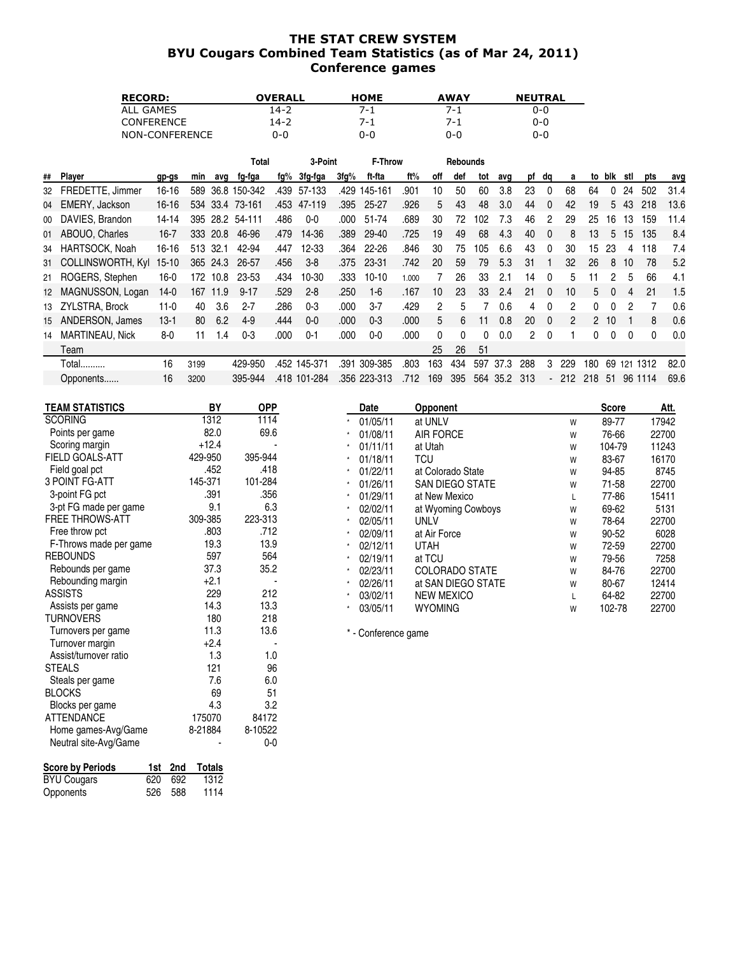### THE STAT CREW SYSTEM BYU Cougars Combined Team Statistics (as of Mar 24, 2011) Conference games

| <b>RECORD:</b>    | OVERALL | <b>HOME</b> | <b>AWAY</b> | <b>NEUTRAL</b> |
|-------------------|---------|-------------|-------------|----------------|
| ALL GAMES         | 14-2    | 7-1         | 7-1         | 0-0            |
| <b>CONFERENCE</b> | 14-2    | 7-1         | 7-1         | $0 - 0$        |
| NON-CONFERENCE    | 0-0     | 0-0         | 0-0         | 0-0            |

| blk<br>stl<br>pts<br>avg<br>502<br>24<br>31.4<br>13.6<br>43<br>218<br>5<br>159<br>11.4<br>13<br>16<br>8.4<br>135<br>15<br>5 |
|-----------------------------------------------------------------------------------------------------------------------------|
|                                                                                                                             |
|                                                                                                                             |
|                                                                                                                             |
|                                                                                                                             |
|                                                                                                                             |
| 7.4<br>118<br>23<br>4                                                                                                       |
| 5.2<br>8<br>78<br>10                                                                                                        |
| 66<br>4.1<br>5                                                                                                              |
| 1.5<br>21<br>$\Omega$<br>4                                                                                                  |
| 0.6<br>ŋ<br>2                                                                                                               |
| 0.6<br>8<br>10                                                                                                              |
| 0.0<br>0<br>$\Omega$<br>0                                                                                                   |
|                                                                                                                             |
| 82.0<br>1312<br>69<br>121                                                                                                   |
| 96<br>69.6<br>1114<br>-51                                                                                                   |
|                                                                                                                             |

| <b>TEAM STATISTICS</b> | BY      | <b>OPP</b> | Date                | Opponent              |   | <b>Score</b> | Att.  |
|------------------------|---------|------------|---------------------|-----------------------|---|--------------|-------|
| <b>SCORING</b>         | 1312    | 1114       | 01/05/11            | at UNLV               | W | 89-77        | 17942 |
| Points per game        | 82.0    | 69.6       | 01/08/11            | <b>AIR FORCE</b>      | W | 76-66        | 22700 |
| Scoring margin         | $+12.4$ |            | 01/11/11            | at Utah               | W | 104-79       | 11243 |
| FIELD GOALS-ATT        | 429-950 | 395-944    | 01/18/11            | TCU                   | W | 83-67        | 16170 |
| Field goal pct         | .452    | .418       | 01/22/11            | at Colorado State     | W | 94-85        | 8745  |
| 3 POINT FG-ATT         | 145-371 | 101-284    | 01/26/11            | SAN DIEGO STATE       | W | 71-58        | 22700 |
| 3-point FG pct         | .391    | .356       | 01/29/11            | at New Mexico         | L | 77-86        | 15411 |
| 3-pt FG made per game  | 9.1     | 6.3        | 02/02/11            | at Wyoming Cowboys    | W | 69-62        | 5131  |
| <b>FREE THROWS-ATT</b> | 309-385 | 223-313    | 02/05/11            | UNLV                  | W | 78-64        | 22700 |
| Free throw pct         | .803    | .712       | 02/09/11            | at Air Force          | W | 90-52        | 6028  |
| F-Throws made per game | 19.3    | 13.9       | 02/12/11            | <b>UTAH</b>           | W | 72-59        | 22700 |
| <b>REBOUNDS</b>        | 597     | 564        | 02/19/11            | at TCU                | W | 79-56        | 7258  |
| Rebounds per game      | 37.3    | 35.2       | 02/23/11            | <b>COLORADO STATE</b> | W | 84-76        | 22700 |
| Rebounding margin      | $+2.1$  |            | 02/26/11            | at SAN DIEGO STATE    | W | 80-67        | 12414 |
| <b>ASSISTS</b>         | 229     | 212        | 03/02/11            | <b>NEW MEXICO</b>     |   | 64-82        | 22700 |
| Assists per game       | 14.3    | 13.3       | 03/05/11            | <b>WYOMING</b>        | W | 102-78       | 22700 |
| TURNOVERS              | 180     | 218        |                     |                       |   |              |       |
| Turnovers per game     | 11.3    | 13.6       | * - Conference game |                       |   |              |       |
| Turnover margin        | $+2.4$  |            |                     |                       |   |              |       |
| Assist/turnover ratio  | 1.3     | 1.0        |                     |                       |   |              |       |
| <b>STEALS</b>          | 121     | 96         |                     |                       |   |              |       |
| Steals per game        | 7.6     | 6.0        |                     |                       |   |              |       |

Steals per game 7.6 6.0<br>BLOCKS 69 51 BLOCKS 69 51<br>Blocks per game 69 52 51 Blocks per game  $4.3$  3.2<br>ATTENDANCE 175070 84172 ATTENDANCE 175070 84172<br>Home games-Avg/Game 8-21884 8-10522 Home games-Avg/Game 8-21884 8-10522<br>Neutral site-Avg/Game 10-0

Neutral site-Avg/Game

**Score by Periods 1st 2nd Totals** BYU Cougars 620 692 1312 Opponents 526 588 1114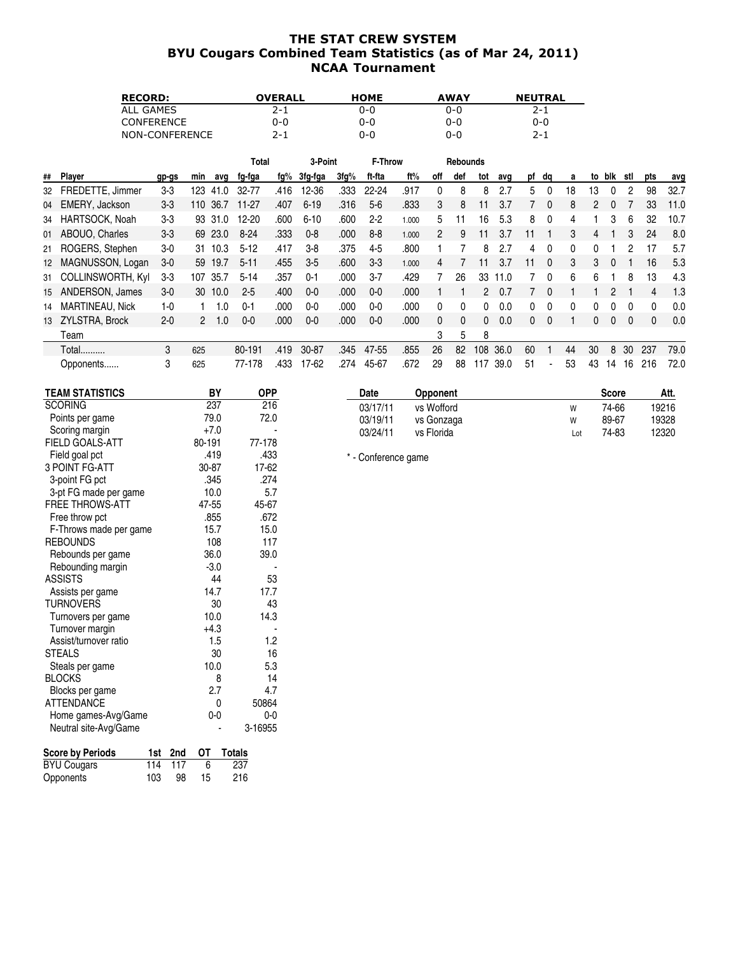## THE STAT CREW SYSTEM BYU Cougars Combined Team Statistics (as of Mar 24, 2011) NCAA Tournament

| <b>RECORD:</b>    | <b>OVERALL</b> | <b>HOME</b> | <b>AWAY</b> | <b>NEUTRAL</b> |
|-------------------|----------------|-------------|-------------|----------------|
| ALL GAMES         | $2 - 1$        | 0-0         | 0-0         | $2 - 1$        |
| <b>CONFERENCE</b> | 0-0            | 0-0         | 0-0         | 0-0            |
| NON-CONFERENCE    | $2 - 1$        | 0-0         | 0-0         | $2 - 1$        |

|    |                      |         |              |         | Total     |      | 3-Point   |      | <b>F-Throw</b> |       |               | Rebounds |     |      |    |              |    |    |     |              |     |      |
|----|----------------------|---------|--------------|---------|-----------|------|-----------|------|----------------|-------|---------------|----------|-----|------|----|--------------|----|----|-----|--------------|-----|------|
| ## | Player               | gp-gs   | min          | avg     | fg-fga    | fg%  | 3fg-fga   | 3fg% | ft-fta         | ft%   | off           | def      | tot | avg  |    | pf dq        | a  | to | blk | stl          | pts | avg  |
| 32 | FREDETTE, Jimmer     | $3 - 3$ | 123          | 41.0    | 32-77     | .416 | $12 - 36$ | .333 | $22 - 24$      | .917  | 0             | 8        | 8   | 2.7  | 5. | 0            | 18 | 13 | 0   | 2            | 98  | 32.7 |
| 04 | EMERY, Jackson       | $3-3$   | 110          | 36.7    | $11-27$   | .407 | $6 - 19$  | .316 | $5-6$          | .833  | 3             | 8        |     | 3.7  |    |              | 8  | 2  |     |              | 33  | 11.0 |
| 34 | HARTSOCK, Noah       | $3-3$   |              | 93 31.0 | $12 - 20$ | .600 | $6 - 10$  | .600 | $2 - 2$        | 1.000 | 5             |          | 16  | 5.3  | 8  | 0            | 4  |    | 3   | 6            | 32  | 10.7 |
|    | 01 ABOUO, Charles    | $3-3$   | 69           | 23.0    | $8 - 24$  | .333 | $0 - 8$   | .000 | $8 - 8$        | 1.000 | $\mathcal{P}$ | 9        |     | 3.7  |    |              | 3  | 4  |     | 3            | 24  | 8.0  |
|    | 21 ROGERS, Stephen   | $3-0$   | 31           | 10.3    | $5-12$    | .417 | $3-8$     | .375 | 4-5            | .800  |               |          | 8   | 2.7  | 4  | 0            | 0  |    |     |              | 17  | 5.7  |
| 12 | MAGNUSSON, Logan     | $3-0$   | 59           | 19.7    | $5 - 11$  | .455 | $3-5$     | .600 | $3-3$          | 1.000 | 4             |          |     | 3.7  | 11 | $\mathbf{0}$ | 3  | 3  |     |              | 16  | 5.3  |
|    | 31 COLLINSWORTH, Kyl | $3-3$   | 107          | 35.7    | $5 - 14$  | .357 | $0 - 1$   | .000 | $3 - 7$        | .429  |               | 26       | 33  | 11.0 |    |              | 6  | 6  |     | 8            | 13  | 4.3  |
|    | 15 ANDERSON, James   | $3-0$   | 30           | 10.0    | $2 - 5$   | .400 | $0 - 0$   | .000 | $0-0$          | .000  |               |          | 2   | 0.7  |    |              |    |    |     |              | 4   | 1.3  |
| 14 | MARTINEAU, Nick      | $1 - 0$ |              | 0.ا     | $0 - 1$   | .000 | $0-0$     | .000 | $0-0$          | .000  | 0             |          | 0   | 0.0  | 0  |              | 0  |    |     |              |     | 0.0  |
| 13 | ZYLSTRA, Brock       | $2 - 0$ | $\mathbf{2}$ | 1.0     | $0 - 0$   | .000 | $0-0$     | .000 | $0-0$          | .000  | $\Omega$      | 0        | 0   | 0.0  | 0  | 0            |    | 0  | 0   | $\mathbf{0}$ | 0   | 0.0  |
|    | Team                 |         |              |         |           |      |           |      |                |       | 3             | 5        | 8   |      |    |              |    |    |     |              |     |      |
|    | Total                | 3       | 625          |         | 80-191    | .419 | 30-87     | .345 | 47-55          | .855  | 26            | 82       | 108 | 36.0 | 60 |              | 44 | 30 | 8   | 30           | 237 | 79.0 |
|    | Opponents            | 3       | 625          |         | 77-178    | .433 | 17-62     | .274 | 45-67          | .672  | 29            | 88       | 117 | 39.0 | 51 |              | 53 | 43 | 14  | 16           | 216 | 72.0 |

| <b>TEAM STATISTICS</b> | BY           | <b>OPP</b> | Date                | Opponent   |     | <b>Score</b> | Att.  |
|------------------------|--------------|------------|---------------------|------------|-----|--------------|-------|
| <b>SCORING</b>         | 237          | 216        | 03/17/11            | vs Wofford | W   | 74-66        | 19216 |
| Points per game        | 79.0         | 72.0       | 03/19/11            | vs Gonzaga | W   | 89-67        | 19328 |
| Scoring margin         | $+7.0$       |            | 03/24/11            | vs Florida | Lot | 74-83        | 12320 |
| FIELD GOALS-ATT        | 80-191       | 77-178     |                     |            |     |              |       |
| Field goal pct         | .419         | .433       | * - Conference game |            |     |              |       |
| 3 POINT FG-ATT         | 30-87        | 17-62      |                     |            |     |              |       |
| 3-point FG pct         | .345         | .274       |                     |            |     |              |       |
| 3-pt FG made per game  | 10.0         | 5.7        |                     |            |     |              |       |
| <b>FREE THROWS-ATT</b> | 47-55        | 45-67      |                     |            |     |              |       |
| Free throw pct         | .855         | .672       |                     |            |     |              |       |
| F-Throws made per game | 15.7         | 15.0       |                     |            |     |              |       |
| <b>REBOUNDS</b>        | 108          | 117        |                     |            |     |              |       |
| Rebounds per game      | 36.0         | 39.0       |                     |            |     |              |       |
| Rebounding margin      | $-3.0$       |            |                     |            |     |              |       |
| <b>ASSISTS</b>         | 44           | 53         |                     |            |     |              |       |
| Assists per game       | 14.7         | 17.7       |                     |            |     |              |       |
| <b>TURNOVERS</b>       | 30           | 43         |                     |            |     |              |       |
| Turnovers per game     | 10.0         | 14.3       |                     |            |     |              |       |
| Turnover margin        | $+4.3$       |            |                     |            |     |              |       |
| Assist/turnover ratio  | 1.5          | 1.2        |                     |            |     |              |       |
| <b>STEALS</b>          | 30           | 16         |                     |            |     |              |       |
| Steals per game        | 10.0         | 5.3        |                     |            |     |              |       |
| <b>BLOCKS</b>          | 8            | 14         |                     |            |     |              |       |
| Blocks per game        | 2.7          | 4.7        |                     |            |     |              |       |
| <b>ATTENDANCE</b>      | $\mathbf{0}$ | 50864      |                     |            |     |              |       |
| Home games-Avg/Game    | $0-0$        | $0-0$      |                     |            |     |              |       |
| Neutral site-Avg/Game  |              | 3-16955    |                     |            |     |              |       |

| <b>Score by Periods</b> |     |         |    | 1st 2nd OT Totals |
|-------------------------|-----|---------|----|-------------------|
| <b>BYU Cougars</b>      |     | 114 117 | 6  | 237               |
| Opponents               | 103 | -98     | 15 | 216               |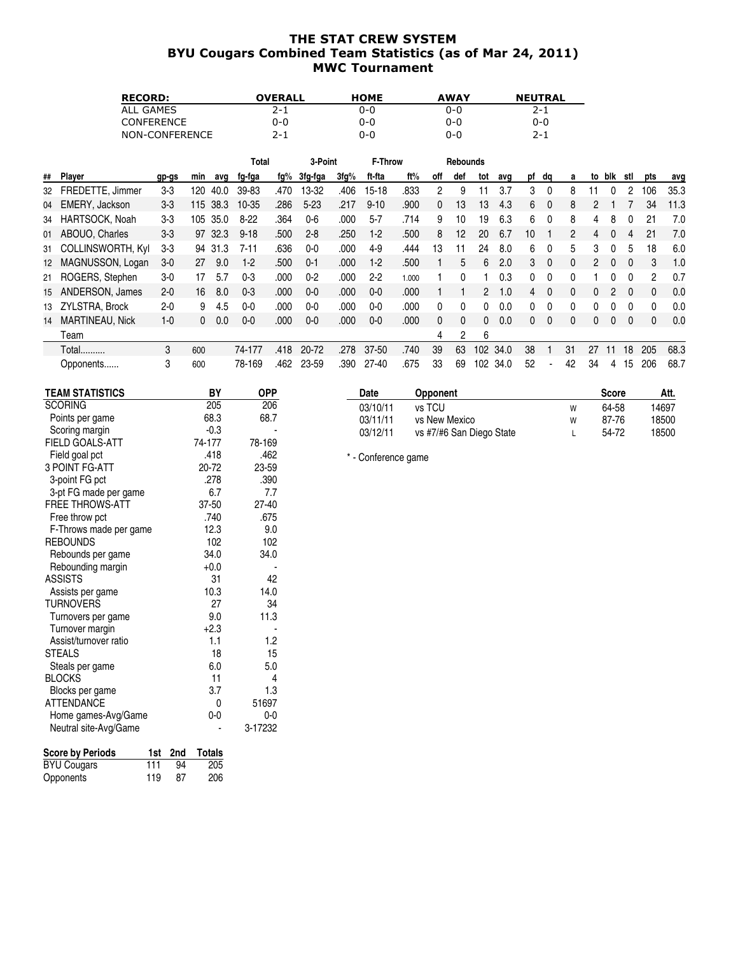### THE STAT CREW SYSTEM BYU Cougars Combined Team Statistics (as of Mar 24, 2011) MWC Tournament

| <b>RECORD:</b>    | <b>OVERALL</b> | <b>HOME</b> | <b>AWAY</b> | <b>NEUTRAL</b> |
|-------------------|----------------|-------------|-------------|----------------|
| ALL GAMES         | $2 - 1$        | 0-0         | 0-0         | $2 - 1$        |
| <b>CONFERENCE</b> | 0-0            | 0-0         | 0-0         | 0-0            |
| NON-CONFERENCE    | $2 - 1$        | 0-0         | 0-0         | $2 - 1$        |

|    |                      |         |          |         | Total     |      | 3-Point        |      | <b>F-Throw</b> |       |     | <b>Rebounds</b> |     |      |    |          |              |    |              |              |          |      |
|----|----------------------|---------|----------|---------|-----------|------|----------------|------|----------------|-------|-----|-----------------|-----|------|----|----------|--------------|----|--------------|--------------|----------|------|
| ## | Player               | gp-gs   | min      | avq     | fg-fga    | fg%  | <u>3fg-fga</u> | 3fg% | ft-fta         | ft%   | off | def             | tot | avg  |    | pf dg    | a            | to | blk          | stl          | pts      | avg  |
| 32 | FREDETTE, Jimmer     | $3 - 3$ | 120      | 40.0    | 39-83     | .470 | 13-32          | .406 | $15 - 18$      | .833  | 2   | 9               |     | 3.7  | 3  | $\Omega$ | 8            | 11 | 0            | 2            | 106      | 35.3 |
| 04 | EMERY, Jackson       | $3-3$   | 115      | 38.3    | $10 - 35$ | .286 | $5 - 23$       | .217 | $9 - 10$       | .900  | 0   | 13              | 13  | 4.3  | 6  | $\Omega$ | 8            | 2  |              |              | 34       | 11.3 |
| 34 | HARTSOCK, Noah       | $3-3$   | 105      | 35.0    | $8-22$    | .364 | $0-6$          | .000 | $5 - 7$        | .714  | 9   | 10              | 19  | 6.3  | 6  | $\Omega$ | 8            | 4  | 8            | 0            | 21       | 7.0  |
|    | 01 ABOUO, Charles    | $3 - 3$ |          | 97 32.3 | $9 - 18$  | .500 | $2 - 8$        | .250 | $1-2$          | .500  | 8   | 12              | 20  | 6.7  | 10 |          | 2            | 4  |              | 4            | 21       | 7.0  |
|    | 31 COLLINSWORTH, Kyl | $3-3$   |          | 94 31.3 | $7 - 11$  | .636 | $0-0$          | .000 | $4-9$          | .444  | 13  | 11              | 24  | 8.0  | 6  | $\Omega$ | 5            | 3  | 0            | 5            | 18       | 6.0  |
| 12 | MAGNUSSON, Logan     | $3-0$   | 27       | 9.0     | $1-2$     | .500 | $0 - 1$        | .000 | $1-2$          | .500  |     | 5               | 6   | 2.0  | 3  | $\Omega$ | 0            | 2  | <sup>0</sup> | $\Omega$     | 3        | 1.0  |
|    | 21 ROGERS, Stephen   | $3-0$   | 17       | 5.7     | $0 - 3$   | .000 | $0 - 2$        | .000 | $2 - 2$        | 1.000 |     |                 |     | 0.3  | 0  | $\Omega$ | 0            |    |              | 0            | 2        | 0.7  |
| 15 | ANDERSON, James      | $2 - 0$ | 16       | 8.0     | $0 - 3$   | .000 | $0-0$          | .000 | $0-0$          | .000  |     |                 | 2   | .0   | 4  | $\Omega$ | 0            | 0  | 2            | $\Omega$     | $\Omega$ | 0.0  |
|    | 13 ZYLSTRA, Brock    | $2 - 0$ | 9        | 4.5     | 0-0       | .000 | $0-0$          | .000 | $0-0$          | .000  | 0   |                 | 0   | 0.0  |    |          | 0            |    |              |              |          | 0.0  |
| 14 | MARTINEAU, Nick      | $1 - 0$ | $\Omega$ | 0.0     | $0-0$     | .000 | $0-0$          | .000 | $0-0$          | .000  | 0   | $\Omega$        | 0   | 0.0  | 0  | $\Omega$ | $\mathbf{0}$ | 0  | $\Omega$     | $\mathbf{0}$ | 0        | 0.0  |
|    | Team                 |         |          |         |           |      |                |      |                |       | 4   | 2               | 6   |      |    |          |              |    |              |              |          |      |
|    | Total                | 3       | 600      |         | 74-177    | .418 | 20-72          | .278 | 37-50          | .740  | 39  | 63              | 102 | 34.0 | 38 |          | 31           | 27 | 11           | 18           | 205      | 68.3 |
|    | Opponents            | 3       | 600      |         | 78-169    | .462 | 23-59          | .390 | $27 - 40$      | .675  | 33  | 69              | 102 | 34.0 | 52 |          | 42           | 34 | 4            | 15           | 206      | 68.7 |

| <b>TEAM STATISTICS</b>         |     | BY            | <b>OPP</b> |  |
|--------------------------------|-----|---------------|------------|--|
| <b>SCORING</b>                 |     | 205           | 206        |  |
| Points per game                |     | 68.3          | 68.7       |  |
| Scoring margin                 |     | -0.3          |            |  |
| <b>FIELD GOALS-ATT</b>         |     | 74-177        | 78-169     |  |
| Field goal pct                 |     | .418          | .462       |  |
| <b>3 POINT FG-ATT</b>          |     | 20-72         | 23-59      |  |
| 3-point FG pct                 |     | .278          | .390       |  |
| 3-pt FG made per game          |     | 6.7           | 7.7        |  |
| FREE THROWS-ATT                |     | 37-50         | 27-40      |  |
| Free throw pct                 |     | .740          | .675       |  |
| F-Throws made per game         |     | 12.3          | 9.0        |  |
| <b>REBOUNDS</b>                |     | 102           | 102        |  |
| Rebounds per game              |     | 34.0          | 34.0       |  |
| Rebounding margin              |     | $+0.0$        |            |  |
| <b>ASSISTS</b>                 |     | 31            | 42         |  |
| Assists per game               |     | 10.3          | 14.0       |  |
| <b>TURNOVERS</b>               |     | 27            | 34         |  |
| Turnovers per game             |     | 9.0           | 11.3       |  |
| Turnover margin                |     | $+2.3$        |            |  |
| Assist/turnover ratio          |     | 1.1           | 1.2        |  |
| <b>STEALS</b>                  |     | 18            | 15         |  |
| Steals per game                |     | 6.0           | 5.0        |  |
| <b>BLOCKS</b>                  |     | 11            | 4          |  |
| Blocks per game                |     | 3.7           | 1.3        |  |
| <b>ATTENDANCE</b>              |     | 0             | 51697      |  |
| Home games-Avg/Game            |     | 0-0           | $0-0$      |  |
| Neutral site-Avg/Game          |     |               | 3-17232    |  |
| <b>Score by Periods</b><br>1st | 2nd | <b>Totals</b> |            |  |

BYU Cougars 111 94 205 Opponents 119 87 206

| Date     | Opponent                 |   | <b>Score</b> | Att.  |
|----------|--------------------------|---|--------------|-------|
| 03/10/11 | vs TCU                   | W | 64-58        | 14697 |
| 03/11/11 | vs New Mexico            | W | 87-76        | 18500 |
| 03/12/11 | vs #7/#6 San Diego State |   | 54-72        | 18500 |
|          |                          |   |              |       |

\* - Conference game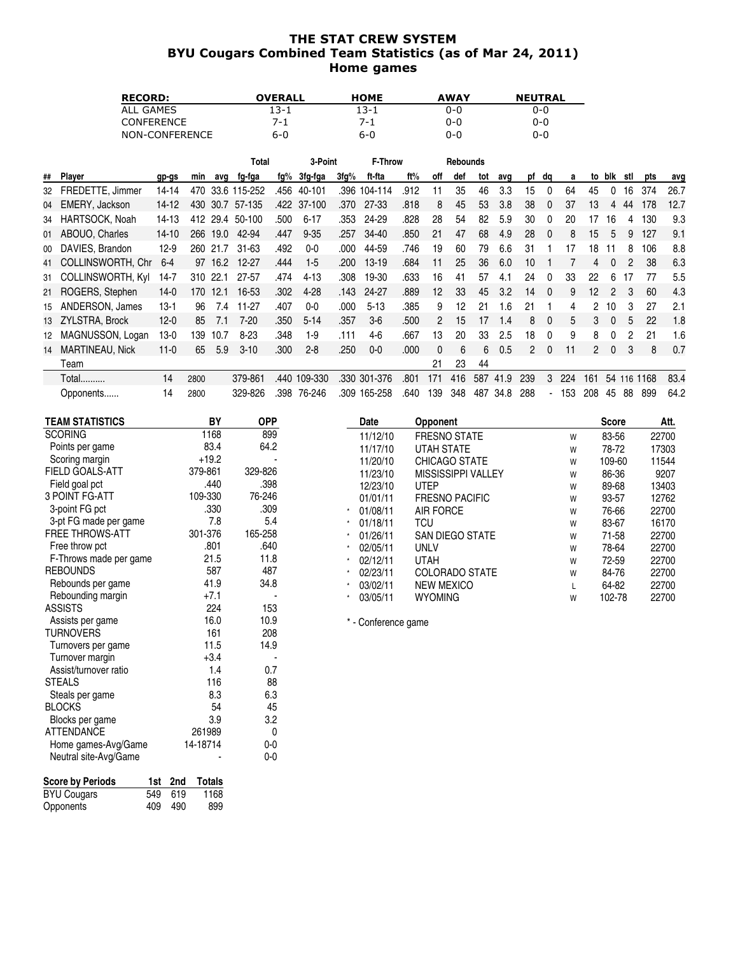### THE STAT CREW SYSTEM BYU Cougars Combined Team Statistics (as of Mar 24, 2011) Home games

| <b>RECORD:</b>    | <b>OVERALL</b> | <b>HOME</b> | <b>AWAY</b> | <b>NEUTRAL</b> |
|-------------------|----------------|-------------|-------------|----------------|
| GAMES<br>ALL      | 13-1           | 13-1        | 0-0         | 0-0            |
| <b>CONFERENCE</b> | 7-1            | 7-1         | 0-0         | 0-0            |
| NON-CONFERENCE    | 6-0            | 6-0         | 0-0         | 0-0            |

|    |                      |           |      |         | Total        |      | 3-Point     |      | F-Throw   |       |     | <b>Rebounds</b> |     |      |     |              |     |                 |          |     |      |      |
|----|----------------------|-----------|------|---------|--------------|------|-------------|------|-----------|-------|-----|-----------------|-----|------|-----|--------------|-----|-----------------|----------|-----|------|------|
| ## | Player               | gp-gs     | min  | avq     | fg-fga       | fg%  | 3fg-fga     | 3fg% | ft-fta    | ft%   | off | def             | tot | avq  | pf  | dq           | a   | to              | blk      | stl | pts  | avg  |
| 32 | FREDETTE, Jimmer     | $14 - 14$ | 470  |         | 33.6 115-252 | .456 | 40-101      | .396 | 104-114   | .912  | 11  | 35              | 46  | 3.3  | 15  | $\Omega$     | 64  | 45              |          | 16  | 374  | 26.7 |
| 04 | EMERY, Jackson       | $14-12$   | 430  |         | 30.7 57-135  |      | .422 37-100 | .370 | 27-33     | .818  | 8   | 45              | 53  | 3.8  | 38  | $\Omega$     | 37  | 13              | 4        | 44  | 178  | 12.7 |
| 34 | HARTSOCK, Noah       | 14-13     | 412  | 29.4    | 50-100       | .500 | $6 - 17$    | .353 | 24-29     | .828  | 28  | 54              | 82  | 5.9  | 30  | $\Omega$     | 20  | 17              | 16       | 4   | 130  | 9.3  |
|    | 01 ABOUO, Charles    | $14 - 10$ | 266  | 19.0    | 42-94        | .447 | $9 - 35$    | .257 | 34-40     | .850  | 21  | 47              | 68  | 4.9  | 28  | $\Omega$     | 8   | 15              | 5        | 9   | 127  | 9.1  |
| 00 | DAVIES, Brandon      | $12-9$    | 260  | 21.7    | $31 - 63$    | .492 | $0-0$       | .000 | 44-59     | .746  | 19  | 60              | 79  | 6.6  | 31  |              | 17  | 18              | 11       | 8   | 106  | 8.8  |
| 41 | COLLINSWORTH, Chr.   | $6 - 4$   |      | 97 16.2 | $12 - 27$    | .444 | $1-5$       | .200 | $13 - 19$ | .684  | 11  | 25              | 36  | 6.0  | 10  |              |     | 4               |          | 2   | 38   | 6.3  |
|    | 31 COLLINSWORTH, Kyl | 14-7      | 310  | 22.1    | 27-57        | .474 | $4 - 13$    | .308 | 19-30     | .633  | 16  | 41              | 57  | 4.1  | 24  | $\Omega$     | 33  | 22              | 6        | 17  | 77   | 5.5  |
|    | 21 ROGERS, Stephen   | $14-0$    | 170  | 12.1    | 16-53        | .302 | $4 - 28$    | .143 | $24 - 27$ | .889  | 12  | 33              | 45  | 3.2  | 14  | $\Omega$     | 9   | 12 <sup>°</sup> | 2        | 3   | 60   | 4.3  |
| 15 | ANDERSON, James      | $13-1$    | 96   | 7.4     | 11-27        | .407 | 0-0         | .000 | $5 - 13$  | .385  | 9   | 12              | 21  | 1.6  | 21  |              | 4   | 2               | 10       | 3   | 27   | 2.1  |
|    | 13 ZYLSTRA, Brock    | $12 - 0$  | 85   | 7.1     | $7 - 20$     | .350 | $5 - 14$    | .357 | $3-6$     | .500  | 2   | 15              | 17  | 1.4  | 8   | $\mathbf{0}$ | 5   | 3               | $\Omega$ | 5   | 22   | 1.8  |
| 12 | MAGNUSSON, Logan     | 13-0      | 139  | 10.7    | $8 - 23$     | .348 | $1-9$       | .111 | $4-6$     | .667  | 13  | 20              | 33  | 2.5  | 18  | $\mathbf{0}$ | 9   | 8               | 0        | 2   | 21   | 1.6  |
| 14 | MARTINEAU, Nick      | $11-0$    | 65   | 5.9     | $3 - 10$     | .300 | $2 - 8$     | .250 | $0-0$     | .000. | 0   | 6               | 6   | 0.5  | 2   | $\Omega$     | 11  | 2               | $\Omega$ | 3   | 8    | 0.7  |
|    | Team                 |           |      |         |              |      |             |      |           |       | 21  | 23              | 44  |      |     |              |     |                 |          |     |      |      |
|    | <b>Total</b>         | 14        | 2800 |         | 379-861      | .440 | 109-330     | .330 | 301-376   | .801  | 171 | 416             | 587 | 41.9 | 239 | 3            | 224 | 161             | 54       | 116 | 1168 | 83.4 |
|    | Opponents            | 14        | 2800 |         | 329-826      | .398 | 76-246      | .309 | 165-258   | .640  | 139 | 348             | 487 | 34.8 | 288 |              | 153 | 208             | 45       | 88  | 899  | 64.2 |

| <b>TEAM STATISTICS</b> | BY      | <b>OPP</b> | Date                | <b>Opponent</b>           |   | <b>Score</b> | Att.  |
|------------------------|---------|------------|---------------------|---------------------------|---|--------------|-------|
| <b>SCORING</b>         | 1168    | 899        | 11/12/10            | <b>FRESNO STATE</b>       | W | 83-56        | 22700 |
| Points per game        | 83.4    | 64.2       | 11/17/10            | <b>UTAH STATE</b>         | W | 78-72        | 17303 |
| Scoring margin         | $+19.2$ |            | 11/20/10            | <b>CHICAGO STATE</b>      | W | 109-60       | 11544 |
| <b>FIELD GOALS-ATT</b> | 379-861 | 329-826    | 11/23/10            | <b>MISSISSIPPI VALLEY</b> | W | 86-36        | 9207  |
| Field goal pct         | .440    | .398       | 12/23/10            | <b>UTEP</b>               | W | 89-68        | 13403 |
| 3 POINT FG-ATT         | 109-330 | 76-246     | 01/01/11            | <b>FRESNO PACIFIC</b>     | W | 93-57        | 12762 |
| 3-point FG pct         | .330    | .309       | 01/08/11            | <b>AIR FORCE</b>          | W | 76-66        | 22700 |
| 3-pt FG made per game  | 7.8     | 5.4        | 01/18/11            | TCU                       | W | 83-67        | 16170 |
| <b>FREE THROWS-ATT</b> | 301-376 | 165-258    | 01/26/11            | <b>SAN DIEGO STATE</b>    | W | 71-58        | 22700 |
| Free throw pct         | .801    | .640       | 02/05/11            | <b>UNLV</b>               | W | 78-64        | 22700 |
| F-Throws made per game | 21.5    | 11.8       | 02/12/11            | <b>UTAH</b>               | W | 72-59        | 22700 |
| <b>REBOUNDS</b>        | 587     | 487        | 02/23/11            | <b>COLORADO STATE</b>     | W | 84-76        | 22700 |
| Rebounds per game      | 41.9    | 34.8       | 03/02/11            | <b>NEW MEXICO</b>         |   | 64-82        | 22700 |
| Rebounding margin      | $+7.1$  |            | 03/05/11            | <b>WYOMING</b>            | W | 102-78       | 22700 |
| <b>ASSISTS</b>         | 224     | 153        |                     |                           |   |              |       |
| Assists per game       | 16.0    | 10.9       | * - Conference game |                           |   |              |       |
| <b>TURNOVERS</b>       | 161     | 208        |                     |                           |   |              |       |
| Turnovers per game     | 11.5    | 14.9       |                     |                           |   |              |       |

| Score by Periods   |     | 1st 2nd | Totals |
|--------------------|-----|---------|--------|
| <b>BYU Cougars</b> |     | 549 619 | 1168   |
| Opponents          | 409 | 490     | 899    |

Neutral site-Avg/Game

Turnover margin Turnover margin the set of the set of the set of the set of the set of the set of the set of the set of the set of the set of the set of the set of the set of the set of the set of the set of the set of the Assist/turnover ratio 1.4 0.7<br>3 116 116 88 STEALS 116 88<br>Steals per game 16.3 6.3 6.3 Steals per game 8.3 6.3 BLOCKS 54 45 Blocks per game  $\begin{array}{ccc} 3.9 & 3.2 \\ 3.7 & 3.3 \end{array}$ ATTENDANCE<br>
ATTENDANCE 261989 0<br>
Home games-Avg/Game 14-18714 0-0 Home games-Avg/Game 14-18714 0-0<br>Neutral site-Avg/Game 14-18714 0-0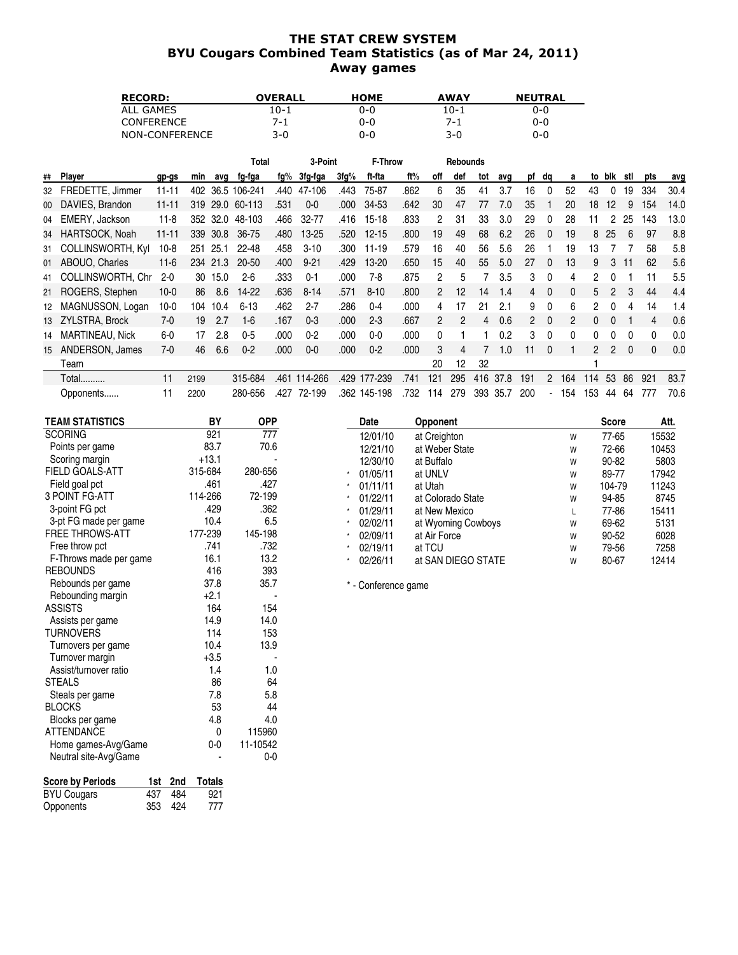#### THE STAT CREW SYSTEM BYU Cougars Combined Team Statistics (as of Mar 24, 2011) Away games

| <b>RECORD:</b>    | OVERALL | <b>HOME</b> | <b>AWAY</b> | <b>NEUTRAL</b> |
|-------------------|---------|-------------|-------------|----------------|
| ALL GAMES         | 10-1    | 0-0         | 10-1        | 0-0            |
| <b>CONFERENCE</b> | 7-1     | 0-0         | 7-1         | 0-0            |
| NON-CONFERENCE    | 3-0     | 0-0         | 3-0         | 0-0            |

|    |                          |           |      |          | Total    |      | 3-Point   |      | <b>F-Throw</b> |      |     | <b>Rebounds</b> |     |      |                |          |     |               |              |     |              |      |
|----|--------------------------|-----------|------|----------|----------|------|-----------|------|----------------|------|-----|-----------------|-----|------|----------------|----------|-----|---------------|--------------|-----|--------------|------|
| ## | Player                   | gp-gs     | min  | avq      | fg-fga   | fg%  | 3fg-fga   | 3fg% | ft-fta         | ft%  | off | def             | tot | avq  | pf             | da       | a   | to            | blk          | stl | pts          | avg  |
| 32 | FREDETTE, Jimmer         | 11-11     | 402  | 36.5     | 106-241  | .440 | 47-106    | .443 | 75-87          | .862 | 6   | 35              | 41  | 3.7  | 16             | $\Omega$ | 52  | 43            |              | 19  | 334          | 30.4 |
| 00 | DAVIES, Brandon          | $11 - 11$ | 319  | 29.0     | 60-113   | .531 | $0-0$     | .000 | 34-53          | .642 | 30  | 47              | 77  | 7.0  | 35             |          | 20  | 18            | $12 \,$      | 9   | 154          | 14.0 |
|    | 04 EMERY, Jackson        | $11 - 8$  |      | 352 32.0 | 48-103   | .466 | 32-77     | .416 | 15-18          | .833 | 2   | 31              | 33  | 3.0  | 29             | $\Omega$ | 28  | 11            | 2            | 25  | 143          | 13.0 |
| 34 | HARTSOCK, Noah           | $11 - 11$ | 339  | 30.8     | 36-75    | .480 | $13 - 25$ | .520 | $12 - 15$      | .800 | 19  | 49              | 68  | 6.2  | 26             | $\Omega$ | 19  | 8             | 25           | 6   | 97           | 8.8  |
| 31 | <b>COLLINSWORTH, Kyl</b> | 10-8      | 251  | 25.1     | 22-48    | .458 | $3 - 10$  | .300 | $11 - 19$      | .579 | 16  | 40              | 56  | 5.6  | 26             |          | 19  | 13            |              |     | 58           | 5.8  |
|    | 01 ABOUO, Charles        | $11-6$    |      | 234 21.3 | 20-50    | .400 | $9 - 21$  | .429 | 13-20          | .650 | 15  | 40              | 55  | 5.0  | 27             | $\Omega$ | 13  | 9             | 3            | 11  | 62           | 5.6  |
| 41 | COLLINSWORTH, Chr.       | $2 - 0$   | 30   | 15.0     | $2 - 6$  | .333 | $0 - 1$   | .000 | 7-8            | .875 | 2   | 5               |     | 3.5  | 3              | 0        | 4   | 2             |              |     | 11           | 5.5  |
|    | 21 ROGERS, Stephen       | $10-0$    | 86   | 8.6      | 14-22    | .636 | $8 - 14$  | .571 | $8 - 10$       | .800 | 2   | 12              | 14  | 1.4  | 4              | $\Omega$ | 0   | 5             |              | 3   | 44           | 4.4  |
| 12 | MAGNUSSON, Logan         | $10-0$    | 104  | 10.4     | $6 - 13$ | .462 | $2 - 7$   | .286 | $0 - 4$        | .000 | 4   | 17              | 21  | 2.1  | 9              | $\Omega$ | 6   | 2             | <sup>0</sup> | 4   | 14           | 1.4  |
|    | 13 ZYLSTRA, Brock        | 7-0       | 19   | 2.7      | $1-6$    | .167 | $0 - 3$   | .000 | $2 - 3$        | .667 | 2   |                 | 4   | 0.6  | $\overline{2}$ | $\Omega$ | 2   | 0             |              |     | 4            | 0.6  |
| 14 | MARTINEAU, Nick          | $6-0$     | 17   | 2.8      | $0-5$    | .000 | $0 - 2$   | .000 | $0-0$          | .000 | 0   |                 |     | 0.2  | 3              | $\Omega$ | 0   | 0             |              | 0   | 0            | 0.0  |
| 15 | ANDERSON, James          | 7-0       | 46   | 6.6      | $0 - 2$  | .000 | $0-0$     | .000 | $0 - 2$        | .000 | 3   | 4               |     | 1.0  | 11             | $\Omega$ |     | $\mathcal{P}$ | 2            | 0   | $\mathbf{0}$ | 0.0  |
|    | Team                     |           |      |          |          |      |           |      |                |      | 20  | 12              | 32  |      |                |          |     |               |              |     |              |      |
|    | Total                    | 11        | 2199 |          | 315-684  | .461 | 114-266   | .429 | 177-239        | 741  | 121 | 295             | 416 | 37.8 | 191            | 2        | 164 | 14            | 53           | 86  | 921          | 83.7 |
|    | Opponents                | 11        | 2200 |          | 280-656  | .427 | 72-199    |      | .362 145-198   | .732 | 114 | 279             | 393 | 35.7 | 200            |          | 154 | 153           | 44           | 64  | 777          | 70.6 |

| TEAM STATISTICS        | BY      | <b>OPP</b> | Date                | <b>Opponent</b>    |   | <b>Score</b> | Att.  |
|------------------------|---------|------------|---------------------|--------------------|---|--------------|-------|
| <b>SCORING</b>         | 921     | 777        | 12/01/10            | at Creighton       | W | 77-65        | 15532 |
| Points per game        | 83.7    | 70.6       | 12/21/10            | at Weber State     | W | 72-66        | 10453 |
| Scoring margin         | $+13.1$ |            | 12/30/10            | at Buffalo         | W | 90-82        | 5803  |
| <b>FIELD GOALS-ATT</b> | 315-684 | 280-656    | 01/05/11            | at UNLV            | W | 89-77        | 17942 |
| Field goal pct         | .461    | .427       | 01/11/11            | at Utah            | W | 104-79       | 11243 |
| 3 POINT FG-ATT         | 114-266 | 72-199     | 01/22/11            | at Colorado State  | W | 94-85        | 8745  |
| 3-point FG pct         | .429    | .362       | 01/29/11            | at New Mexico      | L | 77-86        | 15411 |
| 3-pt FG made per game  | 10.4    | 6.5        | 02/02/11            | at Wyoming Cowboys | W | 69-62        | 5131  |
| <b>FREE THROWS-ATT</b> | 177-239 | 145-198    | 02/09/11            | at Air Force       | W | 90-52        | 6028  |
| Free throw pct         | .741    | .732       | 02/19/11            | at TCU             | W | 79-56        | 7258  |
| F-Throws made per game | 16.1    | 13.2       | 02/26/11            | at SAN DIEGO STATE | W | 80-67        | 12414 |
| <b>REBOUNDS</b>        | 416     | 393        |                     |                    |   |              |       |
| Rebounds per game      | 37.8    | 35.7       | * - Conference game |                    |   |              |       |
| Rebounding margin      | $+2.1$  |            |                     |                    |   |              |       |
| <b>ASSISTS</b>         | 164     | 154        |                     |                    |   |              |       |
| Assists per game       | 14.9    | 14.0       |                     |                    |   |              |       |

| <b>Score by Periods</b> |     |         | 1st 2nd Totals |
|-------------------------|-----|---------|----------------|
| <b>BYU Cougars</b>      | 437 | - 484   | 921            |
| Opponents               |     | 353 424 | 777            |

Neutral site-Avg/Game

Turnovers per game<br>
Turnover margin
10.4<br>
+3.5

Assists per game 14.9 14.0<br>TURNOVERS 114 153 TURNOVERS<br>
Turnovers per game<br>
10.4 13.9

Turnover margin  $+3.5$ <br>Assist/turnover ratio 1.4 1.0 Assist/turnover ratio 1.4 1.0<br>3TEALS 86 64 STEALS 64<br>Steals per game 64<br>7.8 5.8 Steals per game 7.8 5.8 BLOCKS 53 44 Blocks per game<br>ATTENDANCE 15960 ATTENDANCE 0 115960<br>
Home games-Avg/Game 0-0 11-10542 Home games-Avg/Game 0-0 11-10542<br>Neutral site-Avg/Game compared by 0-0 0-0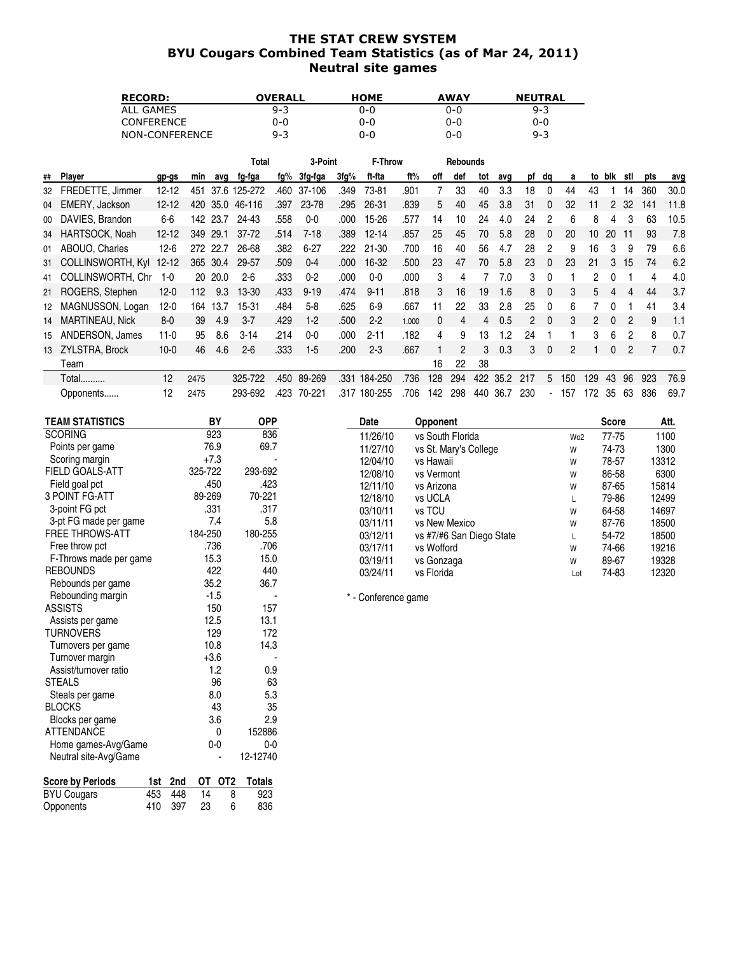### THE STAT CREW SYSTEM BYU Cougars Combined Team Statistics (as of Mar 24, 2011) Neutral site games

| <b>RECORD:</b>    | OVERALL | <b>HOME</b> | <b>AWAY</b> | <b>NEUTRAL</b> |
|-------------------|---------|-------------|-------------|----------------|
| ALL GAMES         | $9 - 3$ | 0-0         | 0-0         | $9 - 3$        |
| <b>CONFERENCE</b> | 0-0     | 0-0         | 0-0         | 0-0            |
| NON-CONFERENCE    | $9 - 3$ | 0-0         | 0-0         | $9 - 3$        |

|    |                          |           |      |          | Total     |      | 3-Point  |      | F-Throw   |       |          | <b>Rebounds</b> |     |      |     |                          |     |     |          |     |     |      |
|----|--------------------------|-----------|------|----------|-----------|------|----------|------|-----------|-------|----------|-----------------|-----|------|-----|--------------------------|-----|-----|----------|-----|-----|------|
| ## | Player                   | gp-gs     | min  | avq      | fg-fga    | fg%  | 3fg-fga  | 3fg% | ft-fta    | ft%   | off      | def             | tot | avq  | рf  | dq                       | a   | to  | blk      | stl | pts | avg  |
| 32 | FREDETTE, Jimmer         | $12 - 12$ | 451  | 37.6     | 125-272   | .460 | 37-106   | .349 | 73-81     | .901  |          | 33              | 40  | 3.3  | 18  | $\Omega$                 | 44  | 43  |          | 14  | 360 | 30.0 |
| 04 | EMERY, Jackson           | $12 - 12$ | 420  | 35.0     | 46-116    | .397 | 23-78    | .295 | 26-31     | .839  | 5        | 40              | 45  | 3.8  | 31  | $\Omega$                 | 32  | 11  |          | 32  | 141 | 11.8 |
| 00 | DAVIES, Brandon          | 6-6       |      | 142 23.7 | 24-43     | .558 | 0-0      | .000 | 15-26     | .577  | 14       | 10              | 24  | 4.0  | 24  |                          | 6   | 8   | 4        | 3   | 63  | 10.5 |
| 34 | HARTSOCK, Noah           | $12 - 12$ | 349  | 29.1     | $37 - 72$ | .514 | 7-18     | .389 | $12 - 14$ | .857  | 25       | 45              | 70  | 5.8  | 28  | $\Omega$                 | 20  | 10  | 20       | 11  | 93  | 7.8  |
| 01 | ABOUO, Charles           | $12-6$    | 272  | 22.7     | 26-68     | .382 | $6 - 27$ | .222 | 21-30     | .700  | 16       | 40              | 56  | 4.7  | 28  |                          | 9   | 16  | 3        | 9   | 79  | 6.6  |
| 31 | <b>COLLINSWORTH, Kyl</b> | $12 - 12$ |      | 365 30.4 | 29-57     | .509 | $0 - 4$  | .000 | 16-32     | .500  | 23       | 47              | 70  | 5.8  | 23  |                          | 23  | 21  | 3        | 15  | 74  | 6.2  |
| 41 | COLLINSWORTH, Chr        | 1-0       | 20   | 20.0     | $2 - 6$   | .333 | $0 - 2$  | .000 | 0-0       | .000  | 3        | 4               |     | 7.0  | 3   |                          |     | 2   |          |     | 4   | 4.0  |
|    | 21 ROGERS, Stephen       | $12 - 0$  | 112  | 9.3      | 13-30     | .433 | $9 - 19$ | .474 | $9 - 11$  | .818  | 3        | 16              | 19  | 1.6  | 8   | $\Omega$                 | 3   | 5   |          | 4   | 44  | 3.7  |
| 12 | MAGNUSSON, Logan         | $12 - 0$  | 164  | 13.7     | $15 - 31$ | .484 | $5 - 8$  | .625 | 6-9       | .667  | 11       | 22              | 33  | 2.8  | 25  | $\Omega$                 | 6   |     | 0        |     | 41  | 3.4  |
| 14 | <b>MARTINEAU, Nick</b>   | $8-0$     | 39   | 4.9      | $3 - 7$   | .429 | $1-2$    | .500 | $2 - 2$   | 1.000 | $\Omega$ | 4               | 4   | 0.5  | 2   | $\Omega$                 | 3   | 2   | $\Omega$ | 2   | 9   | 1.1  |
| 15 | ANDERSON, James          | $11-0$    | 95   | 8.6      | $3 - 14$  | .214 | $0-0$    | .000 | $2 - 11$  | .182  | 4        | 9               | 13  | 1.2  | 24  |                          |     | 3   | 6        | 2   | 8   | 0.7  |
|    | 13 ZYLSTRA, Brock        | $10-0$    | 46   | 4.6      | $2 - 6$   | .333 | $1-5$    | .200 | $2 - 3$   | .667  |          | $\mathcal{P}$   | 3   | 0.3  | 3   | $\Omega$                 | 2   |     | $\Omega$ | 2   |     | 0.7  |
|    | Team                     |           |      |          |           |      |          |      |           |       | 16       | 22              | 38  |      |     |                          |     |     |          |     |     |      |
|    | Total                    | 12        | 2475 |          | 325-722   | .450 | 89-269   | .331 | 184-250   | .736  | 128      | 294             | 422 | 35.2 | 217 | 5                        | 150 | 129 | 43       | 96  | 923 | 76.9 |
|    | Opponents                | 12        | 2475 |          | 293-692   | .423 | 70-221   | .317 | 180-255   | .706  | 142      | 298             | 440 | 36.7 | 230 | $\overline{\phantom{a}}$ | 157 | 172 | 35       | 63  | 836 | 69.7 |

| <b>TEAM STATISTICS</b>  |     |     |         | BY              | <b>OPP</b>    | Da              |
|-------------------------|-----|-----|---------|-----------------|---------------|-----------------|
| <b>SCORING</b>          |     |     | 923     |                 | 836           | 11/             |
| Points per game         |     |     | 76.9    |                 | 69.7          | 11/             |
| Scoring margin          |     |     | $+7.3$  |                 |               | 12/             |
| FIELD GOALS-ATT         |     |     | 325-722 |                 | 293-692       | 12 <sub>l</sub> |
| Field goal pct          |     |     | .450    |                 | .423          | 12 <sub>l</sub> |
| <b>3 POINT FG-ATT</b>   |     |     | 89-269  |                 | 70-221        | 12 <sub>l</sub> |
| 3-point FG pct          |     |     | .331    |                 | .317          | 03/             |
| 3-pt FG made per game   |     |     |         | 7.4             | 5.8           | 03/             |
| <b>FREE THROWS-ATT</b>  |     |     | 184-250 |                 | 180-255       | 03/             |
| Free throw pct          |     |     | .736    |                 | .706          | 03/             |
| F-Throws made per game  |     |     | 15.3    |                 | 15.0          | 03/             |
| <b>REBOUNDS</b>         |     |     | 422     |                 | 440           | 03/             |
| Rebounds per game       |     |     | 35.2    |                 | 36.7          |                 |
| Rebounding margin       |     |     | $-1.5$  |                 |               | $*$ - Cor       |
| <b>ASSISTS</b>          |     |     | 150     |                 | 157           |                 |
| Assists per game        |     |     | 12.5    |                 | 13.1          |                 |
| <b>TURNOVERS</b>        |     |     | 129     |                 | 172           |                 |
| Turnovers per game      |     |     | 10.8    |                 | 14.3          |                 |
| Turnover margin         |     |     | $+3.6$  |                 |               |                 |
| Assist/turnover ratio   |     |     |         | 1.2             | 0.9           |                 |
| <b>STEALS</b>           |     |     |         | 96              | 63            |                 |
| Steals per game         |     |     |         | 8.0             | 5.3           |                 |
| <b>BLOCKS</b>           |     |     |         | 43              | 35            |                 |
| Blocks per game         |     |     |         | 3.6             | 2.9           |                 |
| <b>ATTENDANCE</b>       |     |     |         | 0               | 152886        |                 |
| Home games-Avg/Game     |     |     |         | $0-0$           | $0-0$         |                 |
| Neutral site-Avg/Game   |     |     |         |                 | 12-12740      |                 |
| <b>Score by Periods</b> | 1st | 2nd | OT      | OT <sub>2</sub> | <b>Totals</b> |                 |
| <b>BYU Cougars</b>      | 453 | 448 | 14      | 8               | 923           |                 |
| Opponents               | 410 | 397 | 23      | 6               | 836           |                 |
|                         |     |     |         |                 |               |                 |

| Date     | <b>Opponent</b>          |                 | <b>Score</b> | Att.  |
|----------|--------------------------|-----------------|--------------|-------|
| 11/26/10 | vs South Florida         | Wo <sub>2</sub> | 77-75        | 1100  |
| 11/27/10 | vs St. Mary's College    | W               | 74-73        | 1300  |
| 12/04/10 | vs Hawaii                | W               | 78-57        | 13312 |
| 12/08/10 | vs Vermont               | W               | 86-58        | 6300  |
| 12/11/10 | vs Arizona               | W               | 87-65        | 15814 |
| 12/18/10 | vs UCLA                  | L               | 79-86        | 12499 |
| 03/10/11 | vs TCU                   | W               | 64-58        | 14697 |
| 03/11/11 | vs New Mexico            | W               | 87-76        | 18500 |
| 03/12/11 | vs #7/#6 San Diego State | L               | 54-72        | 18500 |
| 03/17/11 | vs Wofford               | W               | 74-66        | 19216 |
| 03/19/11 | vs Gonzaga               | W               | 89-67        | 19328 |
| 03/24/11 | vs Florida               | Lot             | 74-83        | 12320 |

nference game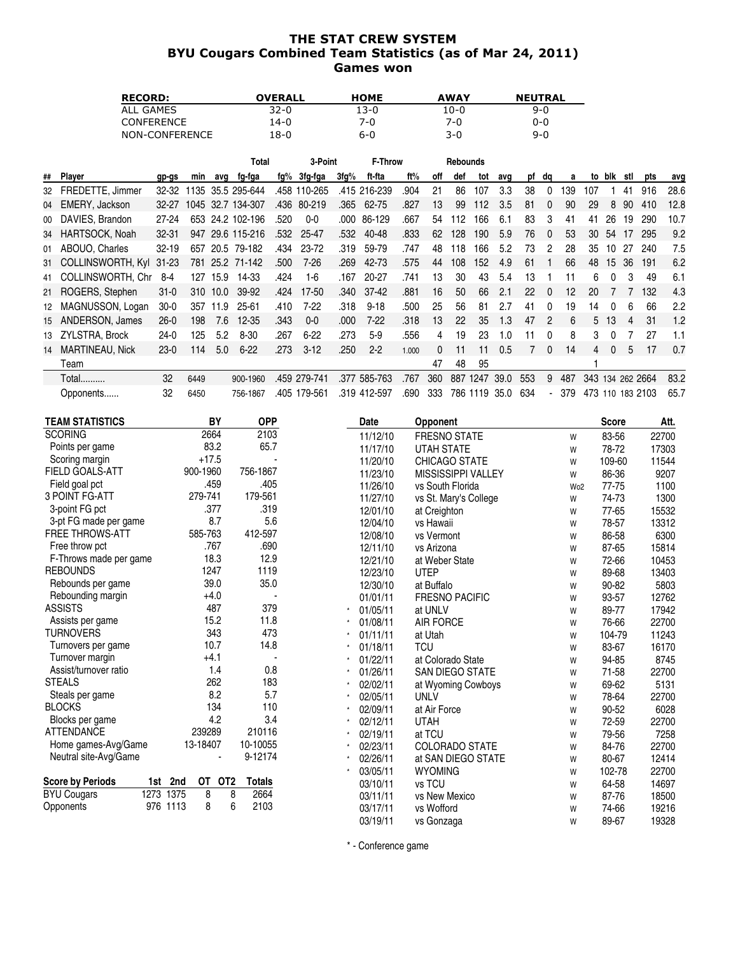## THE STAT CREW SYSTEM BYU Cougars Combined Team Statistics (as of Mar 24, 2011) Games won

| <b>RECORD:</b>    | <b>OVERALL</b> | <b>HOME</b> | <b>AWAY</b> | <b>NEUTRAL</b> |
|-------------------|----------------|-------------|-------------|----------------|
| ALL GAMES         | $32-0$         | 13-0        | 10-0        | $9 - 0$        |
| <b>CONFERENCE</b> | 14-0           | 7-0         | 7-በ         | 0-0            |
| NON-CONFERENCE    | 18-0           | 6-0         | 3-0         | 9-0            |

|    |                       |           |      |          | Total             |      | 3-Point      |      | F-Throw      |       |     | <b>Rebounds</b> |          |      |     |                          |     |                  |              |     |          |      |
|----|-----------------------|-----------|------|----------|-------------------|------|--------------|------|--------------|-------|-----|-----------------|----------|------|-----|--------------------------|-----|------------------|--------------|-----|----------|------|
| ## | Player                | gp-gs     | min  | avq      | fg-fga            | fg%  | 3fg-fga      | 3fg% | ft-fta       | ft%   | off | def             | tot      | avq  | рf  | da                       | a   | to               | blk          | stl | pts      | avg  |
| 32 | FREDETTE, Jimmer      | 32-32     | 135  |          | 35.5 295-644      |      | .458 110-265 |      | .415 216-239 | .904  | 21  | 86              | 107      | 3.3  | 38  |                          | 39  | 107              |              | 41  | 916      | 28.6 |
| 04 | EMERY, Jackson        | $32 - 27$ |      |          | 1045 32.7 134-307 | .436 | 80-219       | .365 | 62-75        | .827  | 13  | 99              | 112      | 3.5  | 81  | $\Omega$                 | 90  | 29               | 8            | 90  | 410      | 12.8 |
| 00 | DAVIES, Brandon       | 27-24     |      |          | 653 24.2 102-196  | .520 | $0 - 0$      | .000 | 86-129       | .667  | 54  | 112             | 166      | 6.1  | 83  | 3                        | 41  | 41               | 26           | 19  | 290      | 10.7 |
| 34 | HARTSOCK, Noah        | $32 - 31$ | 947  |          | 29.6 115-216      | .532 | 25-47        | .532 | 40-48        | .833  | 62  | 128             | 190      | 5.9  | 76  | $\Omega$                 | 53  | 30               | -54          | 17  | 295      | 9.2  |
| 01 | ABOUO, Charles        | $32 - 19$ | 657  |          | 20.5 79-182       | .434 | 23-72        | .319 | 59-79        | .747  | 48  | 118             | 166      | 5.2  | 73  | 2                        | 28  | 35               | 10           | 27  | 240      | 7.5  |
| 31 | COLLINSWORTH, Kyl     | $31 - 23$ | 781  |          | 25.2 71-142       | .500 | $7 - 26$     | .269 | 42-73        | .575  | 44  | 108             | 152      | 4.9  | 61  |                          | 66  | 48               | 15           | 36  | 191      | 6.2  |
|    | 41 COLLINSWORTH, Chr. | 8-4       | 127  | 15.9     | 14-33             | .424 | 1-6          | .167 | 20-27        | .741  | 13  | 30              | 43       | 5.4  | 13  |                          |     | 6                | 0            | 3   | 49       | 6.1  |
|    | 21 ROGERS, Stephen    | $31 - 0$  |      | 310 10.0 | 39-92             | .424 | 17-50        | .340 | $37 - 42$    | .881  | 16  | 50              | 66       | 2.1  | 22  | $\Omega$                 | 12  | 20               |              |     | 132      | 4.3  |
| 12 | MAGNUSSON, Logan      | $30-0$    | 357  | 11.9     | $25 - 61$         | .410 | $7-22$       | .318 | $9 - 18$     | .500  | 25  | 56              | 81       | 2.7  | 41  | $\Omega$                 | 19  | 14               | <sup>0</sup> | 6   | 66       | 2.2  |
| 15 | ANDERSON, James       | $26-0$    | 198  | 7.6      | $12 - 35$         | .343 | $0 - 0$      | .000 | $7-22$       | .318  | 13  | 22              | 35       | 1.3  | 47  | 2                        | 6   | 5                | 13           | 4   | 31       | 1.2  |
|    | 13 ZYLSTRA, Brock     | $24-0$    | 125  | 5.2      | 8-30              | .267 | $6 - 22$     | .273 | $5-9$        | .556  | 4   | 19              | 23       | 1.0  | 11  | $\Omega$                 | 8   | 3                |              |     | 27       | 1.1  |
| 14 | MARTINEAU, Nick       | $23-0$    | 114  | 5.0      | $6 - 22$          | .273 | $3 - 12$     | .250 | $2 - 2$      | 1.000 | 0   | 11              | 11       | 0.5  |     | $\Omega$                 | 14  | 4                | 0            | 5   | 17       | 0.7  |
|    | Team                  |           |      |          |                   |      |              |      |              |       | 47  | 48              | 95       |      |     |                          |     |                  |              |     |          |      |
|    | <b>Total</b>          | 32        | 6449 |          | 900-1960          | .459 | 279-741      | .377 | 585-763      | .767  | 360 | 887             | 1247     | 39.0 | 553 | 9                        | 487 | 343              | 134          |     | 262 2664 | 83.2 |
|    | Opponents             | 32        | 6450 |          | 756-1867          |      | .405 179-561 |      | .319 412-597 | .690  | 333 |                 | 786 1119 | 35.0 | 634 | $\overline{\phantom{a}}$ | 379 | 473 110 183 2103 |              |     |          | 65.7 |

| <b>TEAM STATISTICS</b>  |            |          | BY      |                 | <b>OPP</b>    | Date     | <b>Opponent</b>           |                 | <b>Score</b> | Att.  |
|-------------------------|------------|----------|---------|-----------------|---------------|----------|---------------------------|-----------------|--------------|-------|
| <b>SCORING</b>          |            |          | 2664    |                 | 2103          | 11/12/10 | <b>FRESNO STATE</b>       | W               | 83-56        | 22700 |
| Points per game         |            |          | 83.2    |                 | 65.7          | 11/17/10 | <b>UTAH STATE</b>         | W               | 78-72        | 17303 |
| Scoring margin          |            |          | $+17.5$ |                 |               | 11/20/10 | <b>CHICAGO STATE</b>      | W               | 109-60       | 11544 |
| <b>FIELD GOALS-ATT</b>  |            | 900-1960 |         |                 | 756-1867      | 11/23/10 | <b>MISSISSIPPI VALLEY</b> | W               | 86-36        | 9207  |
| Field goal pct          |            |          | .459    |                 | .405          | 11/26/10 | vs South Florida          | Wo <sub>2</sub> | 77-75        | 1100  |
| <b>3 POINT FG-ATT</b>   |            | 279-741  |         |                 | 179-561       | 11/27/10 | vs St. Mary's College     | W               | 74-73        | 1300  |
| 3-point FG pct          |            |          | .377    |                 | .319          | 12/01/10 | at Creighton              | W               | 77-65        | 15532 |
| 3-pt FG made per game   |            |          | 8.7     |                 | 5.6           | 12/04/10 | vs Hawaii                 | W               | 78-57        | 13312 |
| <b>FREE THROWS-ATT</b>  |            | 585-763  |         |                 | 412-597       | 12/08/10 | vs Vermont                | W               | 86-58        | 6300  |
| Free throw pct          |            |          | .767    |                 | .690          | 12/11/10 | vs Arizona                | W               | 87-65        | 15814 |
| F-Throws made per game  |            |          | 18.3    |                 | 12.9          | 12/21/10 | at Weber State            | W               | 72-66        | 10453 |
| <b>REBOUNDS</b>         |            |          | 1247    |                 | 1119          | 12/23/10 | <b>UTEP</b>               | W               | 89-68        | 13403 |
| Rebounds per game       |            |          | 39.0    |                 | 35.0          | 12/30/10 | at Buffalo                | W               | 90-82        | 5803  |
| Rebounding margin       |            |          | $+4.0$  |                 |               | 01/01/11 | <b>FRESNO PACIFIC</b>     | W               | 93-57        | 12762 |
| <b>ASSISTS</b>          |            |          | 487     |                 | 379           | 01/05/11 | at UNLV                   | W               | 89-77        | 17942 |
| Assists per game        |            |          | 15.2    |                 | 11.8          | 01/08/11 | <b>AIR FORCE</b>          | W               | 76-66        | 22700 |
| <b>TURNOVERS</b>        |            |          | 343     |                 | 473           | 01/11/11 | at Utah                   | W               | 104-79       | 11243 |
| Turnovers per game      |            |          | 10.7    |                 | 14.8          | 01/18/11 | <b>TCU</b>                | W               | 83-67        | 16170 |
| Turnover margin         |            |          | $+4.1$  |                 |               | 01/22/11 | at Colorado State         | W               | 94-85        | 8745  |
| Assist/turnover ratio   |            |          | 1.4     |                 | 0.8           | 01/26/11 | <b>SAN DIEGO STATE</b>    | W               | 71-58        | 22700 |
| <b>STEALS</b>           |            |          | 262     |                 | 183           | 02/02/11 | at Wyoming Cowboys        | W               | 69-62        | 5131  |
| Steals per game         |            |          | 8.2     |                 | 5.7           | 02/05/11 | <b>UNLV</b>               | W               | 78-64        | 22700 |
| <b>BLOCKS</b>           |            |          | 134     |                 | 110           | 02/09/11 | at Air Force              | W               | 90-52        | 6028  |
| Blocks per game         |            |          | 4.2     |                 | 3.4           | 02/12/11 | <b>UTAH</b>               | W               | 72-59        | 22700 |
| <b>ATTENDANCE</b>       |            | 239289   |         |                 | 210116        | 02/19/11 | at TCU                    | W               | 79-56        | 7258  |
| Home games-Avg/Game     |            | 13-18407 |         |                 | 10-10055      | 02/23/11 | <b>COLORADO STATE</b>     | W               | 84-76        | 22700 |
| Neutral site-Avg/Game   |            |          |         |                 | 9-12174       | 02/26/11 | at SAN DIEGO STATE        | W               | 80-67        | 12414 |
|                         |            |          |         |                 |               | 03/05/11 | <b>WYOMING</b>            | W               | 102-78       | 22700 |
| <b>Score by Periods</b> | 2nd<br>1st |          | OT      | OT <sub>2</sub> | <b>Totals</b> | 03/10/11 | vs TCU                    | W               | 64-58        | 14697 |
| <b>BYU Cougars</b>      | 1273 1375  |          | 8       | 8               | 2664          | 03/11/11 | vs New Mexico             | W               | 87-76        | 18500 |
| Opponents               | 976 1113   |          | 8       | 6               | 2103          | 03/17/11 | vs Wofford                | W               | 74-66        | 19216 |
|                         |            |          |         |                 |               | 03/19/11 | vs Gonzaga                | W               | 89-67        | 19328 |

\* - Conference game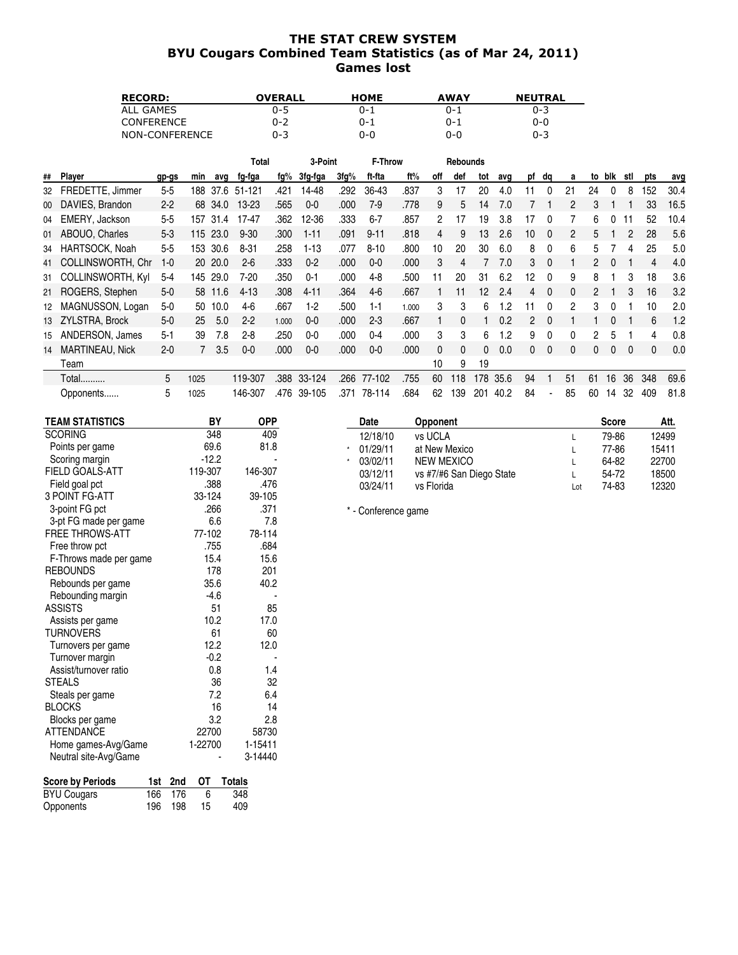## THE STAT CREW SYSTEM BYU Cougars Combined Team Statistics (as of Mar 24, 2011) Games lost

| <b>RECORD:</b>    | <b>OVERALL</b> | <b>HOME</b> | <b>AWAY</b> | <b>NEUTRAL</b> |
|-------------------|----------------|-------------|-------------|----------------|
| ALL GAMES         | 0-5            | 0-1         | ი-1         | 0-3            |
| <b>CONFERENCE</b> | $0 - 2$        | 0-1         | 0-1         | 0-0            |
| NON-CONFERENCE    | 0-3            | 0-0         | 0-0         | $0 - 3$        |

|    |                          |         |      |         | Total    |       | 3-Point  |      | F-Throw  |       |              | <b>Rebounds</b> |     |      |    |              |    |    |     |     |     |      |
|----|--------------------------|---------|------|---------|----------|-------|----------|------|----------|-------|--------------|-----------------|-----|------|----|--------------|----|----|-----|-----|-----|------|
| ## | Player                   | gp-gs   | min  | avq     | fg-fga   | fg%   | 3fg-fga  | 3fg% | ft-fta   | ft%   | off          | def             | tot | avg  | pf | da           | a  | to | blk | stl | pts | avg  |
| 32 | FREDETTE, Jimmer         | $5 - 5$ | 188  | 37.6    | 51-121   | .421  | 14-48    | .292 | 36-43    | .837  | 3            |                 | 20  | 4.0  |    |              | 21 | 24 |     | 8   | 152 | 30.4 |
| 00 | DAVIES, Brandon          | $2 - 2$ | 68   | 34.0    | 13-23    | .565  | $0-0$    | .000 | $7-9$    | .778  | 9            | 5               | 14  | 7.0  |    |              | 2  | 3  |     |     | 33  | 16.5 |
| 04 | EMERY, Jackson           | $5 - 5$ | 157  | 31.4    | 17-47    | .362  | 12-36    | .333 | $6 - 7$  | .857  | 2            | 17              | 19  | 3.8  | 17 |              |    | 6  |     |     | 52  | 10.4 |
|    | 01 ABOUO, Charles        | $5 - 3$ | 115  | 23.0    | $9 - 30$ | .300  | $1 - 11$ | .091 | $9 - 11$ | .818  | 4            | 9               | 13  | 2.6  | 10 | 0            | 2  | 5  |     |     | 28  | 5.6  |
| 34 | HARTSOCK, Noah           | $5-5$   | 153  | 30.6    | $8 - 31$ | .258  | $1-13$   | .077 | $8 - 10$ | .800  | 10           | 20              | 30  | 6.0  | 8  | $\Omega$     | 6  | 5. |     | 4   | 25  | 5.0  |
| 41 | <b>COLLINSWORTH, Chr</b> | $1 - 0$ |      | 20 20.0 | $2 - 6$  | .333  | $0 - 2$  | .000 | $0 - 0$  | .000  | 3            |                 |     | 7.0  | 3  | $\Omega$     |    | 2  |     |     | 4   | 4.0  |
| 31 | <b>COLLINSWORTH, Kyl</b> | $5 - 4$ | 145  | 29.0    | $7 - 20$ | .350  | $0 - 1$  | .000 | $4 - 8$  | .500  | 11           | 20              | 31  | 6.2  | 12 | 0            | 9  | 8  |     | 3   | 18  | 3.6  |
|    | 21 ROGERS, Stephen       | $5-0$   | 58   | 11.6    | $4 - 13$ | .308  | $4 - 11$ | .364 | $4-6$    | .667  |              | 11              | 12  | 2.4  | 4  | $\mathbf{0}$ | 0  | 2  |     | 3   | 16  | 3.2  |
| 12 | MAGNUSSON, Logan         | $5-0$   | 50   | 10.0    | 4-6      | .667  | $1-2$    | .500 | $1 - 1$  | 1.000 | 3            | 3               | 6   | 1.2  | ۱1 | 0            | 2  | 3  |     |     | 10  | 2.0  |
|    | 13 ZYLSTRA, Brock        | $5-0$   | 25   | 5.0     | $2 - 2$  | 1.000 | $0-0$    | .000 | $2 - 3$  | .667  |              | 0               |     | 0.2  | 2  | $\Omega$     |    |    | 0   |     | 6   | 1.2  |
| 15 | ANDERSON, James          | $5 - 1$ | 39   | 7.8     | $2 - 8$  | .250  | $0-0$    | .000 | $0 - 4$  | .000  | 3            | 3               | 6   | 1.2  | 9  | 0            | 0  | 2  | 5   |     | 4   | 0.8  |
| 14 | <b>MARTINEAU, Nick</b>   | $2 - 0$ |      | 3.5     | $0 - 0$  | .000  | 0-0      | .000 | $0 - 0$  | .000  | $\mathbf{0}$ |                 | 0   | 0.0  | 0  | 0            | 0  | 0  |     | 0   | 0   | 0.0  |
|    | Team                     |         |      |         |          |       |          |      |          |       | 10           | 9               | 19  |      |    |              |    |    |     |     |     |      |
|    | Total                    | 5       | 1025 |         | 119-307  | .388  | 33-124   | .266 | 77-102   | .755  | 60           | 118             | 178 | 35.6 | 94 |              | 51 | 61 | 16  | 36  | 348 | 69.6 |
|    | Opponents                | 5       | 1025 |         | 146-307  | .476  | 39-105   | .371 | 78-114   | .684  | 62           | 139             | 201 | 40.2 | 84 | ٠            | 85 | 60 | 14  | 32  | 409 | 81.8 |

| <b>TEAM STATISTICS</b> | BY      | <b>OPP</b> |         | <b>Date</b>         | <b>Opponent</b>          |     | <b>Score</b> | Att.  |
|------------------------|---------|------------|---------|---------------------|--------------------------|-----|--------------|-------|
| <b>SCORING</b>         | 348     | 409        |         | 12/18/10            | vs UCLA                  | L   | 79-86        | 12499 |
| Points per game        | 69.6    | 81.8       | $\star$ | 01/29/11            | at New Mexico            |     | 77-86        | 15411 |
| Scoring margin         | $-12.2$ |            |         | 03/02/11            | <b>NEW MEXICO</b>        |     | 64-82        | 22700 |
| <b>FIELD GOALS-ATT</b> | 119-307 | 146-307    |         | 03/12/11            | vs #7/#6 San Diego State |     | 54-72        | 18500 |
| Field goal pct         | .388    | .476       |         | 03/24/11            | vs Florida               | Lot | 74-83        | 12320 |
| 3 POINT FG-ATT         | 33-124  | 39-105     |         |                     |                          |     |              |       |
| 3-point FG pct         | .266    | .371       |         | * - Conference game |                          |     |              |       |
| 3-pt FG made per game  | 6.6     | 7.8        |         |                     |                          |     |              |       |
| FREE THROWS-ATT        | 77-102  | 78-114     |         |                     |                          |     |              |       |
| Free throw pct         | .755    | .684       |         |                     |                          |     |              |       |
| F-Throws made per game | 15.4    | 15.6       |         |                     |                          |     |              |       |
| <b>REBOUNDS</b>        | 178     | 201        |         |                     |                          |     |              |       |
| Rebounds per game      | 35.6    | 40.2       |         |                     |                          |     |              |       |
| Rebounding margin      | $-4.6$  |            |         |                     |                          |     |              |       |
| <b>ASSISTS</b>         | 51      | 85         |         |                     |                          |     |              |       |
| Assists per game       | 10.2    | 17.0       |         |                     |                          |     |              |       |
| <b>TURNOVERS</b>       | 61      | 60         |         |                     |                          |     |              |       |
| Turnovers per game     | 12.2    | 12.0       |         |                     |                          |     |              |       |
| Turnover margin        | $-0.2$  |            |         |                     |                          |     |              |       |
| Assist/turnover ratio  | 0.8     | 1.4        |         |                     |                          |     |              |       |
| <b>STEALS</b>          | 36      | 32         |         |                     |                          |     |              |       |
| Steals per game        | 7.2     | 6.4        |         |                     |                          |     |              |       |
| <b>BLOCKS</b>          | 16      | 14         |         |                     |                          |     |              |       |
| Blocks per game        | 3.2     | 2.8        |         |                     |                          |     |              |       |
| <b>ATTENDANCE</b>      | 22700   | 58730      |         |                     |                          |     |              |       |
| Home games-Avg/Game    | 1-22700 | 1-15411    |         |                     |                          |     |              |       |
| Neutral site-Avg/Game  |         | 3-14440    |         |                     |                          |     |              |       |

| <b>Score by Periods</b> |         |    | 1st 2nd OT Totals |
|-------------------------|---------|----|-------------------|
| <b>BYU Cougars</b>      | 166 176 |    | 348               |
| Opponents               | 196 198 | 15 | 409               |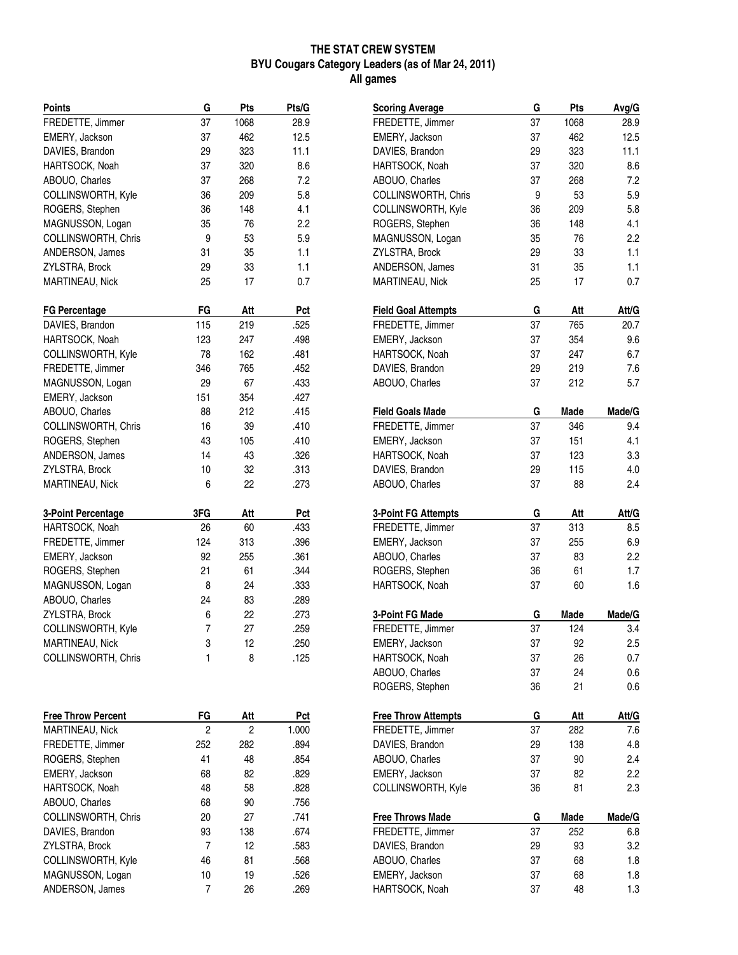#### **THE STAT CREW SYSTEM BYU Cougars Category Leaders (as of Mar 24, 2011) All games**

| <b>Points</b>                          | G        | Pts      | Pts/G        |
|----------------------------------------|----------|----------|--------------|
| FREDETTE, Jimmer                       | 37       | 1068     | 28.9         |
| EMERY, Jackson                         | 37       | 462      | 12.5         |
| DAVIES, Brandon                        | 29       | 323      | 11.1         |
| HARTSOCK, Noah                         | 37       | 320      | 8.6          |
| ABOUO, Charles                         | 37       | 268      | 7.2          |
| COLLINSWORTH, Kyle                     | 36       | 209      | 5.8          |
| ROGERS, Stephen                        | 36       | 148      | 4.1          |
| MAGNUSSON, Logan                       | 35       | 76       | 2.2          |
| COLLINSWORTH, Chris                    | 9        | 53       | 5.9          |
| ANDERSON, James                        | 31       | 35       | 1.1          |
| ZYLSTRA, Brock                         | 29       | 33       | 1.1          |
| MARTINEAU, Nick                        | 25       | 17       | 0.7          |
| <b>FG Percentage</b>                   | FG       | Att      | Pct          |
| DAVIES, Brandon                        | 115      | 219      | .525         |
| HARTSOCK, Noah                         | 123      | 247      | .498         |
| COLLINSWORTH, Kyle                     | 78       | 162      | .481         |
| FREDETTE, Jimmer                       | 346      | 765      | .452         |
| MAGNUSSON, Logan                       | 29       | 67       | .433         |
| EMERY, Jackson                         | 151      | 354      | .427         |
| ABOUO, Charles                         | 88       | 212      | .415         |
| COLLINSWORTH, Chris                    | 16       | 39       | .410         |
| ROGERS, Stephen                        | 43       | 105      | .410         |
| ANDERSON, James                        | 14       | 43       | .326         |
|                                        |          |          |              |
| ZYLSTRA, Brock<br>MARTINEAU, Nick      | 10<br>6  | 32<br>22 | .313<br>.273 |
|                                        |          |          |              |
|                                        |          |          |              |
| <b>3-Point Percentage</b>              | 3FG      | Att      | Pct          |
| HARTSOCK, Noah                         | 26       | 60       | .433         |
| FREDETTE, Jimmer                       | 124      | 313      | .396         |
| EMERY, Jackson                         | 92       | 255      | .361         |
| ROGERS, Stephen                        | 21       | 61       | .344         |
| MAGNUSSON, Logan                       | 8        | 24       | .333         |
| ABOUO, Charles                         | 24       | 83       | .289         |
| ZYLSTRA, Brock                         | 6        | 22       | .273         |
| COLLINSWORTH, Kyle                     | 7        | 27       | .259         |
| MARTINEAU, Nick                        | 3        | 12       | .250         |
| COLLINSWORTH, Chris                    | 1        | 8        | .125         |
|                                        |          |          |              |
| <b>Free Throw Percent</b>              | FG       | Att      | Pct          |
| MARTINEAU, Nick                        | 2        | 2        | 1.000        |
| FREDETTE, Jimmer                       | 252      | 282      | .894         |
|                                        | 41       | 48       | .854         |
| ROGERS, Stephen                        | 68       | 82       | .829         |
| EMERY, Jackson                         |          |          |              |
| HARTSOCK, Noah                         | 48       | 58       | .828         |
| ABOUO, Charles                         | 68<br>20 | 90<br>27 | .756         |
| COLLINSWORTH, Chris                    | 93       |          | .741         |
| DAVIES, Brandon                        | 7        | 138      | .674         |
| ZYLSTRA, Brock                         |          | 12       | .583         |
| COLLINSWORTH, Kyle<br>MAGNUSSON, Logan | 46<br>10 | 81<br>19 | .568<br>.526 |

| <b>Scoring Average</b>               | G        | Pts      | Avg/G      |
|--------------------------------------|----------|----------|------------|
| FREDETTE, Jimmer                     | 37       | 1068     | 28.9       |
| EMERY, Jackson                       | 37       | 462      | 12.5       |
| DAVIES, Brandon                      | 29       | 323      | 11.1       |
| HARTSOCK, Noah                       | 37       | 320      | 8.6        |
| ABOUO, Charles                       | 37       | 268      | 7.2        |
| COLLINSWORTH, Chris                  | 9        | 53       | 5.9        |
| COLLINSWORTH, Kyle                   | 36       | 209      | 5.8        |
| ROGERS, Stephen                      | 36       | 148      | 4.1        |
| MAGNUSSON, Logan                     | 35       | 76       | 2.2        |
| ZYLSTRA, Brock                       | 29       | 33       | 1.1        |
| ANDERSON, James                      | 31       | 35       | 1.1        |
| MARTINEAU, Nick                      | 25       | 17       | 0.7        |
| <b>Field Goal Attempts</b>           | G        | Att      | Att/G      |
| FREDETTE, Jimmer                     | 37       | 765      | 20.7       |
| EMERY, Jackson                       | 37       | 354      | 9.6        |
| HARTSOCK, Noah                       | 37       | 247      | 6.7        |
| DAVIES, Brandon                      | 29       | 219      | 7.6        |
| ABOUO, Charles                       | 37       | 212      | 5.7        |
| <b>Field Goals Made</b>              | G        | Made     | Made/G     |
| FREDETTE, Jimmer                     | 37       | 346      | 9.4        |
| EMERY, Jackson                       | 37       | 151      | 4.1        |
| HARTSOCK, Noah                       | 37       | 123      | 3.3        |
| DAVIES, Brandon                      | 29       | 115      | 4.0        |
| ABOUO, Charles                       | 37       | 88       | 2.4        |
|                                      |          |          |            |
| <b>3-Point FG Attempts</b>           | G        | Att      | Att/G      |
| FREDETTE, Jimmer                     | 37       | 313      | 8.5        |
| EMERY, Jackson                       | 37       | 255      | 6.9        |
| ABOUO, Charles                       | 37       | 83       | 2.2        |
| ROGERS, Stephen                      | 36       | 61       | 1.7        |
| HARTSOCK, Noah                       | 37       | 60       | 1.6        |
|                                      |          |          |            |
| 3-Point FG Made                      | G        | Made     | Made/G     |
| FREDETTE, Jimmer                     | 37       | 124      | 3.4        |
|                                      |          |          |            |
| EMERY, Jackson                       | 37       | 92       | 2.5<br>0.7 |
| HARTSOCK, Noah                       | 37       | 26       |            |
| ABOUO, Charles<br>ROGERS, Stephen    | 37<br>36 | 24<br>21 | 0.6<br>0.6 |
|                                      | G        |          |            |
| <b>Free Throw Attempts</b>           |          | Att      | Att/G      |
| FREDETTE, Jimmer                     | 37       | 282      | 7.6        |
| DAVIES, Brandon                      | 29       | 138      | 4.8        |
| ABOUO, Charles                       | 37       | 90       | 2.4        |
| EMERY, Jackson<br>COLLINSWORTH, Kyle | 37<br>36 | 82<br>81 | 2.2<br>2.3 |
|                                      |          |          |            |
| <b>Free Throws Made</b>              | G        | Made     | Made/G     |
| FREDETTE, Jimmer                     | 37       | 252      | 6.8        |
| DAVIES, Brandon                      | 29       | 93       | 3.2        |
| ABOUO, Charles                       | 37       | 68       | 1.8        |
| EMERY, Jackson<br>HARTSOCK, Noah     | 37<br>37 | 68<br>48 | 1.8<br>1.3 |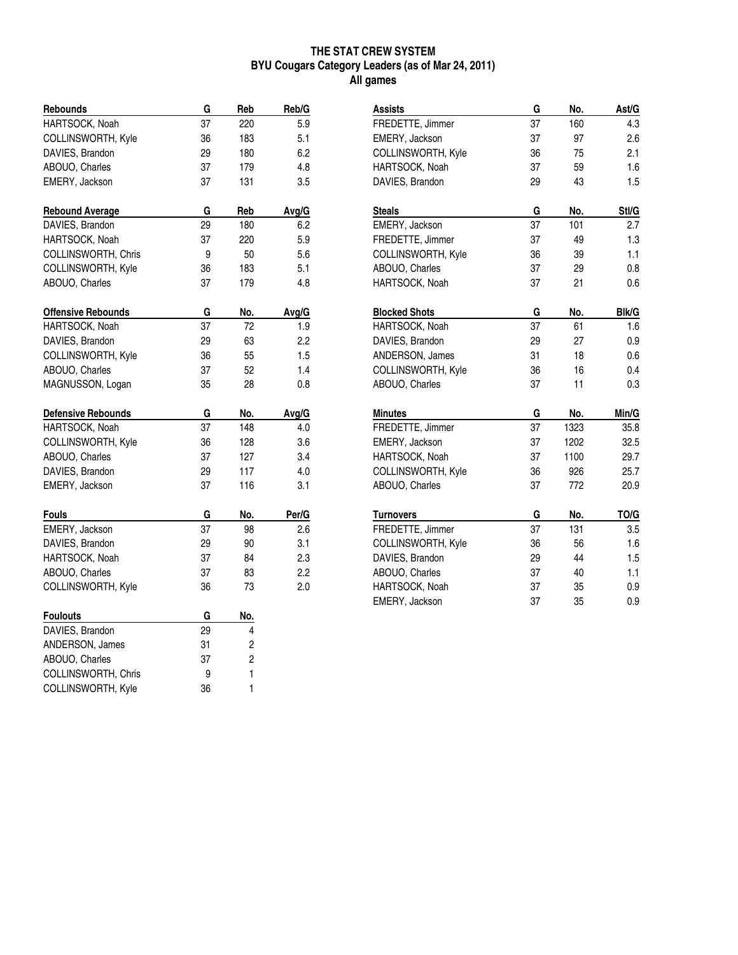## **THE STAT CREW SYSTEM BYU Cougars Category Leaders (as of Mar 24, 2011) All games**

| <b>Rebounds</b>           | G  | Reb        | Reb/G |
|---------------------------|----|------------|-------|
| HARTSOCK, Noah            | 37 | 220        | 5.9   |
| COLLINSWORTH, Kyle        | 36 | 183        | 5.1   |
| DAVIES, Brandon           | 29 | 180        | 6.2   |
| ABOUO, Charles            | 37 | 179        | 4.8   |
| EMERY, Jackson            | 37 | 131        | 3.5   |
| <b>Rebound Average</b>    | G  | Reb        | Avg/G |
| DAVIES, Brandon           | 29 | 180        | 6.2   |
| HARTSOCK, Noah            | 37 | 220        | 5.9   |
| COLLINSWORTH, Chris       | 9  | 50         | 5.6   |
| COLLINSWORTH, Kyle        | 36 | 183        | 5.1   |
| ABOUO, Charles            | 37 | 179        | 4.8   |
| <b>Offensive Rebounds</b> | G  | No.        | Avg/G |
| HARTSOCK, Noah            | 37 | 72         | 1.9   |
| DAVIES, Brandon           | 29 | 63         | 2.2   |
| COLLINSWORTH, Kyle        | 36 | 55         | 1.5   |
| ABOUO, Charles            | 37 | 52         | 1.4   |
| MAGNUSSON, Logan          | 35 | 28         | 0.8   |
| <b>Defensive Rebounds</b> | G  | No.        | Avg/G |
| HARTSOCK, Noah            | 37 | 148        | 4.0   |
| COLLINSWORTH, Kyle        | 36 | 128        | 3.6   |
| ABOUO, Charles            | 37 | 127        | 3.4   |
| DAVIES, Brandon           | 29 | 117        | 4.0   |
| EMERY, Jackson            | 37 | 116        | 3.1   |
| <b>Fouls</b>              | G  | No.        | Per/G |
| EMERY, Jackson            | 37 | 98         | 2.6   |
| DAVIES, Brandon           | 29 | 90         | 3.1   |
| HARTSOCK, Noah            | 37 | 84         | 2.3   |
| ABOUO, Charles            | 37 | 83         | 2.2   |
| COLLINSWORTH, Kyle        | 36 | 73         | 2.0   |
| <b>Foulouts</b>           | G  | <u>No.</u> |       |
| DAVIES, Brandon           | 29 | 4          |       |
| ANDERSON, James           | 31 | 2          |       |
| ABOUO, Charles            | 37 | 2          |       |
| COLLINSWORTH, Chris       | 9  | 1          |       |
| COLLINSWORTH, Kyle        | 36 | 1          |       |

| <b>Assists</b>            | G  | No.  | Ast/G   |
|---------------------------|----|------|---------|
| FREDETTE, Jimmer          | 37 | 160  | 4.3     |
| EMERY, Jackson            | 37 | 97   | 2.6     |
| COLLINSWORTH, Kyle        | 36 | 75   | 2.1     |
| HARTSOCK, Noah            | 37 | 59   | 1.6     |
| DAVIES, Brandon           | 29 | 43   | 1.5     |
| <b>Steals</b>             | G  | No.  | Stl/G   |
| EMERY, Jackson            | 37 | 101  | 2.7     |
| FREDETTE, Jimmer          | 37 | 49   | 1.3     |
| <b>COLLINSWORTH, Kyle</b> | 36 | 39   | 1.1     |
| ABOUO, Charles            | 37 | 29   | $0.8\,$ |
| HARTSOCK, Noah            | 37 | 21   | 0.6     |
| <b>Blocked Shots</b>      | G  | No.  | Blk/G   |
| HARTSOCK, Noah            | 37 | 61   | 1.6     |
| DAVIES, Brandon           | 29 | 27   | 0.9     |
| ANDERSON, James           | 31 | 18   | 0.6     |
| COLLINSWORTH, Kyle        | 36 | 16   | 0.4     |
| ABOUO, Charles            | 37 | 11   | 0.3     |
| <b>Minutes</b>            | G  | No.  | Min/G   |
| FREDETTE, Jimmer          | 37 | 1323 | 35.8    |
| EMERY, Jackson            | 37 | 1202 | 32.5    |
| HARTSOCK, Noah            | 37 | 1100 | 29.7    |
| COLLINSWORTH, Kyle        | 36 | 926  | 25.7    |
| ABOUO, Charles            | 37 | 772  | 20.9    |
| <b>Turnovers</b>          | G  | No.  | TO/G    |
| FREDETTE, Jimmer          | 37 | 131  | 3.5     |
| COLLINSWORTH, Kyle        | 36 | 56   | 1.6     |
| DAVIES, Brandon           | 29 | 44   | 1.5     |
| ABOUO, Charles            | 37 | 40   | 1.1     |
| HARTSOCK, Noah            | 37 | 35   | 0.9     |
| EMERY, Jackson            | 37 | 35   | 0.9     |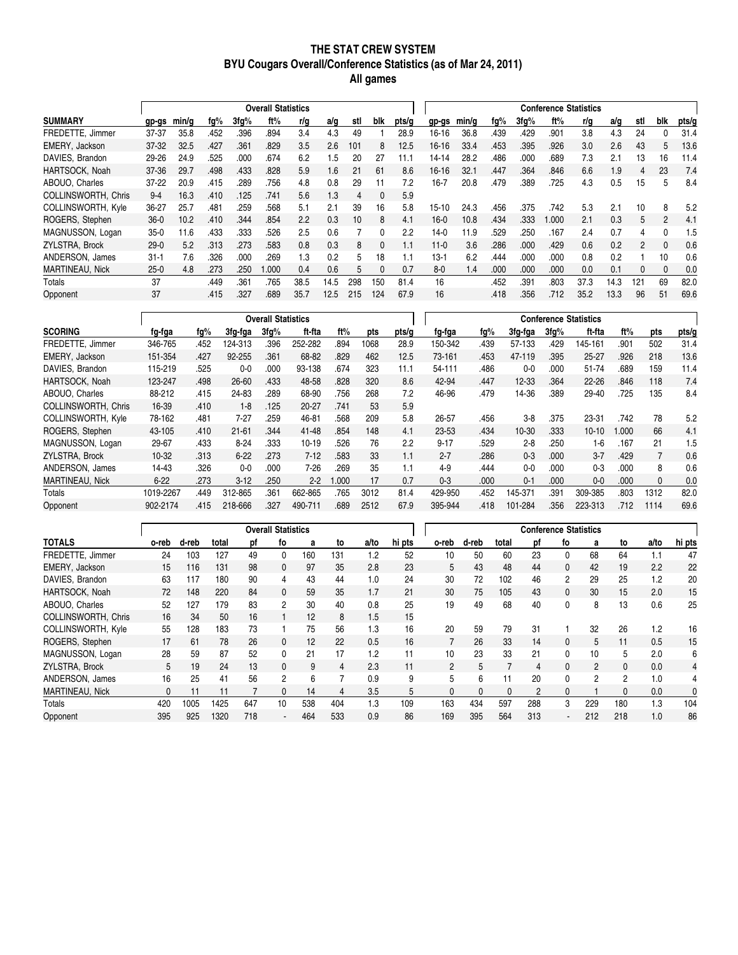#### **THE STAT CREW SYSTEM BYU Cougars Overall/Conference Statistics (as of Mar 24, 2011) All games**

|                            |          | <b>Overall Statistics</b> |      |         |       |      |      |     |              |       | <b>Conference Statistics</b> |       |      |         |       |      |      |                |     |       |
|----------------------------|----------|---------------------------|------|---------|-------|------|------|-----|--------------|-------|------------------------------|-------|------|---------|-------|------|------|----------------|-----|-------|
| <b>SUMMARY</b>             | gp-gs    | min/a                     | fq%  | $3fq\%$ | ft%   | r/g  | a/g  | stl | blk          | pts/q | gp-gs                        | min/q | fg%  | $3fq\%$ | ft%   | r/g  | a/g  | stl            | blk | pts/g |
| FREDETTE, Jimmer           | 37-37    | 35.8                      | .452 | .396    | .894  | 3.4  | 4.3  | 49  |              | 28.9  | 16-16                        | 36.8  | .439 | .429    | .901  | 3.8  | 4.3  | 24             |     | 31.4  |
| EMERY, Jackson             | $37-32$  | 32.5                      | .427 | .361    | .829  | 3.5  | 2.6  | 101 | 8            | 12.5  | 16-16                        | 33.4  | .453 | .395    | .926  | 3.0  | 2.6  | 43             | 5   | 13.6  |
| DAVIES, Brandon            | 29-26    | 24.9                      | .525 | .000    | .674  | 6.2  | .5   | 20  | 27           | 11.1  | 14-14                        | 28.2  | .486 | .000    | .689  | 7.3  | 2.1  | 13             | 16  | 11.4  |
| HARTSOCK, Noah             | 37-36    | 29.7                      | .498 | .433    | .828  | 5.9  | 1.6  | 21  | 61           | 8.6   | 16-16                        | 32.1  | .447 | .364    | .846  | 6.6  | 1.9  | 4              | 23  | 7.4   |
| ABOUO, Charles             | $37-22$  | 20.9                      | .415 | .289    | .756  | 4.8  | 0.8  | 29  | 11           | 7.2   | $16 - 7$                     | 20.8  | .479 | .389    | 725   | 4.3  | 0.5  | 15             | 5   | 8.4   |
| <b>COLLINSWORTH, Chris</b> | $9 - 4$  | 16.3                      | .410 | .125    | 741   | 5.6  | 1.3  | 4   | $\mathbf{0}$ | 5.9   |                              |       |      |         |       |      |      |                |     |       |
| <b>COLLINSWORTH, Kyle</b>  | 36-27    | 25.7                      | .481 | .259    | 568   | 5.1  | 2.1  | 39  | 16           | 5.8   | $15-10$                      | 24.3  | .456 | .375    | .742  | 5.3  | 2.1  | 10             | 8   | 5.2   |
| ROGERS, Stephen            | $36-0$   | 10.2                      | .410 | .344    | .854  | 2.2  | 0.3  | 10  | 8            | 4.1   | $16-0$                       | 10.8  | .434 | .333    | 1.000 | 2.1  | 0.3  | 5              | 2   | 4.1   |
| MAGNUSSON, Logan           | $35-0$   | 11.6                      | .433 | .333    | 526   | 2.5  | 0.6  |     | 0            | 2.2   | $14-0$                       | 11.9  | .529 | .250    | .167  | 2.4  | 0.7  | 4              |     | 1.5   |
| ZYLSTRA, Brock             | $29-0$   | 5.2                       | .313 | .273    | 583   | 0.8  | 0.3  | 8   | $\Omega$     | 1.1   | $11-0$                       | 3.6   | .286 | .000    | .429  | 0.6  | 0.2  | $\mathfrak{p}$ | 0   | 0.6   |
| ANDERSON, James            | $31 - 1$ | 7.6                       | .326 | .000    | .269  | 1.3  | 0.2  | 5   | 18           |       | $13-1$                       | 6.2   | .444 | .000    | .000  | 0.8  | 0.2  |                | 10  | 0.6   |
| <b>MARTINEAU, Nick</b>     | $25-0$   | 4.8                       | .273 | .250    | 1.000 | 0.4  | 0.6  | 5   |              | 0.7   | $8-0$                        | 1.4   | .000 | .000    | .000  | 0.0  | 0.1  | 0              | 0   | 0.0   |
| Totals                     | 37       |                           | .449 | .361    | .765  | 38.5 | 14.5 | 298 | 150          | 81.4  | 16                           |       | .452 | .391    | .803  | 37.3 | 14.3 | 121            | 69  | 82.0  |
| Opponent                   | 37       |                           | .415 | .327    | 689   | 35.7 | 12.5 | 215 | 124          | 67.9  | 16                           |       | .418 | .356    | .712  | 35.2 | 13.3 | 96             | 51  | 69.6  |

|                            |           |      |           | <b>Overall Statistics</b> |           |       |      |       |          |      |           |         | <b>Conference Statistics</b> |       |      |       |
|----------------------------|-----------|------|-----------|---------------------------|-----------|-------|------|-------|----------|------|-----------|---------|------------------------------|-------|------|-------|
| <b>SCORING</b>             | fg-fga    | fq%  | 3fq-fqa   | $3fq\%$                   | ft-fta    | ft%   | pts  | pts/g | fg-fga   | fq%  | 3fg-fga   | $3fq\%$ | ft-fta                       | ft%   | pts  | pts/g |
| FREDETTE, Jimmer           | 346-765   | .452 | 124-313   | .396                      | 252-282   | .894  | 1068 | 28.9  | 150-342  | .439 | 57-133    | .429    | 145-161                      | .901  | 502  | 31.4  |
| EMERY, Jackson             | 151-354   | .427 | 92-255    | .361                      | 68-82     | .829  | 462  | 12.5  | 73-161   | .453 | 47-119    | .395    | $25 - 27$                    | .926  | 218  | 13.6  |
| DAVIES, Brandon            | 115-219   | .525 | $0-0$     | .000                      | 93-138    | .674  | 323  | 11.1  | 54-111   | .486 | $0 - 0$   | .000    | 51-74                        | .689  | 159  | 11.4  |
| HARTSOCK, Noah             | 123-247   | .498 | 26-60     | .433                      | 48-58     | .828  | 320  | 8.6   | 42-94    | .447 | $12 - 33$ | .364    | $22 - 26$                    | .846  | 118  | 7.4   |
| ABOUO, Charles             | 88-212    | .415 | 24-83     | .289                      | 68-90     | .756  | 268  | 7.2   | 46-96    | .479 | 14-36     | .389    | 29-40                        | .725  | 135  | 8.4   |
| <b>COLLINSWORTH, Chris</b> | 16-39     | .410 | $1 - 8$   | .125                      | $20 - 27$ | .741  | 53   | 5.9   |          |      |           |         |                              |       |      |       |
| COLLINSWORTH, Kyle         | 78-162    | .481 | $7 - 27$  | .259                      | 46-81     | .568  | 209  | 5.8   | 26-57    | .456 | $3 - 8$   | .375    | 23-31                        | .742  | 78   | 5.2   |
| ROGERS, Stephen            | 43-105    | .410 | $21 - 61$ | .344                      | 41-48     | .854  | 148  | 4.1   | 23-53    | .434 | $10 - 30$ | .333    | $10 - 10$                    | 1.000 | 66   | 4.1   |
| MAGNUSSON, Logan           | 29-67     | .433 | $8 - 24$  | .333                      | $10-19$   | .526  | 76   | 2.2   | $9 - 17$ | .529 | $2 - 8$   | .250    | 1-6                          | .167  | 21   | 1.5   |
| ZYLSTRA, Brock             | $10-32$   | .313 | $6 - 22$  | .273                      | $7-12$    | .583  | 33   | 1.1   | $2 - 7$  | .286 | $0 - 3$   | .000    | $3 - 7$                      | .429  | 7    | 0.6   |
| ANDERSON, James            | 14-43     | .326 | $0 - 0$   | .000                      | $7 - 26$  | .269  | 35   | 1.1   | $4-9$    | .444 | $0-0$     | .000    | $0 - 3$                      | .000  | 8    | 0.6   |
| <b>MARTINEAU, Nick</b>     | $6 - 22$  | .273 | $3 - 12$  | .250                      | $2 - 2$   | 1.000 | 17   | 0.7   | $0 - 3$  | .000 | $0 - 1$   | .000    | $0 - 0$                      | .000  | 0    | 0.0   |
| <b>Totals</b>              | 1019-2267 | .449 | 312-865   | .361                      | 662-865   | .765  | 3012 | 81.4  | 429-950  | .452 | 145-371   | .391    | 309-385                      | .803  | 1312 | 82.0  |
| Opponent                   | 902-2174  | .415 | 218-666   | .327                      | 490-711   | .689  | 2512 | 67.9  | 395-944  | .418 | 101-284   | .356    | 223-313                      | .712  | 1114 | 69.6  |

|                            |       | <b>Overall Statistics</b> |       |     |                |     |                |      |        | <b>Conference Statistics</b> |       |              |                |                |                |                |      |        |
|----------------------------|-------|---------------------------|-------|-----|----------------|-----|----------------|------|--------|------------------------------|-------|--------------|----------------|----------------|----------------|----------------|------|--------|
| <b>TOTALS</b>              | o-reb | d-reb                     | total | рf  | fo             | a   | to             | a/to | hi pts | o-reb                        | d-reb | total        | рf             | fo             | a              | to             | a/to | hi pts |
| FREDETTE, Jimmer           | 24    | 103                       | 127   | 49  | $\mathbf{0}$   | 160 | 131            | 1.2  | 52     | 10                           | 50    | 60           | 23             | $\mathbf{0}$   | 68             | 64             | 1.1  | 47     |
| EMERY, Jackson             | 15    | 116                       | 131   | 98  | $\mathbf{0}$   | 97  | 35             | 2.8  | 23     | 5                            | 43    | 48           | 44             | 0              | 42             | 19             | 2.2  | 22     |
| DAVIES, Brandon            | 63    | 117                       | 180   | 90  | 4              | 43  | 44             | 1.0  | 24     | 30                           | 72    | 102          | 46             | $\overline{2}$ | 29             | 25             | 1.2  | 20     |
| HARTSOCK, Noah             | 72    | 148                       | 220   | 84  | $\mathbf{0}$   | 59  | 35             | 1.7  | 21     | 30                           | 75    | 105          | 43             | $\mathbf{0}$   | 30             | 15             | 2.0  | 15     |
| ABOUO, Charles             | 52    | 127                       | 179   | 83  | $\mathfrak{p}$ | 30  | 40             | 0.8  | 25     | 19                           | 49    | 68           | 40             | 0              | 8              | 13             | 0.6  | 25     |
| <b>COLLINSWORTH, Chris</b> | 16    | 34                        | 50    | 16  |                | 12  | 8              | 1.5  | 15     |                              |       |              |                |                |                |                |      |        |
| COLLINSWORTH, Kyle         | 55    | 128                       | 183   | 73  |                | 75  | 56             | 1.3  | 16     | 20                           | 59    | 79           | 31             |                | 32             | 26             | 1.2  | 16     |
| ROGERS, Stephen            | 17    | 61                        | 78    | 26  | $\mathbf{0}$   | 12  | 22             | 0.5  | 16     |                              | 26    | 33           | 14             | $\mathbf{0}$   | 5              | 11             | 0.5  | 15     |
| MAGNUSSON, Logan           | 28    | 59                        | 87    | 52  | $\Omega$       | 21  | 17             | 1.2  | 11     | 10 <sup>10</sup>             | 23    | 33           | 21             | 0              | 10             | 5              | 2.0  | 6      |
| ZYLSTRA, Brock             | 5     | 19                        | 24    | 13  | $\mathbf{0}$   | 9   | 4              | 2.3  | 11     | $\overline{2}$               | 5     |              | 4              | $\mathbf{0}$   | $\mathcal{P}$  | $\mathbf{0}$   | 0.0  | 4      |
| ANDERSON, James            | 16    | 25                        | 41    | 56  | 2              | 6   | $\overline{7}$ | 0.9  | 9      | 5                            | 6     | 11           | 20             | 0              | $\mathfrak{p}$ | $\overline{2}$ | 1.0  | 4      |
| MARTINEAU, Nick            | 0     | 11                        | 11    |     | 0              | 14  | 4              | 3.5  | 5      | 0                            | 0     | $\mathbf{0}$ | $\overline{c}$ | $\mathbf{0}$   |                | $\mathbf{0}$   | 0.0  | 0      |
| Totals                     | 420   | 1005                      | 1425  | 647 | 10             | 538 | 404            | 1.3  | 109    | 163                          | 434   | 597          | 288            | 3              | 229            | 180            | 1.3  | 104    |
| Opponent                   | 395   | 925                       | 1320  | 718 | $\blacksquare$ | 464 | 533            | 0.9  | 86     | 169                          | 395   | 564          | 313            | . .            | 212            | 218            | 1.0  | 86     |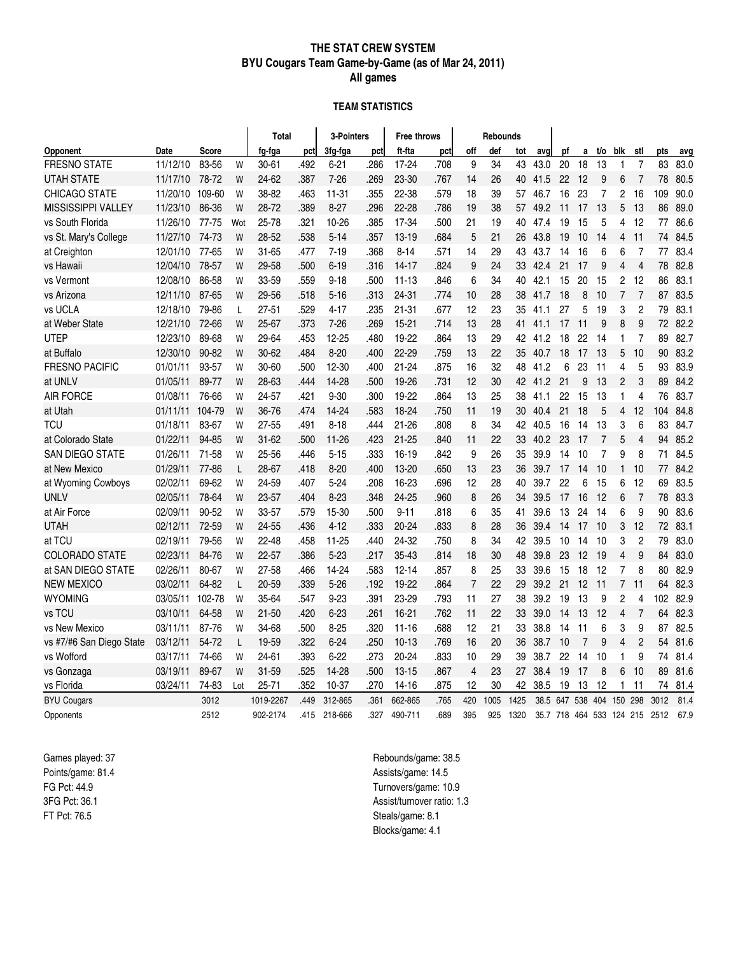#### **THE STAT CREW SYSTEM BYU Cougars Team Game-by-Game (as of Mar 24, 2011) All games**

#### **TEAM STATISTICS**

|                           |          |              |     | Total     |      | 3-Pointers |      | <b>Free throws</b> |      |                | <b>Rebounds</b> |      |      |     |                |                |                |                |                               |      |
|---------------------------|----------|--------------|-----|-----------|------|------------|------|--------------------|------|----------------|-----------------|------|------|-----|----------------|----------------|----------------|----------------|-------------------------------|------|
| Opponent                  | Date     | <b>Score</b> |     | fg-fga    | pct  | 3fg-fga    | pct  | ft-fta             | pct  | off            | def             | tot  | avq  | рf  | a              | t/o            | blk            | stl            | pts                           | avg  |
| <b>FRESNO STATE</b>       | 11/12/10 | 83-56        | W   | $30 - 61$ | .492 | $6 - 21$   | .286 | 17-24              | .708 | 9              | 34              | 43   | 43.0 | 20  | 18             | 13             | 1              | $\overline{7}$ | 83                            | 83.0 |
| UTAH STATE                | 11/17/10 | 78-72        | W   | 24-62     | .387 | $7 - 26$   | .269 | 23-30              | .767 | 14             | 26              | 40   | 41.5 | 22  | 12             | 9              | 6              | $\overline{7}$ | 78                            | 80.5 |
| CHICAGO STATE             | 11/20/10 | 109-60       | W   | 38-82     | .463 | $11 - 31$  | .355 | 22-38              | .579 | 18             | 39              | 57   | 46.7 | 16  | 23             | 7              | 2              | 16             | 109                           | 90.0 |
| <b>MISSISSIPPI VALLEY</b> | 11/23/10 | 86-36        | W   | 28-72     | .389 | $8 - 27$   | .296 | 22-28              | .786 | 19             | 38              | 57   | 49.2 | 11  | 17             | 13             | 5              | 13             | 86                            | 89.0 |
| vs South Florida          | 11/26/10 | 77-75        | Wot | 25-78     | .321 | 10-26      | .385 | 17-34              | .500 | 21             | 19              | 40   | 47.4 | 19  | 15             | 5              | 4              | 12             | 77                            | 86.6 |
| vs St. Mary's College     | 11/27/10 | 74-73        | W   | 28-52     | .538 | $5 - 14$   | .357 | $13 - 19$          | .684 | 5              | 21              | 26   | 43.8 | 19  | 10             | 14             | 4              | 11             | 74                            | 84.5 |
| at Creighton              | 12/01/10 | 77-65        | W   | 31-65     | .477 | $7 - 19$   | .368 | $8 - 14$           | .571 | 14             | 29              | 43   | 43.7 | 14  | 16             | 6              | 6              | $\overline{7}$ | 77                            | 83.4 |
| vs Hawaii                 | 12/04/10 | 78-57        | W   | 29-58     | .500 | $6 - 19$   | .316 | $14 - 17$          | .824 | 9              | 24              | 33   | 42.4 | 21  | 17             | 9              | 4              | $\overline{4}$ | 78                            | 82.8 |
| vs Vermont                | 12/08/10 | 86-58        | W   | 33-59     | .559 | $9 - 18$   | .500 | $11 - 13$          | .846 | 6              | 34              | 40   | 42.1 | 15  | 20             | 15             | 2              | 12             | 86                            | 83.1 |
| vs Arizona                | 12/11/10 | 87-65        | W   | 29-56     | .518 | $5 - 16$   | .313 | $24 - 31$          | .774 | 10             | 28              | 38   | 41.7 | 18  | 8              | 10             | $\overline{7}$ | $\overline{7}$ | 87                            | 83.5 |
| vs UCLA                   | 12/18/10 | 79-86        | L   | $27 - 51$ | .529 | $4 - 17$   | .235 | $21 - 31$          | .677 | 12             | 23              | 35   | 41.1 | 27  | 5              | 19             | 3              | $\overline{c}$ | 79                            | 83.1 |
| at Weber State            | 12/21/10 | 72-66        | W   | 25-67     | .373 | $7 - 26$   | .269 | $15 - 21$          | .714 | 13             | 28              | 41   | 41.1 | 17  | 11             | 9              | 8              | 9              | 72                            | 82.2 |
| <b>UTEP</b>               | 12/23/10 | 89-68        | W   | 29-64     | .453 | 12-25      | .480 | 19-22              | .864 | 13             | 29              | 42   | 41.2 | 18  | 22             | 14             | 1              | $\overline{7}$ | 89                            | 82.7 |
| at Buffalo                | 12/30/10 | 90-82        | W   | 30-62     | .484 | $8 - 20$   | .400 | 22-29              | .759 | 13             | 22              | 35   | 40.7 | 18  | 17             | 13             | 5              | 10             | 90                            | 83.2 |
| <b>FRESNO PACIFIC</b>     | 01/01/11 | 93-57        | W   | 30-60     | .500 | 12-30      | .400 | 21-24              | .875 | 16             | 32              | 48   | 41.2 | 6   | 23             | 11             | 4              | 5              | 93                            | 83.9 |
| at UNLV                   | 01/05/11 | 89-77        | W   | 28-63     | .444 | 14-28      | .500 | 19-26              | .731 | 12             | 30              | 42   | 41.2 | 21  | 9              | 13             | 2              | 3              | 89                            | 84.2 |
| <b>AIR FORCE</b>          | 01/08/11 | 76-66        | W   | 24-57     | .421 | $9 - 30$   | .300 | 19-22              | .864 | 13             | 25              | 38   | 41.1 | 22  | 15             | 13             | 1              | 4              | 76                            | 83.7 |
| at Utah                   | 01/11/11 | 104-79       | W   | 36-76     | .474 | 14-24      | .583 | 18-24              | .750 | 11             | 19              | 30   | 40.4 | 21  | 18             | 5              | 4              | 12             | 104                           | 84.8 |
| <b>TCU</b>                | 01/18/11 | 83-67        | W   | 27-55     | .491 | $8 - 18$   | .444 | 21-26              | .808 | 8              | 34              | 42   | 40.5 | 16  | -14            | 13             | 3              | 6              | 83                            | 84.7 |
| at Colorado State         | 01/22/11 | 94-85        | W   | $31 - 62$ | .500 | $11 - 26$  | .423 | $21 - 25$          | .840 | 11             | 22              | 33   | 40.2 | 23  | 17             | $\overline{7}$ | 5              | $\overline{4}$ | 94                            | 85.2 |
| <b>SAN DIEGO STATE</b>    | 01/26/11 | 71-58        | W   | 25-56     | .446 | $5 - 15$   | .333 | 16-19              | .842 | 9              | 26              | 35   | 39.9 | 14  | 10             | 7              | 9              | 8              | 71                            | 84.5 |
| at New Mexico             | 01/29/11 | 77-86        | L   | 28-67     | .418 | $8 - 20$   | .400 | 13-20              | .650 | 13             | 23              | 36   | 39.7 | 17  | 14             | 10             | 1              | 10             | 77                            | 84.2 |
| at Wyoming Cowboys        | 02/02/11 | 69-62        | W   | 24-59     | .407 | $5 - 24$   | .208 | 16-23              | .696 | 12             | 28              | 40   | 39.7 | 22  | 6              | 15             | 6              | 12             | 69                            | 83.5 |
| <b>UNLV</b>               | 02/05/11 | 78-64        | W   | 23-57     | .404 | $8 - 23$   | .348 | 24-25              | .960 | 8              | 26              | 34   | 39.5 | 17  | 16             | 12             | 6              | $\overline{7}$ | 78                            | 83.3 |
| at Air Force              | 02/09/11 | 90-52        | W   | 33-57     | .579 | 15-30      | .500 | $9 - 11$           | .818 | 6              | 35              | 41   | 39.6 | 13  | 24             | 14             | 6              | 9              | 90                            | 83.6 |
| <b>UTAH</b>               | 02/12/11 | 72-59        | W   | 24-55     | .436 | $4 - 12$   | .333 | 20-24              | .833 | 8              | 28              | 36   | 39.4 | 14  | 17             | 10             | 3              | 12             | 72                            | 83.1 |
| at TCU                    | 02/19/11 | 79-56        | W   | 22-48     | .458 | $11 - 25$  | .440 | 24-32              | .750 | 8              | 34              | 42   | 39.5 | 10  | 14             | 10             | 3              | $\overline{c}$ | 79                            | 83.0 |
| <b>COLORADO STATE</b>     | 02/23/11 | 84-76        | W   | $22 - 57$ | .386 | $5 - 23$   | .217 | 35-43              | .814 | 18             | 30              | 48   | 39.8 | 23  | 12             | 19             | 4              | 9              | 84                            | 83.0 |
| at SAN DIEGO STATE        | 02/26/11 | 80-67        | W   | 27-58     | .466 | 14-24      | .583 | $12 - 14$          | .857 | 8              | 25              | 33   | 39.6 | 15  | 18             | 12             | 7              | 8              | 80                            | 82.9 |
| <b>NEW MEXICO</b>         | 03/02/11 | 64-82        | L   | 20-59     | .339 | $5 - 26$   | .192 | 19-22              | .864 | $\overline{7}$ | 22              | 29   | 39.2 | 21  | 12             | 11             | $\overline{7}$ | 11             | 64                            | 82.3 |
| <b>WYOMING</b>            | 03/05/11 | 102-78       | W   | 35-64     | .547 | $9 - 23$   | .391 | 23-29              | .793 | 11             | 27              | 38   | 39.2 | 19  | 13             | 9              | 2              | 4              | 102                           | 82.9 |
| vs TCU                    | 03/10/11 | 64-58        | W   | $21 - 50$ | .420 | $6 - 23$   | .261 | 16-21              | .762 | 11             | 22              | 33   | 39.0 | 14  | 13             | 12             | 4              | $\overline{7}$ | 64                            | 82.3 |
| vs New Mexico             | 03/11/11 | 87-76        | W   | 34-68     | .500 | $8 - 25$   | .320 | $11 - 16$          | .688 | 12             | 21              | 33   | 38.8 | 14  | 11             | 6              | 3              | 9              | 87                            | 82.5 |
| vs #7/#6 San Diego State  | 03/12/11 | 54-72        | L   | 19-59     | .322 | $6 - 24$   | .250 | $10-13$            | .769 | 16             | 20              | 36   | 38.7 | 10  | $\overline{7}$ | 9              | 4              | $\overline{2}$ | 54                            | 81.6 |
| vs Wofford                | 03/17/11 | 74-66        | W   | 24-61     | .393 | $6 - 22$   | .273 | 20-24              | .833 | 10             | 29              | 39   | 38.7 | 22  | 14             | 10             | 1              | 9              | 74                            | 81.4 |
| vs Gonzaga                | 03/19/11 | 89-67        | W   | 31-59     | .525 | 14-28      | 500  | $13 - 15$          | .867 | 4              | 23              | 27   | 38.4 | 19  | -17            | 8              | 6              | 10             | 89                            | 81.6 |
| vs Florida                | 03/24/11 | 74-83        | Lot | 25-71     | .352 | 10-37      | .270 | 14-16              | .875 | 12             | 30              | 42   | 38.5 | 19  | 13             | 12             | 1              | 11             | 74                            | 81.4 |
| <b>BYU Cougars</b>        |          | 3012         |     | 1019-2267 | .449 | 312-865    | .361 | 662-865            | .765 | 420            | 1005            | 1425 | 38.5 | 647 | 538            | 404            | 150            | 298            | 3012                          | 81.4 |
| Opponents                 |          | 2512         |     | 902-2174  | .415 | 218-666    | 327  | 490-711            | .689 | 395            | 925             | 1320 |      |     |                |                |                |                | 35.7 718 464 533 124 215 2512 | 67.9 |

Games played: 37 Points/game: 81.4 FG Pct: 44.9 3FG Pct: 36.1 FT Pct: 76.5

Rebounds/game: 38.5 Assists/game: 14.5 Turnovers/game: 10.9 Assist/turnover ratio: 1.3 Steals/game: 8.1 Blocks/game: 4.1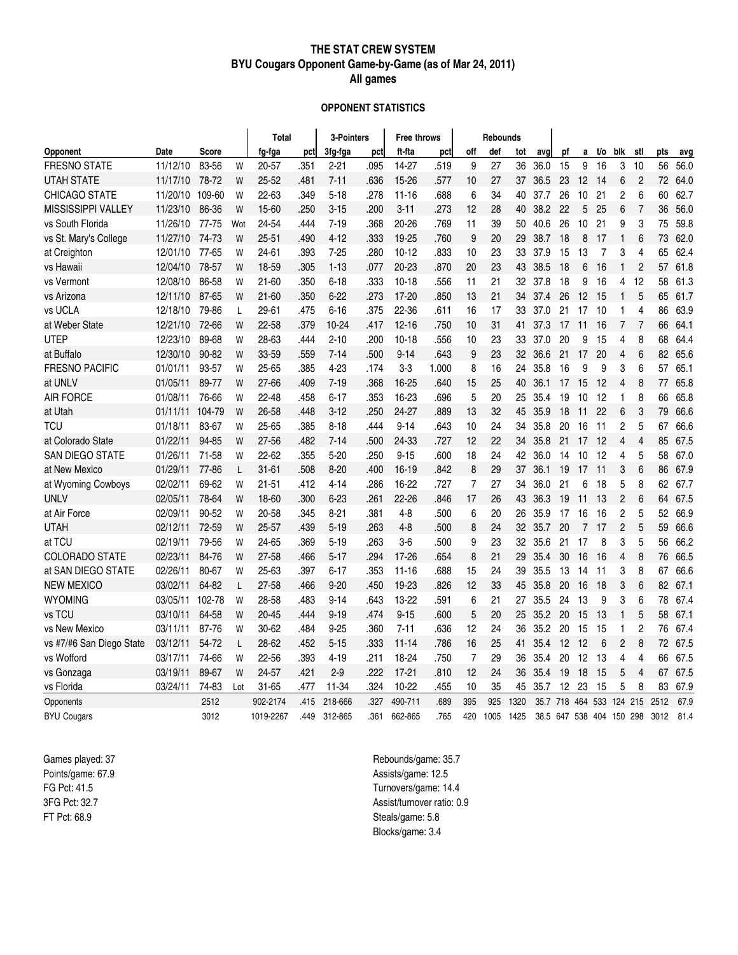#### **THE STAT CREW SYSTEM BYU Cougars Opponent Game-by-Game (as of Mar 24, 2011) All games**

#### **OPPONENT STATISTICS**

|                          |          |              |     | Total     |      | 3-Pointers |      | <b>Free throws</b> |       |                | <b>Rebounds</b> |      |      |     |                          |     |                |                |      |      |
|--------------------------|----------|--------------|-----|-----------|------|------------|------|--------------------|-------|----------------|-----------------|------|------|-----|--------------------------|-----|----------------|----------------|------|------|
| Opponent                 | Date     | <b>Score</b> |     | fg-fga    | pct  | 3fg-fga    | pct  | ft-fta             | pct   | off            | def             | tot  | avq  | рf  | a                        | t/o | blk            | stl            | pts  | avq  |
| <b>FRESNO STATE</b>      | 11/12/10 | 83-56        | W   | $20 - 57$ | .351 | $2 - 21$   | .095 | 14-27              | .519  | 9              | 27              | 36   | 36.0 | 15  | 9                        | 16  | 3              | 10             | 56   | 56.0 |
| <b>UTAH STATE</b>        | 11/17/10 | 78-72        | W   | $25 - 52$ | .481 | $7 - 11$   | .636 | 15-26              | .577  | 10             | 27              | 37   | 36.5 | 23  | 12                       | -14 | 6              | $\overline{2}$ | 72   | 64.0 |
| CHICAGO STATE            | 11/20/10 | 109-60       | W   | 22-63     | .349 | $5 - 18$   | .278 | $11 - 16$          | .688  | 6              | 34              | 40   | 37.7 | 26  | 10                       | 21  | 2              | 6              | 60   | 62.7 |
| MISSISSIPPI VALLEY       | 11/23/10 | 86-36        | W   | 15-60     | .250 | $3 - 15$   | .200 | $3 - 11$           | .273  | 12             | 28              | 40   | 38.2 | 22  | 5                        | 25  | 6              | $\overline{7}$ | 36   | 56.0 |
| vs South Florida         | 11/26/10 | 77-75        | Wot | 24-54     | .444 | $7 - 19$   | .368 | 20-26              | .769  | 11             | 39              | 50   | 40.6 | 26  | 10                       | 21  | 9              | 3              | 75   | 59.8 |
| vs St. Mary's College    | 11/27/10 | 74-73        | W   | $25 - 51$ | .490 | $4 - 12$   | .333 | 19-25              | .760  | 9              | 20              | 29   | 38.7 | 18  | 8                        | 17  | 1              | 6              | 73   | 62.0 |
| at Creighton             | 12/01/10 | 77-65        | W   | 24-61     | .393 | $7 - 25$   | .280 | $10 - 12$          | .833  | 10             | 23              | 33   | 37.9 | 15  | 13                       | 7   | 3              | 4              | 65   | 62.4 |
| vs Hawaii                | 12/04/10 | 78-57        | W   | 18-59     | .305 | $1 - 13$   | .077 | 20-23              | .870  | 20             | 23              | 43   | 38.5 | 18  | 6                        | 16  | 1              | $\overline{2}$ | 57   | 61.8 |
| vs Vermont               | 12/08/10 | 86-58        | W   | $21 - 60$ | .350 | $6 - 18$   | .333 | $10 - 18$          | .556  | 11             | 21              | 32   | 37.8 | 18  | 9                        | 16  | 4              | 12             | 58   | 61.3 |
| vs Arizona               | 12/11/10 | 87-65        | W   | $21 - 60$ | .350 | $6 - 22$   | .273 | 17-20              | .850  | 13             | 21              | 34   | 37.4 | 26  | 12                       | 15  | 1              | 5              | 65   | 61.7 |
| vs UCLA                  | 12/18/10 | 79-86        | L   | 29-61     | .475 | $6 - 16$   | .375 | 22-36              | .611  | 16             | 17              | 33   | 37.0 | 21  | 17                       | 10  | 1              | 4              | 86   | 63.9 |
| at Weber State           | 12/21/10 | 72-66        | W   | 22-58     | .379 | 10-24      | .417 | $12 - 16$          | .750  | 10             | 31              | 41   | 37.3 | 17  | 11                       | 16  | $\overline{7}$ | $\overline{7}$ | 66   | 64.1 |
| <b>UTEP</b>              | 12/23/10 | 89-68        | W   | 28-63     | .444 | $2 - 10$   | .200 | $10 - 18$          | .556  | 10             | 23              | 33   | 37.0 | 20  | 9                        | 15  | 4              | 8              | 68   | 64.4 |
| at Buffalo               | 12/30/10 | 90-82        | W   | 33-59     | .559 | $7 - 14$   | .500 | $9 - 14$           | .643  | 9              | 23              | 32   | 36.6 | 21  | 17                       | 20  | 4              | 6              | 82   | 65.6 |
| <b>FRESNO PACIFIC</b>    | 01/01/11 | 93-57        | W   | 25-65     | .385 | 4-23       | .174 | $3 - 3$            | 1.000 | 8              | 16              | 24   | 35.8 | 16  | 9                        | 9   | 3              | 6              | 57   | 65.1 |
| at UNLV                  | 01/05/11 | 89-77        | W   | 27-66     | .409 | $7 - 19$   | .368 | 16-25              | .640  | 15             | 25              | 40   | 36.1 | 17  | 15                       | 12  | 4              | 8              | 77   | 65.8 |
| <b>AIR FORCE</b>         | 01/08/11 | 76-66        | W   | 22-48     | .458 | $6 - 17$   | .353 | 16-23              | .696  | 5              | 20              | 25   | 35.4 | 19  | 10                       | 12  | 1              | 8              | 66   | 65.8 |
| at Utah                  | 01/11/11 | 104-79       | W   | 26-58     | .448 | $3 - 12$   | .250 | 24-27              | .889  | 13             | 32              | 45   | 35.9 | 18  | 11                       | 22  | 6              | 3              | 79   | 66.6 |
| TCU                      | 01/18/11 | 83-67        | W   | 25-65     | .385 | $8 - 18$   | .444 | $9 - 14$           | .643  | 10             | 24              | 34   | 35.8 | 20  | 16                       | 11  | 2              | 5              | 67   | 66.6 |
| at Colorado State        | 01/22/11 | 94-85        | W   | $27 - 56$ | .482 | $7 - 14$   | .500 | 24-33              | .727  | 12             | 22              | 34   | 35.8 | 21  | 17                       | 12  | 4              | 4              | 85   | 67.5 |
| SAN DIEGO STATE          | 01/26/11 | 71-58        | W   | $22 - 62$ | .355 | $5 - 20$   | .250 | $9 - 15$           | .600  | 18             | 24              | 42   | 36.0 | 14  | 10                       | 12  | 4              | 5              | 58   | 67.0 |
| at New Mexico            | 01/29/11 | 77-86        | L   | $31 - 61$ | .508 | $8 - 20$   | .400 | $16 - 19$          | .842  | 8              | 29              | 37   | 36.1 | 19  | 17                       | 11  | 3              | 6              | 86   | 67.9 |
| at Wyoming Cowboys       | 02/02/11 | 69-62        | W   | $21 - 51$ | .412 | $4 - 14$   | .286 | 16-22              | .727  | $\overline{7}$ | 27              | 34   | 36.0 | 21  | 6                        | 18  | 5              | 8              | 62   | 67.7 |
| <b>UNLV</b>              | 02/05/11 | 78-64        | W   | 18-60     | .300 | $6 - 23$   | .261 | 22-26              | .846  | 17             | 26              | 43   | 36.3 | 19  | 11                       | 13  | 2              | 6              | 64   | 67.5 |
| at Air Force             | 02/09/11 | 90-52        | W   | 20-58     | .345 | $8 - 21$   | .381 | $4 - 8$            | .500  | 6              | 20              | 26   | 35.9 | 17  | 16                       | 16  | 2              | 5              | 52   | 66.9 |
| <b>UTAH</b>              | 02/12/11 | 72-59        | W   | 25-57     | .439 | $5 - 19$   | .263 | $4 - 8$            | .500  | 8              | 24              | 32   | 35.7 | 20  | 7                        | 17  | $\overline{c}$ | 5              | 59   | 66.6 |
| at TCU                   | 02/19/11 | 79-56        | W   | 24-65     | .369 | $5 - 19$   | .263 | $3-6$              | .500  | 9              | 23              | 32   | 35.6 | 21  | 17                       | 8   | 3              | 5              | 56   | 66.2 |
| <b>COLORADO STATE</b>    | 02/23/11 | 84-76        | W   | 27-58     | .466 | $5 - 17$   | .294 | 17-26              | .654  | 8              | 21              | 29   | 35.4 | 30  | 16                       | 16  | 4              | 8              | 76   | 66.5 |
| at SAN DIEGO STATE       | 02/26/11 | 80-67        | W   | 25-63     | .397 | $6 - 17$   | .353 | $11 - 16$          | .688  | 15             | 24              | 39   | 35.5 | 13  | 14                       | 11  | 3              | 8              | 67   | 66.6 |
| <b>NEW MEXICO</b>        | 03/02/11 | 64-82        | L   | 27-58     | .466 | $9 - 20$   | .450 | 19-23              | .826  | 12             | 33              | 45   | 35.8 | 20  | 16                       | 18  | 3              | 6              | 82   | 67.1 |
| <b>WYOMING</b>           | 03/05/11 | 102-78       | W   | 28-58     | .483 | $9 - 14$   | .643 | 13-22              | .591  | 6              | 21              | 27   | 35.5 | 24  | 13                       | 9   | 3              | 6              | 78   | 67.4 |
| vs TCU                   | 03/10/11 | 64-58        | W   | $20 - 45$ | .444 | $9 - 19$   | .474 | $9 - 15$           | .600  | 5              | 20              | 25   | 35.2 | 20  | 15                       | 13  | 1              | 5              | 58   | 67.1 |
| vs New Mexico            | 03/11/11 | 87-76        | W   | 30-62     | .484 | $9 - 25$   | .360 | $7 - 11$           | .636  | 12             | 24              | 36   | 35.2 | 20  | 15                       | 15  | 1              | $\overline{c}$ | 76   | 67.4 |
| vs #7/#6 San Diego State | 03/12/11 | 54-72        | L   | 28-62     | .452 | $5 - 15$   | .333 | $11 - 14$          | .786  | 16             | 25              | 41   | 35.4 | 12  | 12                       | 6   | 2              | 8              | 72   | 67.5 |
| vs Wofford               | 03/17/11 | 74-66        | W   | 22-56     | .393 | $4 - 19$   | .211 | 18-24              | .750  | $\overline{7}$ | 29              | 36   | 35.4 | 20  | 12                       | 13  | 4              | 4              | 66   | 67.5 |
| vs Gonzaga               | 03/19/11 | 89-67        | W   | 24-57     | .421 | $2 - 9$    | .222 | $17-21$            | .810  | 12             | 24              | 36   | 35.4 | 19  | 18                       | 15  | 5              | 4              | 67   | 67.5 |
| vs Florida               | 03/24/11 | 74-83        | Lot | $31 - 65$ | .477 | 11-34      | 324  | 10-22              | .455  | 10             | 35              | 45   | 35.7 | 12  | 23                       | 15  | 5              | 8              | 83   | 67.9 |
| Opponents                |          | 2512         |     | 902-2174  | .415 | 218-666    | .327 | 490-711            | .689  | 395            | 925             | 1320 | 35.7 | 718 | 464                      | 533 | 124            | 215            | 2512 | 67.9 |
| <b>BYU Cougars</b>       |          | 3012         |     | 1019-2267 | .449 | 312-865    | .361 | 662-865            | .765  | 420            | 1005            | 1425 |      |     | 38.5 647 538 404 150 298 |     |                |                | 3012 | 81.4 |

Games played: 37 Points/game: 67.9 FG Pct: 41.5 3FG Pct: 32.7 FT Pct: 68.9

Rebounds/game: 35.7 Assists/game: 12.5 Turnovers/game: 14.4 Assist/turnover ratio: 0.9 Steals/game: 5.8 Blocks/game: 3.4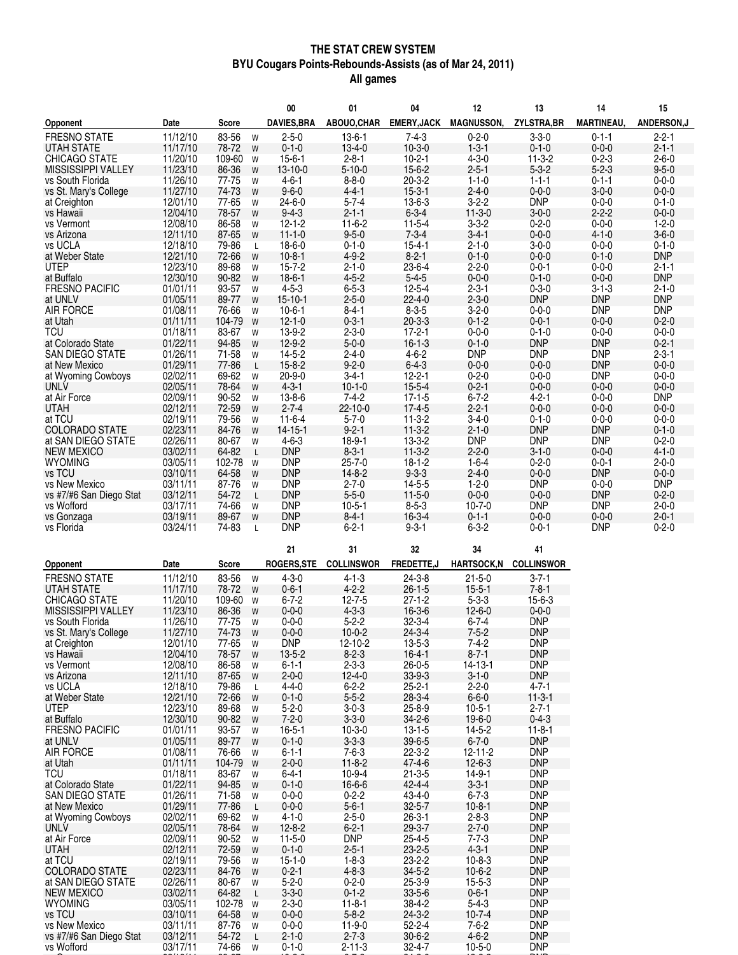#### **THE STAT CREW SYSTEM BYU Cougars Points-Rebounds-Assists (as of Mar 24, 2011) All games**

|                                          |                      |                 | 00                                              | 01                          | 04                           | 12                          | 13                         | 14                         | 15                         |
|------------------------------------------|----------------------|-----------------|-------------------------------------------------|-----------------------------|------------------------------|-----------------------------|----------------------------|----------------------------|----------------------------|
| Opponent                                 | Date                 | <b>Score</b>    | <b>DAVIES, BRA</b>                              | ABOUO, CHAR                 | <b>EMERY, JACK</b>           | <b>MAGNUSSON,</b>           | ZYLSTRA, BR                | <b>MARTINEAU,</b>          | ANDERSON,J                 |
| <b>FRESNO STATE</b>                      | 11/12/10             | 83-56           | $2 - 5 - 0$<br>W                                | $13-6-1$                    | $7 - 4 - 3$                  | $0 - 2 - 0$                 | $3 - 3 - 0$                | $0 - 1 - 1$                | $2 - 2 - 1$                |
| <b>UTAH STATE</b>                        | 11/17/10             | 78-72           | $0 - 1 - 0$<br>W                                | $13 - 4 - 0$                | $10-3-0$                     | $1 - 3 - 1$                 | $0 - 1 - 0$                | $0 - 0 - 0$                | $2 - 1 - 1$                |
| <b>CHICAGO STATE</b>                     | 11/20/10             | 109-60          | $15 - 6 - 1$<br>W                               | $2 - 8 - 1$                 | $10-2-1$                     | $4 - 3 - 0$                 | $11-3-2$                   | $0 - 2 - 3$                | $2 - 6 - 0$                |
| <b>MISSISSIPPI VALLEY</b>                | 11/23/10             | 86-36           | 13-10-0<br>W                                    | $5 - 10 - 0$                | $15 - 6 - 2$                 | $2 - 5 - 1$                 | $5 - 3 - 2$                | $5 - 2 - 3$                | $9 - 5 - 0$                |
| vs South Florida                         | 11/26/10             | 77-75           | $4 - 6 - 1$<br>W<br>$9 - 6 - 0$                 | $8 - 8 - 0$<br>$4 - 4 - 1$  | $20 - 3 - 2$                 | $1 - 1 - 0$                 | $1 - 1 - 1$                | $0 - 1 - 1$<br>$3 - 0 - 0$ | $0 - 0 - 0$<br>$0 - 0 - 0$ |
| vs St. Mary's College                    | 11/27/10<br>12/01/10 | 74-73<br>77-65  | W<br>$24 - 6 - 0$<br>W                          | $5 - 7 - 4$                 | $15 - 3 - 1$<br>$13 - 6 - 3$ | $2 - 4 - 0$<br>$3 - 2 - 2$  | $0 - 0 - 0$<br><b>DNP</b>  | $0 - 0 - 0$                | $0 - 1 - 0$                |
| at Creighton<br>vs Hawaii                | 12/04/10             | 78-57           | $9 - 4 - 3$<br>W                                | $2 - 1 - 1$                 | $6 - 3 - 4$                  | $11-3-0$                    | $3 - 0 - 0$                | $2 - 2 - 2$                | $0 - 0 - 0$                |
| vs Vermont                               | 12/08/10             | 86-58           | $12 - 1 - 2$<br>W                               | $11-6-2$                    | $11 - 5 - 4$                 | $3 - 3 - 2$                 | $0 - 2 - 0$                | $0 - 0 - 0$                | $1 - 2 - 0$                |
| vs Arizona                               | 12/11/10             | 87-65           | $11 - 1 - 0$<br>W                               | $9 - 5 - 0$                 | $7 - 3 - 4$                  | $3 - 4 - 1$                 | $0 - 0 - 0$                | $4 - 1 - 0$                | $3 - 6 - 0$                |
| vs UCLA                                  | 12/18/10             | 79-86           | $18 - 6 - 0$<br>$\mathsf{L}$                    | $0 - 1 - 0$                 | $15 - 4 - 1$                 | $2 - 1 - 0$                 | $3 - 0 - 0$                | $0 - 0 - 0$                | $0 - 1 - 0$                |
| at Weber State                           | 12/21/10             | 72-66           | $10-8-1$<br>W                                   | $4 - 9 - 2$                 | $8 - 2 - 1$                  | $0 - 1 - 0$                 | $0 - 0 - 0$                | $0 - 1 - 0$                | <b>DNP</b>                 |
| <b>UTEP</b>                              | 12/23/10             | 89-68           | $15 - 7 - 2$<br>W                               | $2 - 1 - 0$                 | 23-6-4                       | $2 - 2 - 0$                 | $0 - 0 - 1$                | $0 - 0 - 0$                | $2 - 1 - 1$                |
| at Buffalo                               | 12/30/10             | 90-82           | $18-6-1$<br>W                                   | $4 - 5 - 2$                 | $5 - 4 - 5$                  | $0 - 0 - 0$                 | $0 - 1 - 0$                | $0 - 0 - 0$                | <b>DNP</b>                 |
| <b>FRESNO PACIFIC</b><br>at UNLV         | 01/01/11<br>01/05/11 | 93-57<br>89-77  | $4 - 5 - 3$<br>W<br>$15 - 10 - 1$<br>W          | $6 - 5 - 3$<br>$2 - 5 - 0$  | $12 - 5 - 4$<br>$22 - 4 - 0$ | $2 - 3 - 1$<br>$2 - 3 - 0$  | $0 - 3 - 0$<br><b>DNP</b>  | $3 - 1 - 3$<br><b>DNP</b>  | $2 - 1 - 0$<br><b>DNP</b>  |
| <b>AIR FORCE</b>                         | 01/08/11             | 76-66           | $10 - 6 - 1$<br>W                               | $8 - 4 - 1$                 | $8 - 3 - 5$                  | $3 - 2 - 0$                 | $0 - 0 - 0$                | <b>DNP</b>                 | <b>DNP</b>                 |
| at Utah                                  | 01/11/11             | 104-79          | $12 - 1 - 0$<br>W                               | $0 - 3 - 1$                 | $20 - 3 - 3$                 | $0 - 1 - 2$                 | $0 - 0 - 1$                | $0 - 0 - 0$                | $0 - 2 - 0$                |
| TCU                                      | 01/18/11             | 83-67           | 13-9-2<br>W                                     | $2 - 3 - 0$                 | $17 - 2 - 1$                 | $0 - 0 - 0$                 | $0 - 1 - 0$                | $0 - 0 - 0$                | $0 - 0 - 0$                |
| at Colorado State                        | 01/22/11             | 94-85           | $12 - 9 - 2$<br>W                               | $5 - 0 - 0$                 | $16 - 1 - 3$                 | $0 - 1 - 0$                 | <b>DNP</b>                 | <b>DNP</b>                 | $0 - 2 - 1$                |
| <b>SAN DIEGO STATE</b>                   | 01/26/11             | 71-58           | $14 - 5 - 2$<br>W                               | $2 - 4 - 0$                 | $4 - 6 - 2$                  | <b>DNP</b>                  | <b>DNP</b>                 | <b>DNP</b>                 | $2 - 3 - 1$                |
| at New Mexico                            | 01/29/11             | 77-86           | $15 - 8 - 2$<br>$\mathsf{L}$                    | $9 - 2 - 0$                 | $6 - 4 - 3$                  | $0 - 0 - 0$                 | $0 - 0 - 0$                | <b>DNP</b>                 | $0 - 0 - 0$                |
| at Wyoming Cowboys                       | 02/02/11             | 69-62           | $20 - 9 - 0$<br>W                               | $3 - 4 - 1$                 | $12 - 2 - 1$                 | $0 - 2 - 0$                 | $0 - 0 - 0$                | <b>DNP</b>                 | $0 - 0 - 0$                |
| <b>UNLV</b><br>at Air Force              | 02/05/11<br>02/09/11 | 78-64<br>90-52  | $4 - 3 - 1$<br>W<br>$13 - 8 - 6$                | $10 - 1 - 0$<br>$7 - 4 - 2$ | $15 - 5 - 4$<br>$17 - 1 - 5$ | $0 - 2 - 1$<br>$6 - 7 - 2$  | $0 - 0 - 0$<br>$4 - 2 - 1$ | $0 - 0 - 0$<br>$0 - 0 - 0$ | $0 - 0 - 0$<br><b>DNP</b>  |
| <b>UTAH</b>                              | 02/12/11             | 72-59           | W<br>$2 - 7 - 4$<br>W                           | 22-10-0                     | $17 - 4 - 5$                 | $2 - 2 - 1$                 | $0 - 0 - 0$                | $0 - 0 - 0$                | $0 - 0 - 0$                |
| at TCU                                   | 02/19/11             | 79-56           | $11 - 6 - 4$<br>W                               | $5 - 7 - 0$                 | $11-3-2$                     | $3 - 4 - 0$                 | $0 - 1 - 0$                | $0 - 0 - 0$                | $0 - 0 - 0$                |
| <b>COLORADO STATE</b>                    | 02/23/11             | 84-76           | $14 - 15 - 1$<br>W                              | $9 - 2 - 1$                 | $11-3-2$                     | $2 - 1 - 0$                 | <b>DNP</b>                 | <b>DNP</b>                 | $0 - 1 - 0$                |
| at SAN DIEGO STATE                       | 02/26/11             | 80-67           | $4 - 6 - 3$<br>W                                | $18-9-1$                    | $13 - 3 - 2$                 | <b>DNP</b>                  | <b>DNP</b>                 | <b>DNP</b>                 | $0 - 2 - 0$                |
| <b>NEW MEXICO</b>                        | 03/02/11             | 64-82           | <b>DNP</b><br>L                                 | $8 - 3 - 1$                 | $11-3-2$                     | $2 - 2 - 0$                 | $3 - 1 - 0$                | $0 - 0 - 0$                | $4 - 1 - 0$                |
| <b>WYOMING</b>                           | 03/05/11             | 102-78          | <b>DNP</b><br>W                                 | $25 - 7 - 0$                | $18 - 1 - 2$                 | $1 - 6 - 4$                 | $0 - 2 - 0$                | $0 - 0 - 1$                | $2 - 0 - 0$                |
| vs TCU                                   | 03/10/11             | 64-58           | <b>DNP</b><br>W                                 | $14 - 8 - 2$                | $9 - 3 - 3$                  | $2 - 4 - 0$                 | $0 - 0 - 0$                | <b>DNP</b>                 | $0 - 0 - 0$                |
| vs New Mexico<br>vs #7/#6 San Diego Stat | 03/11/11             | 87-76<br>54-72  | <b>DNP</b><br>W<br><b>DNP</b>                   | $2 - 7 - 0$<br>$5 - 5 - 0$  | $14 - 5 - 5$<br>$11 - 5 - 0$ | $1 - 2 - 0$<br>$0 - 0 - 0$  | <b>DNP</b><br>$0 - 0 - 0$  | $0 - 0 - 0$<br><b>DNP</b>  | <b>DNP</b><br>$0 - 2 - 0$  |
| vs Wofford                               | 03/12/11<br>03/17/11 | 74-66           | $\mathsf{L}$<br><b>DNP</b><br>W                 | $10-5-1$                    | $8 - 5 - 3$                  | $10 - 7 - 0$                | <b>DNP</b>                 | <b>DNP</b>                 | $2 - 0 - 0$                |
| vs Gonzaga                               | 03/19/11             | 89-67           | <b>DNP</b><br>W                                 | $8 - 4 - 1$                 | $16 - 3 - 4$                 | $0 - 1 - 1$                 | $0 - 0 - 0$                | $0 - 0 - 0$                | $2 - 0 - 1$                |
| vs Florida                               | 03/24/11             | 74-83           | <b>DNP</b><br>L                                 | $6 - 2 - 1$                 | $9 - 3 - 1$                  | $6 - 3 - 2$                 | $0 - 0 - 1$                | <b>DNP</b>                 | $0 - 2 - 0$                |
|                                          |                      |                 |                                                 |                             |                              |                             |                            |                            |                            |
|                                          |                      |                 | 21                                              | 31                          | 32                           | 34                          | 41                         |                            |                            |
| <b>Opponent</b>                          | Date                 | Score           | <b>ROGERS, STE</b>                              | <b>COLLINSWOR</b>           | FREDETTE,J                   | <b>HARTSOCK,N</b>           | <b>COLLINSWOR</b>          |                            |                            |
| <b>FRESNO STATE</b>                      | 11/12/10             | 83-56           | $4 - 3 - 0$<br>W                                | $4 - 1 - 3$                 | $24 - 3 - 8$                 | $21 - 5 - 0$                | $3 - 7 - 1$                |                            |                            |
| <b>UTAH STATE</b>                        | 11/17/10             | 78-72           | $0 - 6 - 1$<br>W                                | $4 - 2 - 2$                 | $26 - 1 - 5$                 | $15 - 5 - 1$                | $7 - 8 - 1$                |                            |                            |
| <b>CHICAGO STATE</b>                     | 11/20/10             | 109-60          | $6 - 7 - 2$<br>W                                | $12 - 7 - 5$                | $27 - 1 - 2$                 | $5 - 3 - 3$                 | $15 - 6 - 3$               |                            |                            |
| MISSISSIPPI VALLEY<br>vs South Florida   | 11/23/10<br>11/26/10 | 86-36<br>77-75  | $0 - 0 - 0$<br>W<br>$0 - 0 - 0$                 | $4 - 3 - 3$<br>$5 - 2 - 2$  | 16-3-6<br>$32 - 3 - 4$       | $12 - 6 - 0$<br>$6 - 7 - 4$ | $0 - 0 - 0$<br><b>DNP</b>  |                            |                            |
| vs St. Mary's College                    | 11/27/10             | 74-73           | W<br>$0 - 0 - 0$<br>W                           | $10 - 0 - 2$                | $24 - 3 - 4$                 | $7 - 5 - 2$                 | <b>DNP</b>                 |                            |                            |
| at Creighton                             | 12/01/10             | 77-65           | <b>DNP</b><br>W                                 | 12-10-2                     | $13 - 5 - 3$                 | $7 - 4 - 2$                 | <b>DNP</b>                 |                            |                            |
| vs Hawaii                                | 12/04/10             | 78-57           | $13 - 5 - 2$<br>W                               | $8 - 2 - 3$                 | $16 - 4 - 1$                 | $8 - 7 - 1$                 | <b>DNP</b>                 |                            |                            |
| vs Vermont                               | 12/08/10             | 86-58           | $6 - 1 - 1$<br>W                                | $2 - 3 - 3$                 | $26 - 0 - 5$                 | $14 - 13 - 1$               | <b>DNP</b>                 |                            |                            |
| vs Arizona                               | 12/11/10             | 87-65           | $2 - 0 - 0$<br>W                                | $12 - 4 - 0$                | $33 - 9 - 3$                 | $3 - 1 - 0$                 | <b>DNP</b>                 |                            |                            |
| vs UCLA                                  | 12/18/10             | 79-86           | $4 - 4 - 0$<br>L                                | $6 - 2 - 2$                 | $25 - 2 - 1$                 | $2 - 2 - 0$                 | $4 - 7 - 1$                |                            |                            |
| at Weber State<br><b>UTEP</b>            | 12/21/10<br>12/23/10 | 72-66<br>89-68  | $0 - 1 - 0$<br>W                                | $5 - 5 - 2$<br>$3 - 0 - 3$  | $28 - 3 - 4$<br>25-8-9       | $6 - 6 - 0$<br>$10 - 5 - 1$ | $11-3-1$<br>$2 - 7 - 1$    |                            |                            |
| at Buffalo                               | 12/30/10             | 90-82           | $5 - 2 - 0$<br>W<br>$7 - 2 - 0$<br>W            | $3 - 3 - 0$                 | $34 - 2 - 6$                 | $19 - 6 - 0$                | $0 - 4 - 3$                |                            |                            |
| <b>FRESNO PACIFIC</b>                    | 01/01/11             | 93-57           | $16 - 5 - 1$<br>W                               | $10 - 3 - 0$                | $13 - 1 - 5$                 | $14 - 5 - 2$                | $11-8-1$                   |                            |                            |
| at UNLV                                  | 01/05/11             | 89-77           | $0 - 1 - 0$<br>W                                | $3 - 3 - 3$                 | $39 - 6 - 5$                 | $6 - 7 - 0$                 | <b>DNP</b>                 |                            |                            |
| <b>AIR FORCE</b>                         | 01/08/11             | 76-66           | $6 - 1 - 1$<br>W                                | $7 - 6 - 3$                 | 22-3-2                       | $12 - 11 - 2$               | <b>DNP</b>                 |                            |                            |
| at Utah                                  | 01/11/11             | 104-79          | $2 - 0 - 0$<br>W                                | $11 - 8 - 2$                | 47-4-6                       | $12 - 6 - 3$                | <b>DNP</b>                 |                            |                            |
| TCU                                      | 01/18/11             | 83-67           | $6 - 4 - 1$<br>W                                | 10-9-4                      | $21 - 3 - 5$                 | $14 - 9 - 1$                | <b>DNP</b>                 |                            |                            |
| at Colorado State                        | 01/22/11             | 94-85           | $0 - 1 - 0$<br>W                                | $16 - 6 - 6$                | $42 - 4 - 4$                 | $3 - 3 - 1$                 | <b>DNP</b>                 |                            |                            |
| <b>SAN DIEGO STATE</b><br>at New Mexico  | 01/26/11<br>01/29/11 | 71-58<br>77-86  | $0 - 0 - 0$<br>W<br>$0 - 0 - 0$<br>$\mathsf{L}$ | $0 - 2 - 2$<br>$5 - 6 - 1$  | 43-4-0<br>$32 - 5 - 7$       | $6 - 7 - 3$<br>$10-8-1$     | <b>DNP</b><br><b>DNP</b>   |                            |                            |
| at Wyoming Cowboys                       | 02/02/11             | 69-62           | $4 - 1 - 0$<br>W                                | $2 - 5 - 0$                 | $26 - 3 - 1$                 | $2 - 8 - 3$                 | <b>DNP</b>                 |                            |                            |
| <b>UNLV</b>                              | 02/05/11             | 78-64           | $12 - 8 - 2$<br>W                               | $6 - 2 - 1$                 | $29 - 3 - 7$                 | $2 - 7 - 0$                 | <b>DNP</b>                 |                            |                            |
| at Air Force                             | 02/09/11             | 90-52           | $11 - 5 - 0$<br>W                               | <b>DNP</b>                  | $25 - 4 - 5$                 | $7 - 7 - 3$                 | <b>DNP</b>                 |                            |                            |
| UTAH                                     | 02/12/11             | 72-59           | $0 - 1 - 0$<br>W                                | $2 - 5 - 1$                 | $23 - 2 - 5$                 | $4 - 3 - 1$                 | <b>DNP</b>                 |                            |                            |
| at TCU                                   | 02/19/11             | 79-56           | $15 - 1 - 0$<br>W                               | $1 - 8 - 3$                 | 23-2-2                       | $10 - 8 - 3$                | <b>DNP</b>                 |                            |                            |
| <b>COLORADO STATE</b>                    | 02/23/11             | 84-76           | $0 - 2 - 1$<br>W                                | $4 - 8 - 3$                 | $34 - 5 - 2$                 | $10-6-2$                    | <b>DNP</b>                 |                            |                            |
| at SAN DIEGO STATE                       | 02/26/11             | 80-67           | $5 - 2 - 0$<br>W                                | $0 - 2 - 0$                 | 25-3-9                       | $15 - 5 - 3$                | <b>DNP</b>                 |                            |                            |
| <b>NEW MEXICO</b>                        | 03/02/11             | 64-82<br>102-78 | $3 - 3 - 0$<br>$\mathsf{L}$<br>$2 - 3 - 0$      | $0 - 1 - 2$<br>$11 - 8 - 1$ | $33 - 5 - 6$                 | $0 - 6 - 1$<br>$5 - 4 - 3$  | <b>DNP</b><br><b>DNP</b>   |                            |                            |
| <b>WYOMING</b><br>vs TCU                 | 03/05/11<br>03/10/11 | 64-58           | W<br>$0 - 0 - 0$<br>W                           | $5 - 8 - 2$                 | 38-4-2<br>$24 - 3 - 2$       | $10-7-4$                    | <b>DNP</b>                 |                            |                            |
| vs New Mexico                            | 03/11/11             | 87-76           | $0 - 0 - 0$<br>W                                | $11-9-0$                    | $52 - 2 - 4$                 | $7 - 6 - 2$                 | <b>DNP</b>                 |                            |                            |
| vs #7/#6 San Diego Stat                  | 03/12/11             | 54-72           | $2 - 1 - 0$<br>$\mathsf{L}$                     | $2 - 7 - 3$                 | $30 - 6 - 2$                 | $4 - 6 - 2$                 | <b>DNP</b>                 |                            |                            |
| vs Wofford                               | 03/17/11             | 74-66           | $0 - 1 - 0$<br>W                                | $2 - 11 - 3$                | 32-4-7                       | $10 - 5 - 0$                | <b>DNP</b>                 |                            |                            |

حوالي المقام المقام المستقبل المقام المقام المقام المقام المقام المقام المقام المقام المقام المقام المقام المق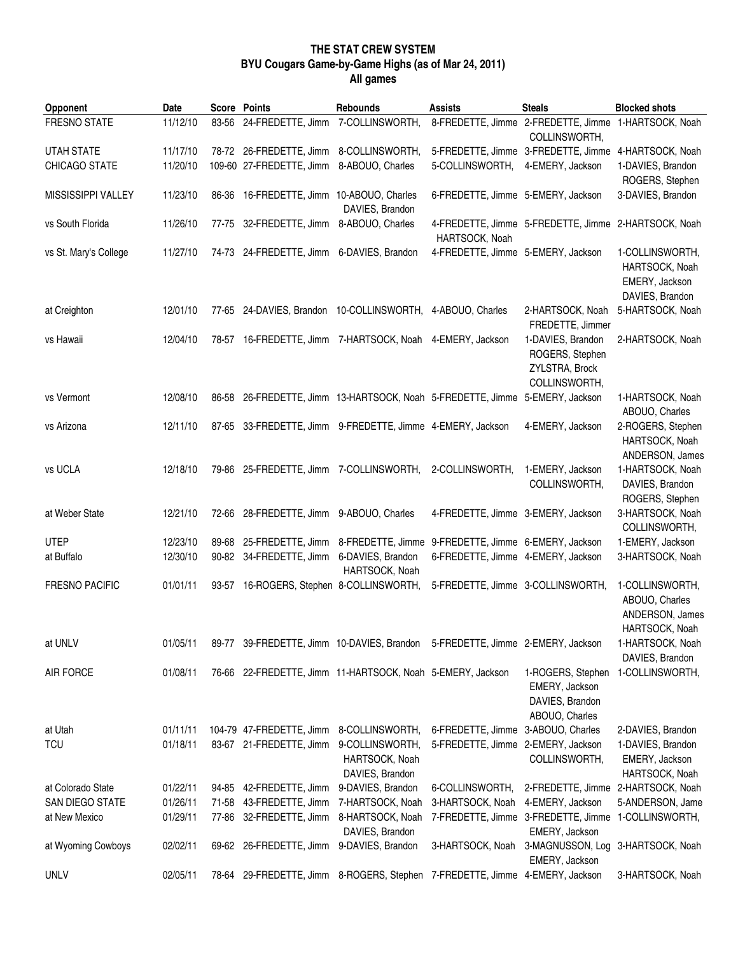## **THE STAT CREW SYSTEM BYU Cougars Game-by-Game Highs (as of Mar 24, 2011) All games**

| <b>Opponent</b>       | Date                 |       | <b>Score Points</b>                                                           | Rebounds                            | <b>Assists</b>                                                           | <b>Steals</b>                                                            | <b>Blocked shots</b>                                                   |
|-----------------------|----------------------|-------|-------------------------------------------------------------------------------|-------------------------------------|--------------------------------------------------------------------------|--------------------------------------------------------------------------|------------------------------------------------------------------------|
| FRESNO STATE          | 11/12/10             |       | 83-56 24-FREDETTE, Jimm 7-COLLINSWORTH,                                       |                                     |                                                                          | 8-FREDETTE, Jimme 2-FREDETTE, Jimme 1-HARTSOCK, Noah<br>COLLINSWORTH,    |                                                                        |
| <b>UTAH STATE</b>     | 11/17/10             |       | 78-72 26-FREDETTE, Jimm 8-COLLINSWORTH,                                       |                                     |                                                                          | 5-FREDETTE, Jimme 3-FREDETTE, Jimme                                      | 4-HARTSOCK, Noah                                                       |
| CHICAGO STATE         | 11/20/10             |       | 109-60 27-FREDETTE, Jimm                                                      | 8-ABOUO, Charles                    | 5-COLLINSWORTH,                                                          | 4-EMERY, Jackson                                                         | 1-DAVIES, Brandon<br>ROGERS, Stephen                                   |
| MISSISSIPPI VALLEY    | 11/23/10             | 86-36 | 16-FREDETTE, Jimm 10-ABOUO, Charles                                           | DAVIES, Brandon                     | 6-FREDETTE, Jimme 5-EMERY, Jackson                                       |                                                                          | 3-DAVIES, Brandon                                                      |
| vs South Florida      | 11/26/10             | 77-75 | 32-FREDETTE, Jimm 8-ABOUO, Charles                                            |                                     | HARTSOCK, Noah                                                           | 4-FREDETTE, Jimme 5-FREDETTE, Jimme 2-HARTSOCK, Noah                     |                                                                        |
| vs St. Mary's College | 11/27/10             |       | 74-73 24-FREDETTE, Jimm 6-DAVIES, Brandon                                     |                                     | 4-FREDETTE, Jimme 5-EMERY, Jackson                                       |                                                                          | 1-COLLINSWORTH,<br>HARTSOCK, Noah<br>EMERY, Jackson<br>DAVIES, Brandon |
| at Creighton          | 12/01/10             |       | 77-65 24-DAVIES, Brandon 10-COLLINSWORTH, 4-ABOUO, Charles                    |                                     |                                                                          | 2-HARTSOCK, Noah<br>FREDETTE, Jimmer                                     | 5-HARTSOCK, Noah                                                       |
| vs Hawaii             | 12/04/10             |       | 78-57 16-FREDETTE, Jimm 7-HARTSOCK, Noah 4-EMERY, Jackson                     |                                     |                                                                          | 1-DAVIES, Brandon<br>ROGERS, Stephen<br>ZYLSTRA, Brock<br>COLLINSWORTH,  | 2-HARTSOCK, Noah                                                       |
| vs Vermont            | 12/08/10             |       | 86-58 26-FREDETTE, Jimm 13-HARTSOCK, Noah 5-FREDETTE, Jimme 5-EMERY, Jackson  |                                     |                                                                          |                                                                          | 1-HARTSOCK, Noah<br>ABOUO, Charles                                     |
| vs Arizona            | 12/11/10             |       | 87-65 33-FREDETTE, Jimm 9-FREDETTE, Jimme 4-EMERY, Jackson                    |                                     |                                                                          | 4-EMERY, Jackson                                                         | 2-ROGERS, Stephen<br>HARTSOCK, Noah<br>ANDERSON, James                 |
| vs UCLA               | 12/18/10             |       | 79-86 25-FREDETTE, Jimm 7-COLLINSWORTH,                                       |                                     | 2-COLLINSWORTH,                                                          | 1-EMERY, Jackson<br>COLLINSWORTH,                                        | 1-HARTSOCK, Noah<br>DAVIES, Brandon<br>ROGERS, Stephen                 |
| at Weber State        | 12/21/10             |       | 72-66 28-FREDETTE, Jimm 9-ABOUO, Charles                                      |                                     | 4-FREDETTE, Jimme 3-EMERY, Jackson                                       |                                                                          | 3-HARTSOCK, Noah<br>COLLINSWORTH,                                      |
| <b>UTEP</b>           | 12/23/10             |       | 89-68 25-FREDETTE, Jimm 8-FREDETTE, Jimme 9-FREDETTE, Jimme 6-EMERY, Jackson  |                                     |                                                                          |                                                                          | 1-EMERY, Jackson                                                       |
| at Buffalo            | 12/30/10             |       | 90-82 34-FREDETTE, Jimm 6-DAVIES, Brandon                                     | HARTSOCK, Noah                      | 6-FREDETTE, Jimme 4-EMERY, Jackson                                       |                                                                          | 3-HARTSOCK, Noah                                                       |
| <b>FRESNO PACIFIC</b> | 01/01/11             | 93-57 | 16-ROGERS, Stephen 8-COLLINSWORTH,                                            |                                     | 5-FREDETTE, Jimme 3-COLLINSWORTH,                                        |                                                                          | 1-COLLINSWORTH,<br>ABOUO, Charles<br>ANDERSON, James<br>HARTSOCK, Noah |
| at UNLV               | 01/05/11             |       | 89-77 39-FREDETTE, Jimm 10-DAVIES, Brandon 5-FREDETTE, Jimme 2-EMERY, Jackson |                                     |                                                                          |                                                                          | 1-HARTSOCK, Noah<br>DAVIES, Brandon                                    |
| <b>AIR FORCE</b>      | 01/08/11             |       | 76-66 22-FREDETTE, Jimm 11-HARTSOCK, Noah 5-EMERY, Jackson                    |                                     |                                                                          | 1-ROGERS, Stephen<br>EMERY, Jackson<br>DAVIES, Brandon<br>ABOUO, Charles | 1-COLLINSWORTH,                                                        |
| at Utah<br><b>TCU</b> | 01/11/11<br>01/18/11 |       | 104-79 47-FREDETTE, Jimm<br>83-67 21-FREDETTE, Jimm                           | 8-COLLINSWORTH,<br>9-COLLINSWORTH,  | 6-FREDETTE, Jimme 3-ABOUO, Charles<br>5-FREDETTE, Jimme 2-EMERY, Jackson |                                                                          | 2-DAVIES, Brandon<br>1-DAVIES, Brandon                                 |
|                       |                      |       |                                                                               | HARTSOCK, Noah<br>DAVIES, Brandon   |                                                                          | COLLINSWORTH,                                                            | EMERY, Jackson<br>HARTSOCK, Noah                                       |
| at Colorado State     | 01/22/11             |       | 94-85 42-FREDETTE, Jimm                                                       | 9-DAVIES, Brandon                   | 6-COLLINSWORTH,                                                          | 2-FREDETTE, Jimme 2-HARTSOCK, Noah                                       |                                                                        |
| SAN DIEGO STATE       | 01/26/11             |       | 71-58 43-FREDETTE, Jimm                                                       | 7-HARTSOCK, Noah                    | 3-HARTSOCK, Noah                                                         | 4-EMERY, Jackson                                                         | 5-ANDERSON, Jame                                                       |
| at New Mexico         | 01/29/11             |       | 77-86 32-FREDETTE, Jimm                                                       | 8-HARTSOCK, Noah<br>DAVIES, Brandon |                                                                          | 7-FREDETTE, Jimme 3-FREDETTE, Jimme<br>EMERY, Jackson                    | 1-COLLINSWORTH,                                                        |
| at Wyoming Cowboys    | 02/02/11             |       | 69-62 26-FREDETTE, Jimm 9-DAVIES, Brandon                                     |                                     | 3-HARTSOCK, Noah                                                         | 3-MAGNUSSON, Log<br>EMERY, Jackson                                       | 3-HARTSOCK, Noah                                                       |
| <b>UNLV</b>           | 02/05/11             |       | 78-64 29-FREDETTE, Jimm 8-ROGERS, Stephen 7-FREDETTE, Jimme 4-EMERY, Jackson  |                                     |                                                                          |                                                                          | 3-HARTSOCK, Noah                                                       |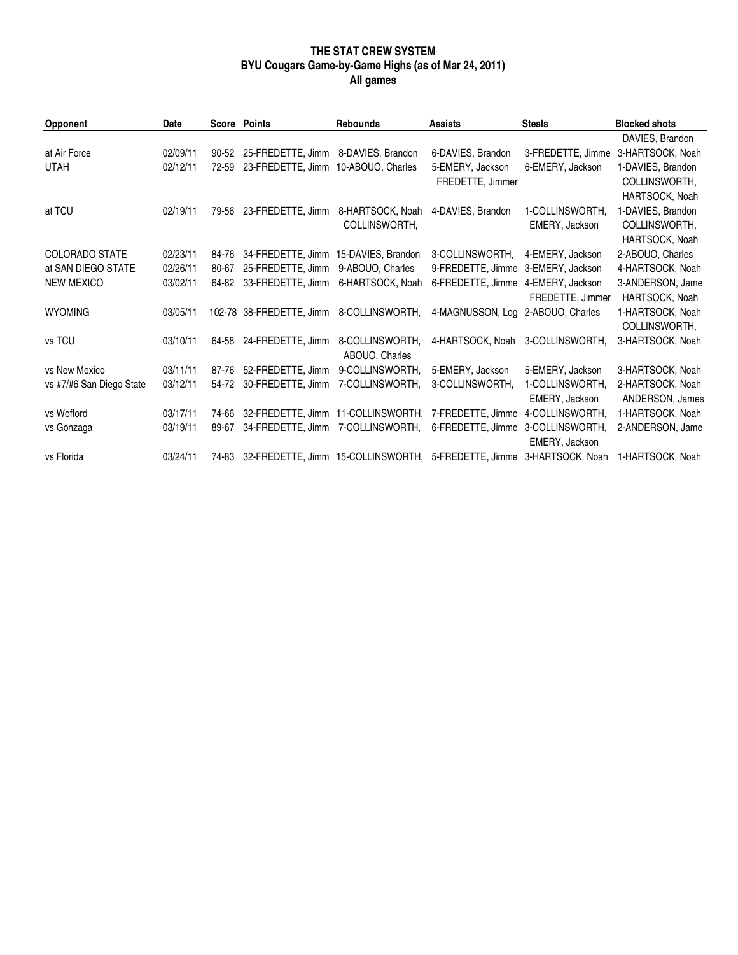### **THE STAT CREW SYSTEM BYU Cougars Game-by-Game Highs (as of Mar 24, 2011) All games**

| Opponent                 | Date     |           | Score Points                         | <b>Rebounds</b>                                                       | <b>Assists</b>                    | <b>Steals</b>     | <b>Blocked shots</b> |
|--------------------------|----------|-----------|--------------------------------------|-----------------------------------------------------------------------|-----------------------------------|-------------------|----------------------|
|                          |          |           |                                      |                                                                       |                                   |                   | DAVIES, Brandon      |
| at Air Force             | 02/09/11 | $90 - 52$ | 25-FREDETTE, Jimm 8-DAVIES, Brandon  |                                                                       | 6-DAVIES, Brandon                 | 3-FREDETTE, Jimme | 3-HARTSOCK, Noah     |
| <b>UTAH</b>              | 02/12/11 | 72-59     | 23-FREDETTE, Jimm 10-ABOUO, Charles  |                                                                       | 5-EMERY, Jackson                  | 6-EMERY, Jackson  | 1-DAVIES, Brandon    |
|                          |          |           |                                      |                                                                       | FREDETTE, Jimmer                  |                   | COLLINSWORTH,        |
|                          |          |           |                                      |                                                                       |                                   |                   | HARTSOCK, Noah       |
| at TCU                   | 02/19/11 | 79-56     | 23-FREDETTE, Jimm                    | 8-HARTSOCK, Noah                                                      | 4-DAVIES, Brandon                 | 1-COLLINSWORTH,   | 1-DAVIES, Brandon    |
|                          |          |           |                                      | COLLINSWORTH,                                                         |                                   | EMERY, Jackson    | COLLINSWORTH,        |
|                          |          |           |                                      |                                                                       |                                   |                   | HARTSOCK, Noah       |
| <b>COLORADO STATE</b>    | 02/23/11 | 84-76     | 34-FREDETTE, Jimm 15-DAVIES, Brandon |                                                                       | 3-COLLINSWORTH,                   | 4-EMERY, Jackson  | 2-ABOUO, Charles     |
| at SAN DIEGO STATE       | 02/26/11 | 80-67     | 25-FREDETTE, Jimm                    | 9-ABOUO, Charles                                                      | 9-FREDETTE, Jimme                 | 3-EMERY, Jackson  | 4-HARTSOCK, Noah     |
| <b>NEW MEXICO</b>        | 03/02/11 | 64-82     | 33-FREDETTE, Jimm                    | 6-HARTSOCK, Noah                                                      | 6-FREDETTE, Jimme                 | 4-EMERY, Jackson  | 3-ANDERSON, Jame     |
|                          |          |           |                                      |                                                                       |                                   | FREDETTE, Jimmer  | HARTSOCK, Noah       |
| <b>WYOMING</b>           | 03/05/11 |           | 102-78 38-FREDETTE, Jimm             | 8-COLLINSWORTH,                                                       | 4-MAGNUSSON, Log 2-ABOUO, Charles |                   | 1-HARTSOCK, Noah     |
|                          |          |           |                                      |                                                                       |                                   |                   | COLLINSWORTH,        |
| vs TCU                   | 03/10/11 | 64-58     | 24-FREDETTE, Jimm                    | 8-COLLINSWORTH,                                                       | 4-HARTSOCK, Noah                  | 3-COLLINSWORTH.   | 3-HARTSOCK, Noah     |
|                          |          |           |                                      | ABOUO, Charles                                                        |                                   |                   |                      |
| vs New Mexico            | 03/11/11 | 87-76     | 52-FREDETTE, Jimm                    | 9-COLLINSWORTH.                                                       | 5-EMERY, Jackson                  | 5-EMERY, Jackson  | 3-HARTSOCK, Noah     |
| vs #7/#6 San Diego State | 03/12/11 | 54-72     | 30-FREDETTE, Jimm                    | 7-COLLINSWORTH,                                                       | 3-COLLINSWORTH,                   | 1-COLLINSWORTH,   | 2-HARTSOCK, Noah     |
|                          |          |           |                                      |                                                                       |                                   | EMERY, Jackson    | ANDERSON, James      |
| vs Wofford               | 03/17/11 | 74-66     | 32-FREDETTE, Jimm 11-COLLINSWORTH,   |                                                                       | 7-FREDETTE, Jimme                 | 4-COLLINSWORTH,   | 1-HARTSOCK, Noah     |
| vs Gonzaga               | 03/19/11 | 89-67     | 34-FREDETTE, Jimm 7-COLLINSWORTH,    |                                                                       | 6-FREDETTE, Jimme                 | 3-COLLINSWORTH,   | 2-ANDERSON, Jame     |
|                          |          |           |                                      |                                                                       |                                   | EMERY, Jackson    |                      |
| vs Florida               | 03/24/11 | 74-83     |                                      | 32-FREDETTE, Jimm 15-COLLINSWORTH, 5-FREDETTE, Jimme 3-HARTSOCK, Noah |                                   |                   | 1-HARTSOCK, Noah     |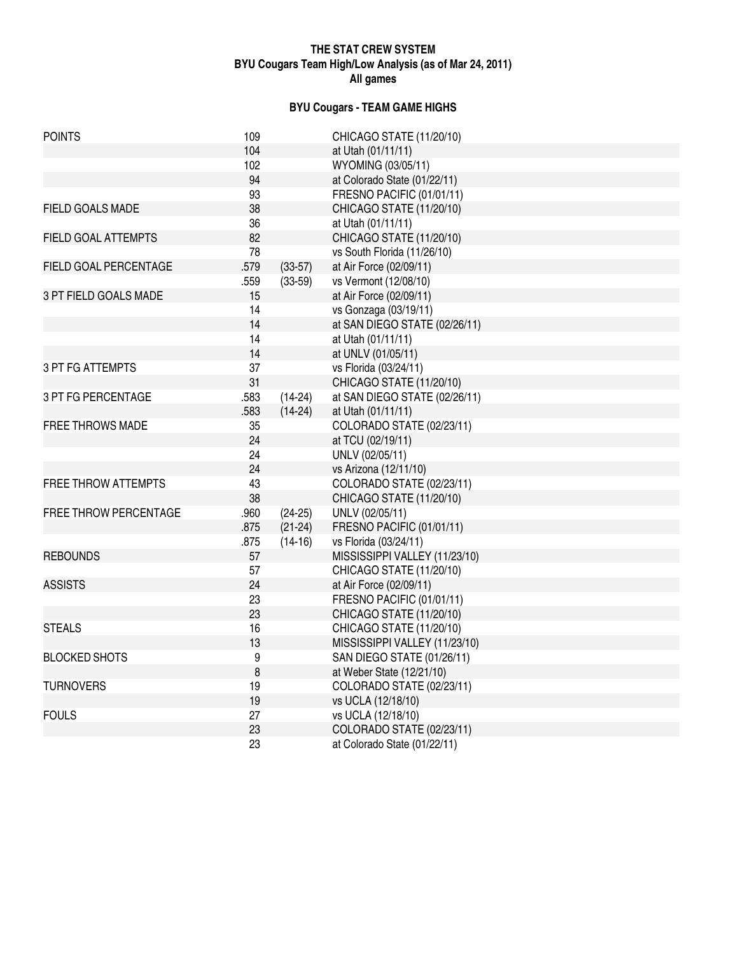### **THE STAT CREW SYSTEM BYU Cougars Team High/Low Analysis (as of Mar 24, 2011) All games**

## **BYU Cougars - TEAM GAME HIGHS**

| <b>POINTS</b>              | 109     |           | CHICAGO STATE (11/20/10)      |
|----------------------------|---------|-----------|-------------------------------|
|                            | 104     |           | at Utah (01/11/11)            |
|                            | 102     |           | WYOMING (03/05/11)            |
|                            | 94      |           | at Colorado State (01/22/11)  |
|                            | 93      |           | FRESNO PACIFIC (01/01/11)     |
| <b>FIELD GOALS MADE</b>    | 38      |           | CHICAGO STATE (11/20/10)      |
|                            | 36      |           | at Utah (01/11/11)            |
| FIELD GOAL ATTEMPTS        | 82      |           | CHICAGO STATE (11/20/10)      |
|                            | 78      |           | vs South Florida (11/26/10)   |
| FIELD GOAL PERCENTAGE      | .579    | $(33-57)$ | at Air Force (02/09/11)       |
|                            | .559    | $(33-59)$ | vs Vermont (12/08/10)         |
| 3 PT FIELD GOALS MADE      | 15      |           | at Air Force (02/09/11)       |
|                            | 14      |           | vs Gonzaga (03/19/11)         |
|                            | 14      |           | at SAN DIEGO STATE (02/26/11) |
|                            | 14      |           | at Utah (01/11/11)            |
|                            | 14      |           | at UNLV (01/05/11)            |
| <b>3 PT FG ATTEMPTS</b>    | 37      |           | vs Florida (03/24/11)         |
|                            | 31      |           | CHICAGO STATE (11/20/10)      |
| 3 PT FG PERCENTAGE         | .583    | $(14-24)$ | at SAN DIEGO STATE (02/26/11) |
|                            | .583    | $(14-24)$ | at Utah (01/11/11)            |
| <b>FREE THROWS MADE</b>    | 35      |           | COLORADO STATE (02/23/11)     |
|                            | 24      |           | at TCU (02/19/11)             |
|                            | 24      |           | UNLV (02/05/11)               |
|                            | 24      |           | vs Arizona (12/11/10)         |
| <b>FREE THROW ATTEMPTS</b> | 43      |           | COLORADO STATE (02/23/11)     |
|                            | 38      |           | CHICAGO STATE (11/20/10)      |
| FREE THROW PERCENTAGE      | .960    | $(24-25)$ | UNLV (02/05/11)               |
|                            | .875    | $(21-24)$ | FRESNO PACIFIC (01/01/11)     |
|                            | .875    | $(14-16)$ | vs Florida (03/24/11)         |
| <b>REBOUNDS</b>            | 57      |           | MISSISSIPPI VALLEY (11/23/10) |
|                            | 57      |           | CHICAGO STATE (11/20/10)      |
| <b>ASSISTS</b>             | 24      |           | at Air Force (02/09/11)       |
|                            | 23      |           | FRESNO PACIFIC (01/01/11)     |
|                            | 23      |           | CHICAGO STATE (11/20/10)      |
| <b>STEALS</b>              | 16      |           | CHICAGO STATE (11/20/10)      |
|                            | 13      |           | MISSISSIPPI VALLEY (11/23/10) |
| <b>BLOCKED SHOTS</b>       | 9       |           | SAN DIEGO STATE (01/26/11)    |
|                            | $\,8\,$ |           | at Weber State (12/21/10)     |
| <b>TURNOVERS</b>           | 19      |           | COLORADO STATE (02/23/11)     |
|                            | 19      |           | vs UCLA (12/18/10)            |
| <b>FOULS</b>               | 27      |           | vs UCLA (12/18/10)            |
|                            | 23      |           | COLORADO STATE (02/23/11)     |
|                            | 23      |           | at Colorado State (01/22/11)  |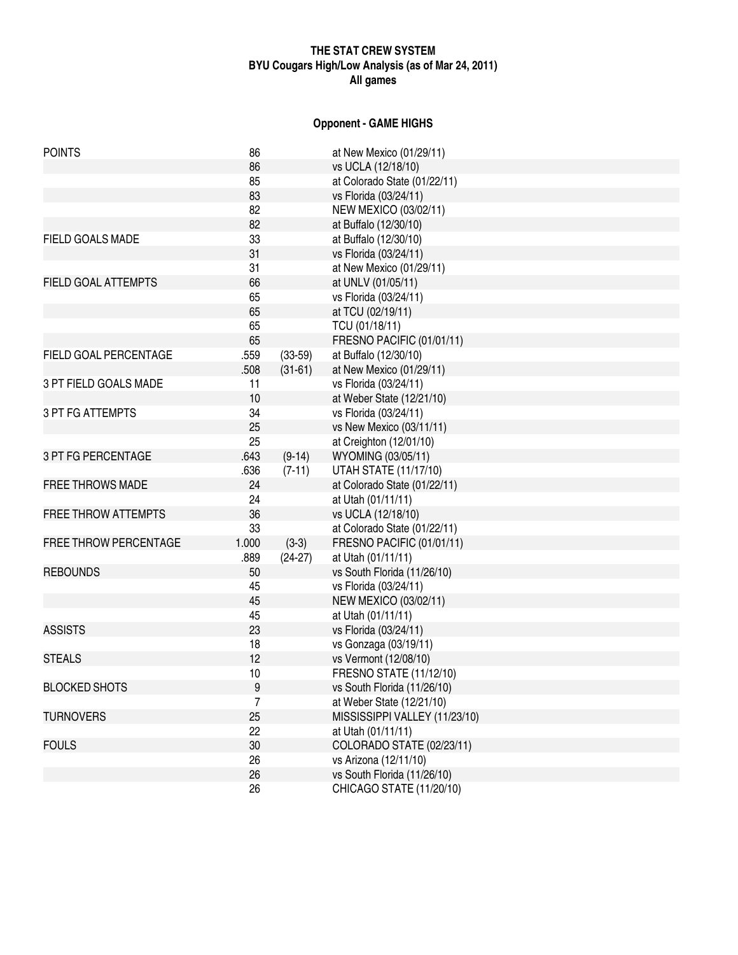## **THE STAT CREW SYSTEM BYU Cougars High/Low Analysis (as of Mar 24, 2011) All games**

## **Opponent - GAME HIGHS**

| <b>POINTS</b>              | 86    |           | at New Mexico (01/29/11)       |
|----------------------------|-------|-----------|--------------------------------|
|                            | 86    |           | vs UCLA (12/18/10)             |
|                            | 85    |           | at Colorado State (01/22/11)   |
|                            | 83    |           | vs Florida (03/24/11)          |
|                            | 82    |           | NEW MEXICO (03/02/11)          |
|                            | 82    |           | at Buffalo (12/30/10)          |
| FIELD GOALS MADE           | 33    |           | at Buffalo (12/30/10)          |
|                            | 31    |           | vs Florida (03/24/11)          |
|                            | 31    |           | at New Mexico (01/29/11)       |
| <b>FIELD GOAL ATTEMPTS</b> | 66    |           | at UNLV (01/05/11)             |
|                            | 65    |           | vs Florida (03/24/11)          |
|                            | 65    |           | at TCU (02/19/11)              |
|                            | 65    |           | TCU (01/18/11)                 |
|                            | 65    |           | FRESNO PACIFIC (01/01/11)      |
| FIELD GOAL PERCENTAGE      | .559  | $(33-59)$ | at Buffalo (12/30/10)          |
|                            | .508  | $(31-61)$ | at New Mexico (01/29/11)       |
| 3 PT FIELD GOALS MADE      | 11    |           | vs Florida (03/24/11)          |
|                            | 10    |           | at Weber State (12/21/10)      |
| <b>3 PT FG ATTEMPTS</b>    | 34    |           | vs Florida (03/24/11)          |
|                            | 25    |           | vs New Mexico (03/11/11)       |
|                            | 25    |           | at Creighton (12/01/10)        |
| <b>3 PT FG PERCENTAGE</b>  | .643  | $(9-14)$  | WYOMING (03/05/11)             |
|                            | .636  | $(7-11)$  | <b>UTAH STATE (11/17/10)</b>   |
| <b>FREE THROWS MADE</b>    | 24    |           | at Colorado State (01/22/11)   |
|                            | 24    |           | at Utah (01/11/11)             |
| <b>FREE THROW ATTEMPTS</b> | 36    |           | vs UCLA (12/18/10)             |
|                            | 33    |           | at Colorado State (01/22/11)   |
| FREE THROW PERCENTAGE      | 1.000 | $(3-3)$   | FRESNO PACIFIC (01/01/11)      |
|                            | .889  | $(24-27)$ | at Utah (01/11/11)             |
| <b>REBOUNDS</b>            | 50    |           | vs South Florida (11/26/10)    |
|                            | 45    |           | vs Florida (03/24/11)          |
|                            | 45    |           | NEW MEXICO (03/02/11)          |
|                            | 45    |           | at Utah (01/11/11)             |
| <b>ASSISTS</b>             | 23    |           | vs Florida (03/24/11)          |
|                            | 18    |           | vs Gonzaga (03/19/11)          |
| <b>STEALS</b>              | 12    |           | vs Vermont (12/08/10)          |
|                            | 10    |           | <b>FRESNO STATE (11/12/10)</b> |
| <b>BLOCKED SHOTS</b>       | 9     |           | vs South Florida (11/26/10)    |
|                            | 7     |           | at Weber State (12/21/10)      |
| <b>TURNOVERS</b>           | 25    |           | MISSISSIPPI VALLEY (11/23/10)  |
|                            | 22    |           | at Utah (01/11/11)             |
| <b>FOULS</b>               | 30    |           | COLORADO STATE (02/23/11)      |
|                            | 26    |           | vs Arizona (12/11/10)          |
|                            | 26    |           | vs South Florida (11/26/10)    |
|                            | 26    |           | CHICAGO STATE (11/20/10)       |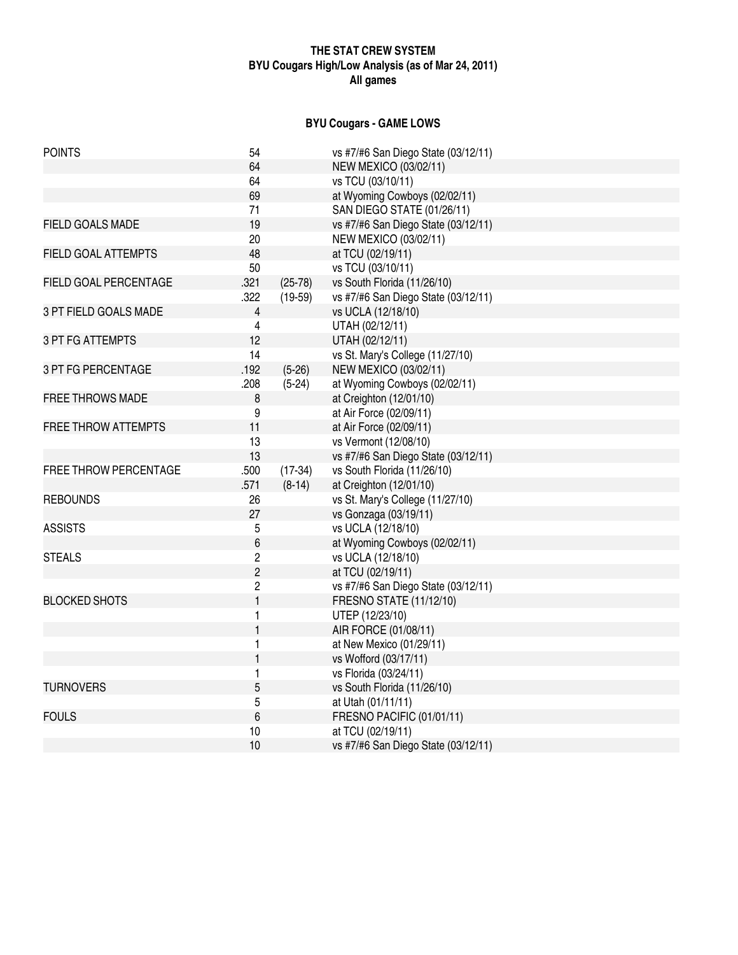## **THE STAT CREW SYSTEM BYU Cougars High/Low Analysis (as of Mar 24, 2011) All games**

# **BYU Cougars - GAME LOWS**

| <b>POINTS</b>              | 54             |           | vs #7/#6 San Diego State (03/12/11) |
|----------------------------|----------------|-----------|-------------------------------------|
|                            | 64             |           | NEW MEXICO (03/02/11)               |
|                            | 64             |           | vs TCU (03/10/11)                   |
|                            | 69             |           | at Wyoming Cowboys (02/02/11)       |
|                            | 71             |           | SAN DIEGO STATE (01/26/11)          |
| <b>FIELD GOALS MADE</b>    | 19             |           | vs #7/#6 San Diego State (03/12/11) |
|                            | 20             |           | NEW MEXICO (03/02/11)               |
| <b>FIELD GOAL ATTEMPTS</b> | 48             |           | at TCU (02/19/11)                   |
|                            | 50             |           | vs TCU (03/10/11)                   |
| FIELD GOAL PERCENTAGE      | .321           | $(25-78)$ | vs South Florida (11/26/10)         |
|                            | .322           | $(19-59)$ | vs #7/#6 San Diego State (03/12/11) |
| 3 PT FIELD GOALS MADE      | $\overline{4}$ |           | vs UCLA (12/18/10)                  |
|                            | 4              |           | UTAH (02/12/11)                     |
| <b>3 PT FG ATTEMPTS</b>    | 12             |           | UTAH (02/12/11)                     |
|                            | 14             |           | vs St. Mary's College (11/27/10)    |
| 3 PT FG PERCENTAGE         | .192           | $(5-26)$  | <b>NEW MEXICO (03/02/11)</b>        |
|                            | .208           | $(5-24)$  | at Wyoming Cowboys (02/02/11)       |
| <b>FREE THROWS MADE</b>    | 8              |           | at Creighton (12/01/10)             |
|                            | 9              |           | at Air Force (02/09/11)             |
| <b>FREE THROW ATTEMPTS</b> | 11             |           | at Air Force (02/09/11)             |
|                            | 13             |           | vs Vermont (12/08/10)               |
|                            | 13             |           | vs #7/#6 San Diego State (03/12/11) |
| FREE THROW PERCENTAGE      | .500           | $(17-34)$ | vs South Florida (11/26/10)         |
|                            | .571           | $(8-14)$  | at Creighton (12/01/10)             |
| <b>REBOUNDS</b>            | 26             |           | vs St. Mary's College (11/27/10)    |
|                            | 27             |           | vs Gonzaga (03/19/11)               |
| <b>ASSISTS</b>             | 5              |           | vs UCLA (12/18/10)                  |
|                            | 6              |           | at Wyoming Cowboys (02/02/11)       |
| <b>STEALS</b>              | $\overline{c}$ |           | vs UCLA (12/18/10)                  |
|                            | $\overline{c}$ |           | at TCU (02/19/11)                   |
|                            | $\overline{2}$ |           | vs #7/#6 San Diego State (03/12/11) |
| <b>BLOCKED SHOTS</b>       | $\mathbf{1}$   |           | <b>FRESNO STATE (11/12/10)</b>      |
|                            | 1              |           | UTEP (12/23/10)                     |
|                            | $\mathbf{1}$   |           | AIR FORCE (01/08/11)                |
|                            | 1              |           | at New Mexico (01/29/11)            |
|                            | 1              |           | vs Wofford (03/17/11)               |
|                            | 1              |           | vs Florida (03/24/11)               |
| <b>TURNOVERS</b>           | 5              |           | vs South Florida (11/26/10)         |
|                            | 5              |           | at Utah (01/11/11)                  |
| <b>FOULS</b>               | $6\phantom{1}$ |           | FRESNO PACIFIC (01/01/11)           |
|                            | 10             |           | at TCU (02/19/11)                   |
|                            | 10             |           | vs #7/#6 San Diego State (03/12/11) |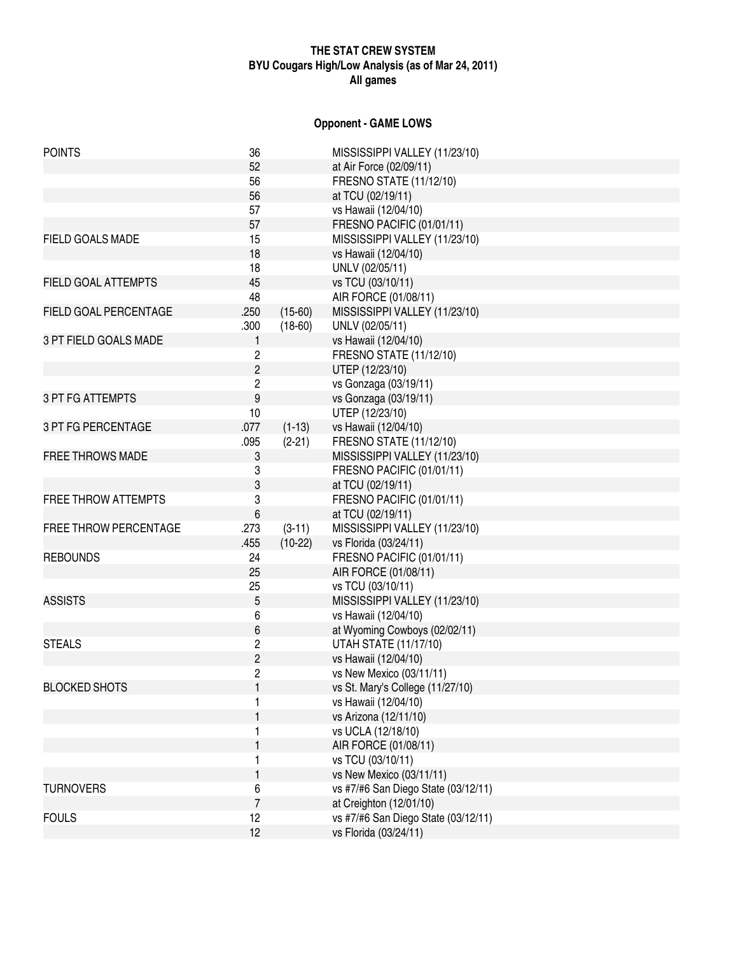## **THE STAT CREW SYSTEM BYU Cougars High/Low Analysis (as of Mar 24, 2011) All games**

## **Opponent - GAME LOWS**

| <b>POINTS</b>              | 36               |           | MISSISSIPPI VALLEY (11/23/10)       |
|----------------------------|------------------|-----------|-------------------------------------|
|                            | 52               |           | at Air Force (02/09/11)             |
|                            | 56               |           | <b>FRESNO STATE (11/12/10)</b>      |
|                            | 56               |           | at TCU (02/19/11)                   |
|                            | 57               |           | vs Hawaii (12/04/10)                |
|                            | 57               |           | FRESNO PACIFIC (01/01/11)           |
| FIELD GOALS MADE           | 15               |           | MISSISSIPPI VALLEY (11/23/10)       |
|                            | 18               |           | vs Hawaii (12/04/10)                |
|                            | 18               |           | UNLV (02/05/11)                     |
| <b>FIELD GOAL ATTEMPTS</b> | 45               |           | vs TCU (03/10/11)                   |
|                            | 48               |           | AIR FORCE (01/08/11)                |
| FIELD GOAL PERCENTAGE      | .250             | $(15-60)$ | MISSISSIPPI VALLEY (11/23/10)       |
|                            | .300             | $(18-60)$ | UNLV (02/05/11)                     |
| 3 PT FIELD GOALS MADE      | $\mathbf{1}$     |           | vs Hawaii (12/04/10)                |
|                            | $\overline{c}$   |           | FRESNO STATE (11/12/10)             |
|                            | $\overline{c}$   |           | UTEP (12/23/10)                     |
|                            | $\overline{c}$   |           | vs Gonzaga (03/19/11)               |
| <b>3 PT FG ATTEMPTS</b>    | 9                |           |                                     |
|                            |                  |           | vs Gonzaga (03/19/11)               |
|                            | 10               |           | UTEP (12/23/10)                     |
| 3 PT FG PERCENTAGE         | .077             | $(1-13)$  | vs Hawaii (12/04/10)                |
|                            | .095             | $(2-21)$  | FRESNO STATE (11/12/10)             |
| <b>FREE THROWS MADE</b>    | 3                |           | MISSISSIPPI VALLEY (11/23/10)       |
|                            | 3                |           | FRESNO PACIFIC (01/01/11)           |
|                            | 3                |           | at TCU (02/19/11)                   |
| <b>FREE THROW ATTEMPTS</b> | 3                |           | FRESNO PACIFIC (01/01/11)           |
|                            | $\boldsymbol{6}$ |           | at TCU (02/19/11)                   |
| FREE THROW PERCENTAGE      | .273             | $(3-11)$  | MISSISSIPPI VALLEY (11/23/10)       |
|                            | .455             | $(10-22)$ | vs Florida (03/24/11)               |
| <b>REBOUNDS</b>            | 24               |           | FRESNO PACIFIC (01/01/11)           |
|                            | 25               |           | AIR FORCE (01/08/11)                |
|                            | 25               |           | vs TCU (03/10/11)                   |
| <b>ASSISTS</b>             | 5                |           | MISSISSIPPI VALLEY (11/23/10)       |
|                            | 6                |           | vs Hawaii (12/04/10)                |
|                            | 6                |           | at Wyoming Cowboys (02/02/11)       |
| <b>STEALS</b>              | $\overline{c}$   |           | <b>UTAH STATE (11/17/10)</b>        |
|                            | $\overline{2}$   |           | vs Hawaii (12/04/10)                |
|                            | $\overline{c}$   |           | vs New Mexico (03/11/11)            |
| <b>BLOCKED SHOTS</b>       |                  |           | vs St. Mary's College (11/27/10)    |
|                            |                  |           | vs Hawaii (12/04/10)                |
|                            |                  |           | vs Arizona (12/11/10)               |
|                            |                  |           | vs UCLA (12/18/10)                  |
|                            |                  |           | AIR FORCE (01/08/11)                |
|                            |                  |           | vs TCU (03/10/11)                   |
|                            |                  |           | vs New Mexico (03/11/11)            |
| <b>TURNOVERS</b>           | 6                |           | vs #7/#6 San Diego State (03/12/11) |
|                            | $\overline{7}$   |           | at Creighton (12/01/10)             |
| <b>FOULS</b>               | 12               |           | vs #7/#6 San Diego State (03/12/11) |
|                            | 12               |           | vs Florida (03/24/11)               |
|                            |                  |           |                                     |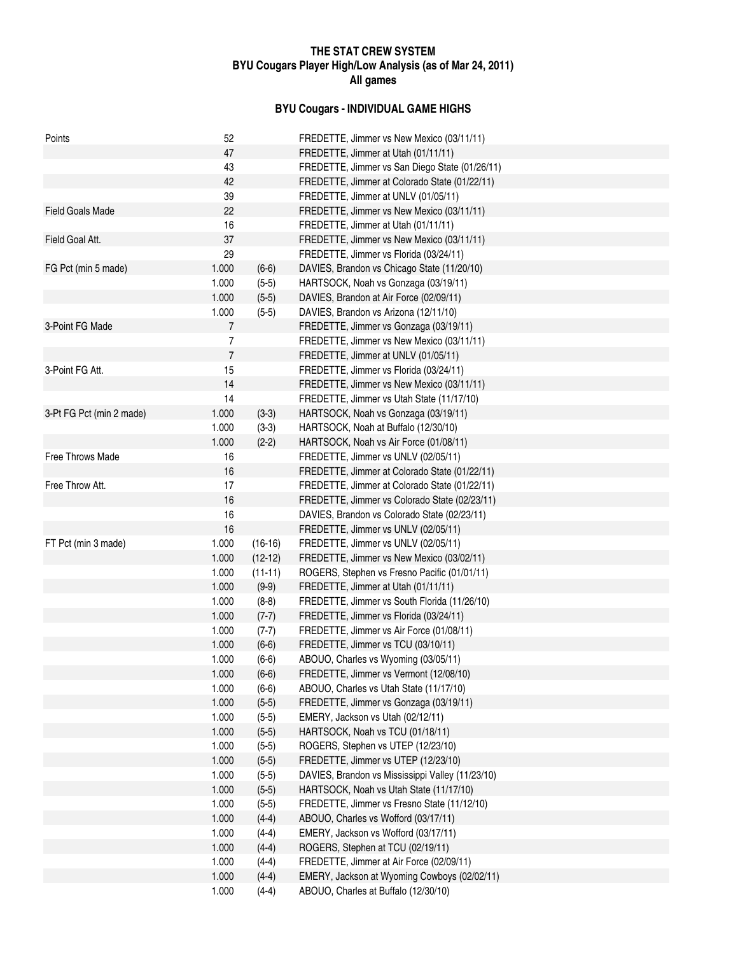## **THE STAT CREW SYSTEM BYU Cougars Player High/Low Analysis (as of Mar 24, 2011) All games**

## **BYU Cougars - INDIVIDUAL GAME HIGHS**

| Points                   | 52             |           | FREDETTE, Jimmer vs New Mexico (03/11/11)        |
|--------------------------|----------------|-----------|--------------------------------------------------|
|                          | 47             |           | FREDETTE, Jimmer at Utah (01/11/11)              |
|                          | 43             |           | FREDETTE, Jimmer vs San Diego State (01/26/11)   |
|                          | 42             |           | FREDETTE, Jimmer at Colorado State (01/22/11)    |
|                          | 39             |           | FREDETTE, Jimmer at UNLV (01/05/11)              |
| <b>Field Goals Made</b>  | 22             |           | FREDETTE, Jimmer vs New Mexico (03/11/11)        |
|                          | 16             |           | FREDETTE, Jimmer at Utah (01/11/11)              |
| Field Goal Att.          | 37             |           | FREDETTE, Jimmer vs New Mexico (03/11/11)        |
|                          | 29             |           | FREDETTE, Jimmer vs Florida (03/24/11)           |
| FG Pct (min 5 made)      | 1.000          | $(6-6)$   | DAVIES, Brandon vs Chicago State (11/20/10)      |
|                          | 1.000          | $(5-5)$   | HARTSOCK, Noah vs Gonzaga (03/19/11)             |
|                          | 1.000          | $(5-5)$   | DAVIES, Brandon at Air Force (02/09/11)          |
|                          | 1.000          | $(5-5)$   | DAVIES, Brandon vs Arizona (12/11/10)            |
| 3-Point FG Made          | 7              |           | FREDETTE, Jimmer vs Gonzaga (03/19/11)           |
|                          | 7              |           | FREDETTE, Jimmer vs New Mexico (03/11/11)        |
|                          | $\overline{7}$ |           | FREDETTE, Jimmer at UNLV (01/05/11)              |
| 3-Point FG Att.          | 15             |           | FREDETTE, Jimmer vs Florida (03/24/11)           |
|                          | 14             |           | FREDETTE, Jimmer vs New Mexico (03/11/11)        |
|                          | 14             |           | FREDETTE, Jimmer vs Utah State (11/17/10)        |
| 3-Pt FG Pct (min 2 made) | 1.000          | $(3-3)$   | HARTSOCK, Noah vs Gonzaga (03/19/11)             |
|                          | 1.000          | $(3-3)$   | HARTSOCK, Noah at Buffalo (12/30/10)             |
|                          | 1.000          | $(2-2)$   | HARTSOCK, Noah vs Air Force (01/08/11)           |
| Free Throws Made         | 16             |           | FREDETTE, Jimmer vs UNLV (02/05/11)              |
|                          | 16             |           | FREDETTE, Jimmer at Colorado State (01/22/11)    |
| Free Throw Att.          | 17             |           | FREDETTE, Jimmer at Colorado State (01/22/11)    |
|                          | 16             |           | FREDETTE, Jimmer vs Colorado State (02/23/11)    |
|                          | 16             |           | DAVIES, Brandon vs Colorado State (02/23/11)     |
|                          | 16             |           | FREDETTE, Jimmer vs UNLV (02/05/11)              |
| FT Pct (min 3 made)      | 1.000          | $(16-16)$ | FREDETTE, Jimmer vs UNLV (02/05/11)              |
|                          | 1.000          | $(12-12)$ | FREDETTE, Jimmer vs New Mexico (03/02/11)        |
|                          | 1.000          | $(11-11)$ | ROGERS, Stephen vs Fresno Pacific (01/01/11)     |
|                          | 1.000          | $(9-9)$   | FREDETTE, Jimmer at Utah (01/11/11)              |
|                          | 1.000          | $(8-8)$   | FREDETTE, Jimmer vs South Florida (11/26/10)     |
|                          | 1.000          | $(7-7)$   | FREDETTE, Jimmer vs Florida (03/24/11)           |
|                          | 1.000          | $(7-7)$   | FREDETTE, Jimmer vs Air Force (01/08/11)         |
|                          | 1.000          | $(6-6)$   | FREDETTE, Jimmer vs TCU (03/10/11)               |
|                          | 1.000          | $(6-6)$   | ABOUO, Charles vs Wyoming (03/05/11)             |
|                          | 1.000          | $(6-6)$   | FREDETTE, Jimmer vs Vermont (12/08/10)           |
|                          | 1.000          | $(6-6)$   | ABOUO, Charles vs Utah State (11/17/10)          |
|                          | 1.000          | $(5-5)$   | FREDETTE, Jimmer vs Gonzaga (03/19/11)           |
|                          | 1.000          | $(5-5)$   | EMERY, Jackson vs Utah (02/12/11)                |
|                          | 1.000          | $(5-5)$   | HARTSOCK, Noah vs TCU (01/18/11)                 |
|                          | 1.000          | $(5-5)$   | ROGERS, Stephen vs UTEP (12/23/10)               |
|                          | 1.000          | $(5-5)$   | FREDETTE, Jimmer vs UTEP (12/23/10)              |
|                          | 1.000          | $(5-5)$   | DAVIES, Brandon vs Mississippi Valley (11/23/10) |
|                          | 1.000          | $(5-5)$   | HARTSOCK, Noah vs Utah State (11/17/10)          |
|                          | 1.000          | $(5-5)$   | FREDETTE, Jimmer vs Fresno State (11/12/10)      |
|                          | 1.000          | $(4-4)$   | ABOUO, Charles vs Wofford (03/17/11)             |
|                          | 1.000          | $(4-4)$   | EMERY, Jackson vs Wofford (03/17/11)             |
|                          | 1.000          | $(4-4)$   | ROGERS, Stephen at TCU (02/19/11)                |
|                          | 1.000          | $(4-4)$   | FREDETTE, Jimmer at Air Force (02/09/11)         |
|                          | 1.000          | $(4-4)$   | EMERY, Jackson at Wyoming Cowboys (02/02/11)     |
|                          | 1.000          | $(4-4)$   | ABOUO, Charles at Buffalo (12/30/10)             |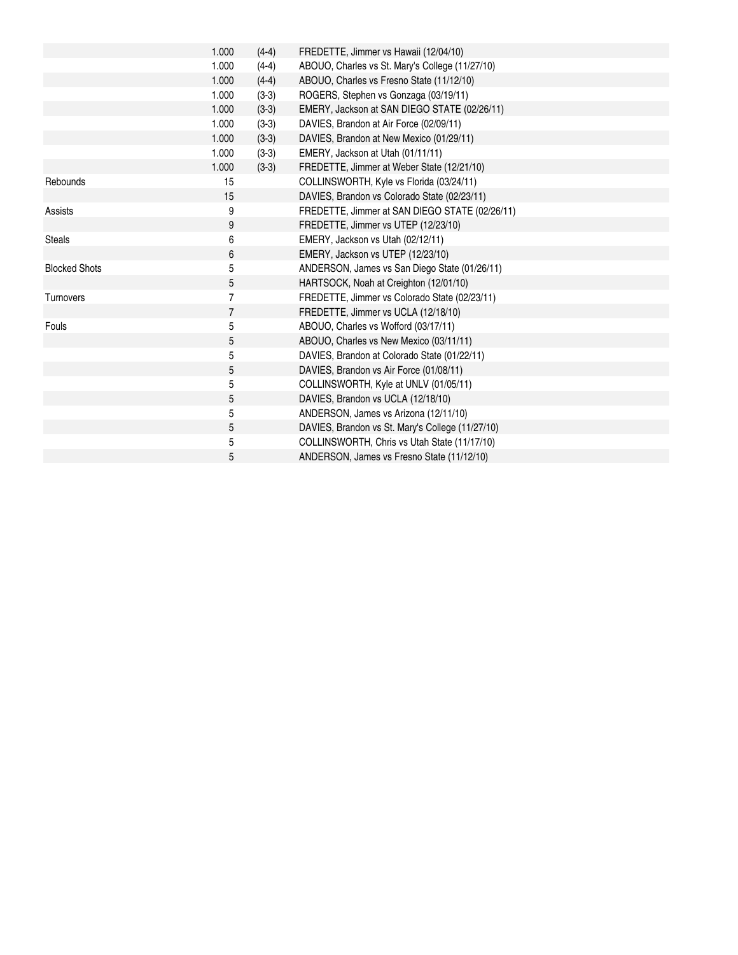|                      | 1.000          | $(4-4)$ | FREDETTE, Jimmer vs Hawaii (12/04/10)            |
|----------------------|----------------|---------|--------------------------------------------------|
|                      | 1.000          | $(4-4)$ | ABOUO, Charles vs St. Mary's College (11/27/10)  |
|                      | 1.000          | $(4-4)$ | ABOUO, Charles vs Fresno State (11/12/10)        |
|                      | 1.000          | $(3-3)$ | ROGERS, Stephen vs Gonzaga (03/19/11)            |
|                      | 1.000          | $(3-3)$ | EMERY, Jackson at SAN DIEGO STATE (02/26/11)     |
|                      | 1.000          | $(3-3)$ | DAVIES, Brandon at Air Force (02/09/11)          |
|                      | 1.000          | $(3-3)$ | DAVIES, Brandon at New Mexico (01/29/11)         |
|                      | 1.000          | $(3-3)$ | EMERY, Jackson at Utah (01/11/11)                |
|                      | 1.000          | $(3-3)$ | FREDETTE, Jimmer at Weber State (12/21/10)       |
| Rebounds             | 15             |         | COLLINSWORTH, Kyle vs Florida (03/24/11)         |
|                      | 15             |         | DAVIES, Brandon vs Colorado State (02/23/11)     |
| <b>Assists</b>       | 9              |         | FREDETTE, Jimmer at SAN DIEGO STATE (02/26/11)   |
|                      | 9              |         | FREDETTE, Jimmer vs UTEP (12/23/10)              |
| <b>Steals</b>        | 6              |         | EMERY, Jackson vs Utah (02/12/11)                |
|                      | 6              |         | EMERY, Jackson vs UTEP (12/23/10)                |
| <b>Blocked Shots</b> | 5              |         | ANDERSON, James vs San Diego State (01/26/11)    |
|                      | $\mathbf 5$    |         | HARTSOCK, Noah at Creighton (12/01/10)           |
| <b>Turnovers</b>     | $\overline{7}$ |         | FREDETTE, Jimmer vs Colorado State (02/23/11)    |
|                      | $\overline{7}$ |         | FREDETTE, Jimmer vs UCLA (12/18/10)              |
| Fouls                | 5              |         | ABOUO, Charles vs Wofford (03/17/11)             |
|                      | 5              |         | ABOUO, Charles vs New Mexico (03/11/11)          |
|                      | 5              |         | DAVIES, Brandon at Colorado State (01/22/11)     |
|                      | 5              |         | DAVIES, Brandon vs Air Force (01/08/11)          |
|                      | 5              |         | COLLINSWORTH, Kyle at UNLV (01/05/11)            |
|                      | 5              |         | DAVIES, Brandon vs UCLA (12/18/10)               |
|                      | 5              |         | ANDERSON, James vs Arizona (12/11/10)            |
|                      | 5              |         | DAVIES, Brandon vs St. Mary's College (11/27/10) |
|                      | 5              |         | COLLINSWORTH, Chris vs Utah State (11/17/10)     |
|                      | 5              |         | ANDERSON, James vs Fresno State (11/12/10)       |
|                      |                |         |                                                  |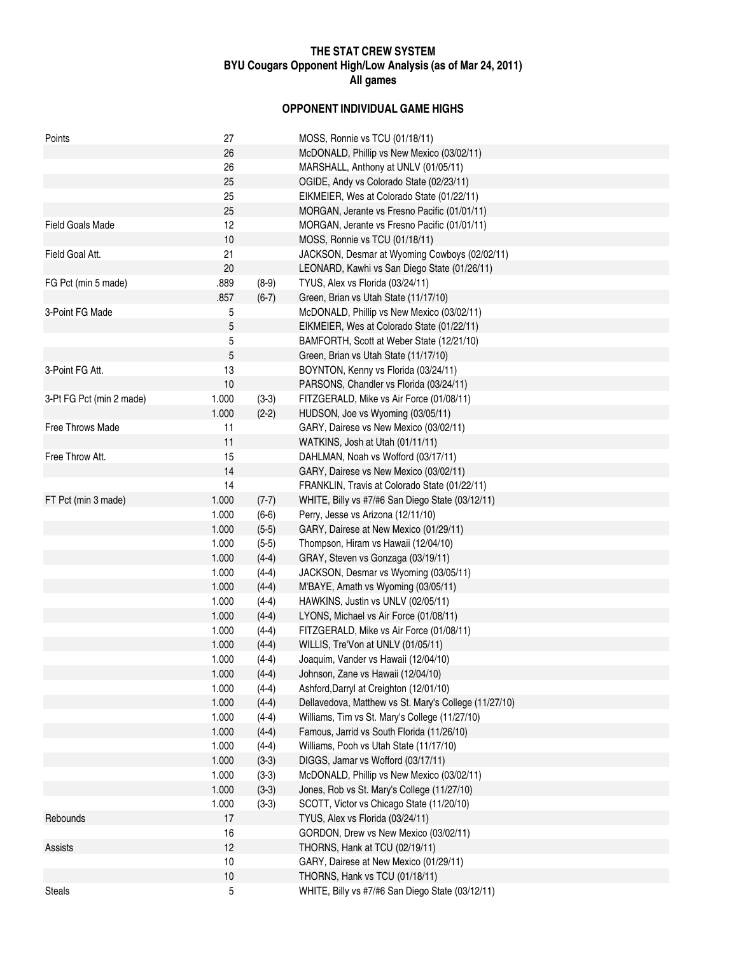## **THE STAT CREW SYSTEM BYU Cougars Opponent High/Low Analysis (as of Mar 24, 2011) All games**

## **OPPONENT INDIVIDUAL GAME HIGHS**

| Points                   | 27    |                    | MOSS, Ronnie vs TCU (01/18/11)                        |
|--------------------------|-------|--------------------|-------------------------------------------------------|
|                          | 26    |                    | McDONALD, Phillip vs New Mexico (03/02/11)            |
|                          | 26    |                    | MARSHALL, Anthony at UNLV (01/05/11)                  |
|                          | 25    |                    | OGIDE, Andy vs Colorado State (02/23/11)              |
|                          | 25    |                    | EIKMEIER, Wes at Colorado State (01/22/11)            |
|                          | 25    |                    | MORGAN, Jerante vs Fresno Pacific (01/01/11)          |
| <b>Field Goals Made</b>  | 12    |                    | MORGAN, Jerante vs Fresno Pacific (01/01/11)          |
|                          | 10    |                    | MOSS, Ronnie vs TCU (01/18/11)                        |
| Field Goal Att.          | 21    |                    | JACKSON, Desmar at Wyoming Cowboys (02/02/11)         |
|                          | 20    |                    | LEONARD, Kawhi vs San Diego State (01/26/11)          |
| FG Pct (min 5 made)      | .889  | $(8-9)$            | TYUS, Alex vs Florida (03/24/11)                      |
|                          | .857  | $(6-7)$            | Green, Brian vs Utah State (11/17/10)                 |
| 3-Point FG Made          | 5     |                    | McDONALD, Phillip vs New Mexico (03/02/11)            |
|                          | 5     |                    | EIKMEIER, Wes at Colorado State (01/22/11)            |
|                          | 5     |                    | BAMFORTH, Scott at Weber State (12/21/10)             |
|                          | 5     |                    | Green, Brian vs Utah State (11/17/10)                 |
| 3-Point FG Att.          | 13    |                    | BOYNTON, Kenny vs Florida (03/24/11)                  |
|                          | 10    |                    | PARSONS, Chandler vs Florida (03/24/11)               |
| 3-Pt FG Pct (min 2 made) | 1.000 | $(3-3)$            | FITZGERALD, Mike vs Air Force (01/08/11)              |
|                          | 1.000 | $(2-2)$            | HUDSON, Joe vs Wyoming (03/05/11)                     |
| Free Throws Made         | 11    |                    | GARY, Dairese vs New Mexico (03/02/11)                |
|                          | 11    |                    | WATKINS, Josh at Utah (01/11/11)                      |
| Free Throw Att.          | 15    |                    | DAHLMAN, Noah vs Wofford (03/17/11)                   |
|                          | 14    |                    | GARY, Dairese vs New Mexico (03/02/11)                |
|                          | 14    |                    | FRANKLIN, Travis at Colorado State (01/22/11)         |
| FT Pct (min 3 made)      | 1.000 | $(7-7)$            | WHITE, Billy vs #7/#6 San Diego State (03/12/11)      |
|                          | 1.000 | $(6-6)$            | Perry, Jesse vs Arizona (12/11/10)                    |
|                          | 1.000 | $(5-5)$            | GARY, Dairese at New Mexico (01/29/11)                |
|                          | 1.000 | $(5-5)$            | Thompson, Hiram vs Hawaii (12/04/10)                  |
|                          | 1.000 | $(4-4)$            | GRAY, Steven vs Gonzaga (03/19/11)                    |
|                          | 1.000 | $(4-4)$            | JACKSON, Desmar vs Wyoming (03/05/11)                 |
|                          | 1.000 | $(4-4)$            | M'BAYE, Amath vs Wyoming (03/05/11)                   |
|                          | 1.000 | $(4-4)$            | HAWKINS, Justin vs UNLV (02/05/11)                    |
|                          | 1.000 | $(4-4)$            | LYONS, Michael vs Air Force (01/08/11)                |
|                          | 1.000 | $(4-4)$            | FITZGERALD, Mike vs Air Force (01/08/11)              |
|                          | 1.000 | $(4-4)$            | WILLIS, Tre'Von at UNLV (01/05/11)                    |
|                          | 1.000 | $(4-4)$            | Joaquim, Vander vs Hawaii (12/04/10)                  |
|                          | 1.000 | $(4-4)$            | Johnson, Zane vs Hawaii (12/04/10)                    |
|                          | 1.000 | $(4-4)$            | Ashford, Darryl at Creighton (12/01/10)               |
|                          | 1.000 | $(4-4)$            | Dellavedova, Matthew vs St. Mary's College (11/27/10) |
|                          | 1.000 | $(4-4)$            | Williams, Tim vs St. Mary's College (11/27/10)        |
|                          | 1.000 | $(4-4)$            | Famous, Jarrid vs South Florida (11/26/10)            |
|                          | 1.000 | $(4-4)$            | Williams, Pooh vs Utah State (11/17/10)               |
|                          | 1.000 | $(3-3)$            | DIGGS, Jamar vs Wofford (03/17/11)                    |
|                          |       |                    | McDONALD, Phillip vs New Mexico (03/02/11)            |
|                          | 1.000 | $(3-3)$            | Jones, Rob vs St. Mary's College (11/27/10)           |
|                          | 1.000 | $(3-3)$<br>$(3-3)$ | SCOTT, Victor vs Chicago State (11/20/10)             |
|                          | 1.000 |                    |                                                       |
| Rebounds                 | 17    |                    | TYUS, Alex vs Florida (03/24/11)                      |
|                          | 16    |                    | GORDON, Drew vs New Mexico (03/02/11)                 |
| Assists                  | 12    |                    | THORNS, Hank at TCU (02/19/11)                        |
|                          | 10    |                    | GARY, Dairese at New Mexico (01/29/11)                |
|                          | 10    |                    | THORNS, Hank vs TCU (01/18/11)                        |
| <b>Steals</b>            | 5     |                    | WHITE, Billy vs #7/#6 San Diego State (03/12/11)      |